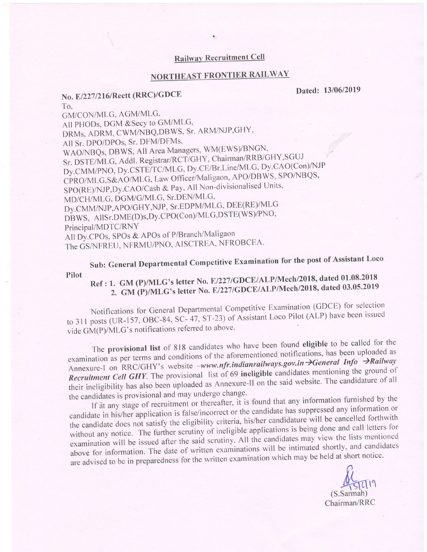#### Railway Recruitment Cell

# NORTHEAST FRONTIER RAILWAY

### No. E/227/216/Rectt (RRC)/GDCE Dated: 13/06/2019 To,

GM/CON/MLG, AGM/MLG, All PHODs, DGM & Secy to GM/MLG, DRMs, ADRM, CWM/NBQ,DBWS, Sr. ARM/NJP,GHY, All Sr. DPO/DPOs, Sr. DFM/DFMs, WAO/NBQs, DBWS, All Area Managers, WM(EWS)/BNGN, Sr. DSTE/MLG, Addl. Registrar/RCT/GHY, Chairman/RRB/GHY, SGUJ Dy.CMM/PNO, Dy.CSTE/TC/MLG, Dy.CE/Br.Line/MLG, Dy.CAO(Con)/NJP CPRO/MLG,S&AO/MLG, Law Officer/Maligaon, APO/DBWS, SPO/NBQS, SPO(RE)/NJP, Dy.CAO/Cash & Pay, All Non-divisionalised Units,  $MD/CH/MLG$ , DGM/G/MLG, Sr. DEN/MLG, Dy.CMM/NJP,APO/GHY,NJP, Sr.EDPM/MLG, DEE(RE)/MLG DBWS, AllSr.DME(D)s,Dy.CPO(Con)/MLG,DSTE(WS)/PNO, Principal/MDTC/RNY All Dy.CPOs, SPOs & APOs of P/Branch/Maligaon The GS/NFREU, NFRMU/PNO, AISCTREA, NFROBCEA.

Sub: General Departmental Competitive Examination for the post of Assistant Loco Pilot

# Ref: 1. GM (P)/MLG's letter No. E/227/GDCE/ALP/Mech/2018, dated 01.08.2018 2. GM (P)/MLG's letter No. E/227/GDCE/ALP/Mech/2018, dated 03.05.2019

Notifications for General Departmental Competitive Examination (GDCE) for selection to 311 posts (UR-157, OBC-84, SC- 47, ST-23) of Assistant Loco Pilot (ALP) have been issued vide GM(P)/MLG's notifications referred to above.

The provisional list of 818 candidates who have been found eligible to be called for the examination as per terms and conditions of the aforementioned notifications, has been uploaded as Annexure-I on RRC/GHY's website -www.nfr.indianrailways.gov.in >General Info >Railway Recruitment Cell GHY. The provisional list of 69 ineligible candidates mentioning the ground of their ineligibility has also been uploaded as Annexure-II on the said website. The candidature of all the candidates is provisional and may undergo change.

If at any stage of recruitment or thereafter, it is found that any information furnished by the candidate in his/her application is false/incorrect or the candidate has suppressed any information or the candidate does not satisfy the eligibility criteria, his/her candidature will be cancelled forthwith without any notice. The further scrutiny of ineligible applications is being done and call letters for examination will be issued after the said scrutiny. All the candidates may view the lists mentioned above for information. The date of written examinations will be intimated shortly, and candidates above for information. The date of three examination which may be held at short notice.<br>are advised to be in preparedness for the written examination which may be held at short notice.

f,  $\frac{10}{15}$ (S.Sarmah) Chairman/RRC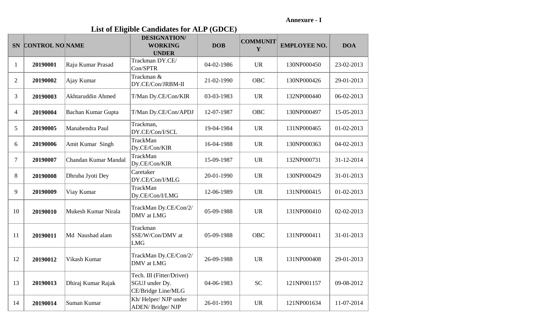**Annexure - I**

**List of Eligible Candidates for ALP (GDCE)**

|                | SN CONTROL NO NAME |                      | <b>DESIGNATION/</b><br><b>WORKING</b><br><b>UNDER</b>             | <b>DOB</b> | <b>COMMUNIT</b><br>Y | <b>EMPLOYEE NO.</b> | <b>DOA</b> |
|----------------|--------------------|----------------------|-------------------------------------------------------------------|------------|----------------------|---------------------|------------|
| $\mathbf{1}$   | 20190001           | Raju Kumar Prasad    | Trackman DY.CE/<br>Con/SPTR                                       | 04-02-1986 | <b>UR</b>            | 130NP000450         | 23-02-2013 |
| $\overline{2}$ | 20190002           | Ajay Kumar           | Trackman &<br>DY.CE/Con/JRBM-II                                   | 21-02-1990 | <b>OBC</b>           | 130NP000426         | 29-01-2013 |
| $\overline{3}$ | 20190003           | Akhtaruddin Ahmed    | T/Man Dy.CE/Con/KIR                                               | 03-03-1983 | <b>UR</b>            | 132NP000440         | 06-02-2013 |
| 4              | 20190004           | Bachan Kumar Gupta   | T/Man Dy.CE/Con/APDJ                                              | 12-07-1987 | <b>OBC</b>           | 130NP000497         | 15-05-2013 |
| 5              | 20190005           | Manabendra Paul      | Trackman,<br>DY.CE/Con/I/SCL                                      | 19-04-1984 | <b>UR</b>            | 131NP000465         | 01-02-2013 |
| 6              | 20190006           | Amit Kumar Singh     | TrackMan<br>Dy.CE/Con/KIR                                         | 16-04-1988 | <b>UR</b>            | 130NP000363         | 04-02-2013 |
| $\overline{7}$ | 20190007           | Chandan Kumar Mandal | TrackMan<br>Dy.CE/Con/KIR                                         | 15-09-1987 | <b>UR</b>            | 132NP000731         | 31-12-2014 |
| 8              | 20190008           | Dhruba Jyoti Dey     | Caretaker<br>DY.CE/Con/I/MLG                                      | 20-01-1990 | <b>UR</b>            | 130NP000429         | 31-01-2013 |
| 9              | 20190009           | Viay Kumar           | TrackMan<br>Dy.CE/Con/I/LMG                                       | 12-06-1989 | <b>UR</b>            | 131NP000415         | 01-02-2013 |
| 10             | 20190010           | Mukesh Kumar Nirala  | TrackMan Dy.CE/Con/2/<br>DMV at LMG                               | 05-09-1988 | <b>UR</b>            | 131NP000410         | 02-02-2013 |
| 11             | 20190011           | Md Naushad alam      | Trackman<br>SSE/W/Con/DMV at<br><b>LMG</b>                        | 05-09-1988 | <b>OBC</b>           | 131NP000411         | 31-01-2013 |
| 12             | 20190012           | Vikash Kumar         | TrackMan Dy.CE/Con/2/<br>DMV at LMG                               | 26-09-1988 | <b>UR</b>            | 131NP000408         | 29-01-2013 |
| 13             | 20190013           | Dhiraj Kumar Rajak   | Tech. III (Fitter/Driver)<br>SGUJ under Dy.<br>CE/Bridge Line/MLG | 04-06-1983 | <b>SC</b>            | 121NP001157         | 09-08-2012 |
| 14             | 20190014           | Suman Kumar          | Kh/Helper/NJP under<br>ADEN/ Bridge/ NJP                          | 26-01-1991 | <b>UR</b>            | 121NP001634         | 11-07-2014 |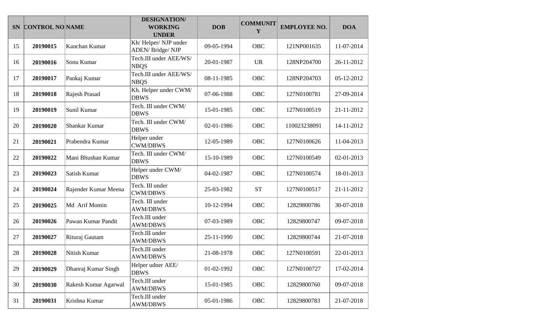|    | SN CONTROL NO NAME |                      | <b>DESIGNATION/</b><br><b>WORKING</b><br><b>UNDER</b> | <b>DOB</b> | <b>COMMUNIT</b><br>Y | <b>EMPLOYEE NO.</b> | <b>DOA</b> |
|----|--------------------|----------------------|-------------------------------------------------------|------------|----------------------|---------------------|------------|
| 15 | 20190015           | Kanchan Kumar        | Kh/Helper/NJP under<br>ADEN/Bridge/NJP                | 09-05-1994 | OBC                  | 121NP001635         | 11-07-2014 |
| 16 | 20190016           | Sonu Kumar           | Tech.III under AEE/WS/<br><b>NBQS</b>                 | 20-01-1987 | <b>UR</b>            | 128NP204700         | 26-11-2012 |
| 17 | 20190017           | Pankaj Kumar         | Tech.III under AEE/WS/<br><b>NBQS</b>                 | 08-11-1985 | <b>OBC</b>           | 128NP204703         | 05-12-2012 |
| 18 | 20190018           | Rajesh Prasad        | Kh. Helper under CWM/<br><b>DBWS</b>                  | 07-06-1988 | <b>OBC</b>           | 127N0100781         | 27-09-2014 |
| 19 | 20190019           | Sunil Kumar          | Tech. III under CWM/<br><b>DBWS</b>                   | 15-01-1985 | <b>OBC</b>           | 127N0100519         | 21-11-2012 |
| 20 | 20190020           | Shankar Kumar        | Tech. III under CWM/<br><b>DBWS</b>                   | 02-01-1986 | <b>OBC</b>           | 110023238091        | 14-11-2012 |
| 21 | 20190021           | Prabendra Kumar      | Helper under<br><b>CWM/DBWS</b>                       | 12-05-1989 | <b>OBC</b>           | 127N0100626         | 11-04-2013 |
| 22 | 20190022           | Mani Bhushan Kumar   | Tech. III under CWM/<br><b>DBWS</b>                   | 15-10-1989 | <b>OBC</b>           | 127N0100549         | 02-01-2013 |
| 23 | 20190023           | Satish Kumar         | Helper under CWM/<br><b>DBWS</b>                      | 04-02-1987 | <b>OBC</b>           | 127N0100574         | 18-01-2013 |
| 24 | 20190024           | Rajender Kumar Meena | Tech. III under<br><b>CWM/DBWS</b>                    | 25-03-1982 | <b>ST</b>            | 127N0100517         | 21-11-2012 |
| 25 | 20190025           | Md Arif Momin        | Tech. III under<br><b>AWM/DBWS</b>                    | 10-12-1994 | <b>OBC</b>           | 12829800786         | 30-07-2018 |
| 26 | 20190026           | Pawan Kumar Pandit   | Tech.III under<br><b>AWM/DBWS</b>                     | 07-03-1989 | OBC                  | 12829800747         | 09-07-2018 |
| 27 | 20190027           | Rituraj Gautam       | Tech.III under<br><b>AWM/DBWS</b>                     | 25-11-1990 | OBC                  | 12829800744         | 21-07-2018 |
| 28 | 20190028           | Nitish Kumar         | Tech.III under<br><b>AWM/DBWS</b>                     | 21-08-1978 | <b>OBC</b>           | 127N0100591         | 22-01-2013 |
| 29 | 20190029           | Dhanraj Kumar Singh  | Helper udner AEE/<br><b>DBWS</b>                      | 01-02-1992 | OBC                  | 127N0100727         | 17-02-2014 |
| 30 | 20190030           | Rakesh Kumar Agarwal | Tech.III under<br><b>AWM/DBWS</b>                     | 15-01-1985 | OBC                  | 12829800760         | 09-07-2018 |
| 31 | 20190031           | Krishna Kumar        | Tech.III under<br><b>AWM/DBWS</b>                     | 05-01-1986 | OBC                  | 12829800783         | 21-07-2018 |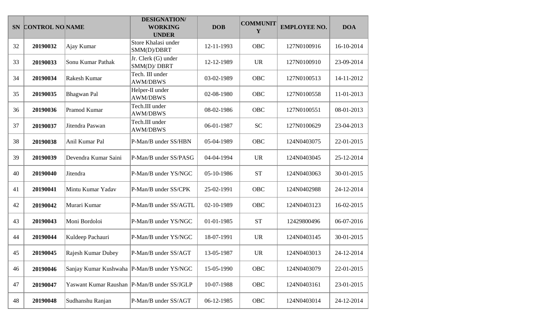|    | SN CONTROL NO NAME |                                               | <b>DESIGNATION/</b><br><b>WORKING</b><br><b>UNDER</b> | <b>DOB</b> | <b>COMMUNIT</b><br>Y | <b>EMPLOYEE NO.</b> | <b>DOA</b> |
|----|--------------------|-----------------------------------------------|-------------------------------------------------------|------------|----------------------|---------------------|------------|
| 32 | 20190032           | Ajay Kumar                                    | Store Khalasi under<br>SMM(D)/DBRT                    | 12-11-1993 | OBC                  | 127N0100916         | 16-10-2014 |
| 33 | 20190033           | Sonu Kumar Pathak                             | Jr. Clerk (G) under<br>SMM(D)/DBRT                    | 12-12-1989 | <b>UR</b>            | 127N0100910         | 23-09-2014 |
| 34 | 20190034           | Rakesh Kumar                                  | Tech. III under<br><b>AWM/DBWS</b>                    | 03-02-1989 | OBC                  | 127N0100513         | 14-11-2012 |
| 35 | 20190035           | <b>Bhagwan Pal</b>                            | Helper-II under<br><b>AWM/DBWS</b>                    | 02-08-1980 | OBC                  | 127N0100558         | 11-01-2013 |
| 36 | 20190036           | Pramod Kumar                                  | Tech.III under<br><b>AWM/DBWS</b>                     | 08-02-1986 | OBC                  | 127N0100551         | 08-01-2013 |
| 37 | 20190037           | Jitendra Paswan                               | Tech.III under<br><b>AWM/DBWS</b>                     | 06-01-1987 | <b>SC</b>            | 127N0100629         | 23-04-2013 |
| 38 | 20190038           | Anil Kumar Pal                                | P-Man/B under SS/HBN                                  | 05-04-1989 | OBC                  | 124N0403075         | 22-01-2015 |
| 39 | 20190039           | Devendra Kumar Saini                          | P-Man/B under SS/PASG                                 | 04-04-1994 | <b>UR</b>            | 124N0403045         | 25-12-2014 |
| 40 | 20190040           | Jitendra                                      | P-Man/B under YS/NGC                                  | 05-10-1986 | <b>ST</b>            | 124N0403063         | 30-01-2015 |
| 41 | 20190041           | Mintu Kumar Yadav                             | P-Man/B under SS/CPK                                  | 25-02-1991 | OBC                  | 124N0402988         | 24-12-2014 |
| 42 | 20190042           | Murari Kumar                                  | P-Man/B under SS/AGTL                                 | 02-10-1989 | <b>OBC</b>           | 124N0403123         | 16-02-2015 |
| 43 | 20190043           | Moni Bordoloi                                 | P-Man/B under YS/NGC                                  | 01-01-1985 | <b>ST</b>            | 12429800496         | 06-07-2016 |
| 44 | 20190044           | Kuldeep Pachauri                              | P-Man/B under YS/NGC                                  | 18-07-1991 | <b>UR</b>            | 124N0403145         | 30-01-2015 |
| 45 | 20190045           | Rajesh Kumar Dubey                            | P-Man/B under SS/AGT                                  | 13-05-1987 | <b>UR</b>            | 124N0403013         | 24-12-2014 |
| 46 | 20190046           | Sanjay Kumar Kushwaha   P-Man/B under YS/NGC  |                                                       | 15-05-1990 | OBC                  | 124N0403079         | 22-01-2015 |
| 47 | 20190047           | Yaswant Kumar Raushan   P-Man/B under SS/JGLP |                                                       | 10-07-1988 | OBC                  | 124N0403161         | 23-01-2015 |
| 48 | 20190048           | Sudhanshu Ranjan                              | P-Man/B under SS/AGT                                  | 06-12-1985 | OBC                  | 124N0403014         | 24-12-2014 |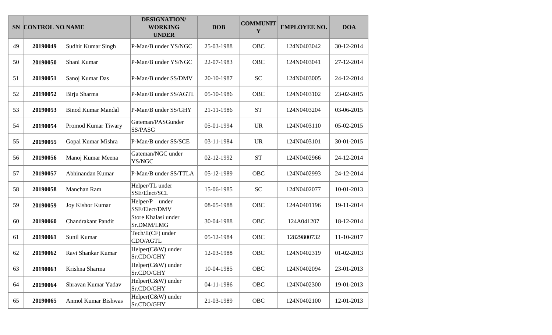|    | SN CONTROL NO NAME |                           | <b>DESIGNATION/</b><br><b>WORKING</b><br><b>UNDER</b> | <b>DOB</b> | <b>COMMUNIT</b><br>Y | <b>EMPLOYEE NO.</b> | <b>DOA</b> |
|----|--------------------|---------------------------|-------------------------------------------------------|------------|----------------------|---------------------|------------|
| 49 | 20190049           | Sudhir Kumar Singh        | P-Man/B under YS/NGC                                  | 25-03-1988 | OBC                  | 124N0403042         | 30-12-2014 |
| 50 | 20190050           | Shani Kumar               | P-Man/B under YS/NGC                                  | 22-07-1983 | OBC                  | 124N0403041         | 27-12-2014 |
| 51 | 20190051           | Sanoj Kumar Das           | P-Man/B under SS/DMV                                  | 20-10-1987 | <b>SC</b>            | 124N0403005         | 24-12-2014 |
| 52 | 20190052           | Birju Sharma              | P-Man/B under SS/AGTL                                 | 05-10-1986 | <b>OBC</b>           | 124N0403102         | 23-02-2015 |
| 53 | 20190053           | <b>Binod Kumar Mandal</b> | P-Man/B under SS/GHY                                  | 21-11-1986 | <b>ST</b>            | 124N0403204         | 03-06-2015 |
| 54 | 20190054           | Promod Kumar Tiwary       | Gateman/PASGunder<br>SS/PASG                          | 05-01-1994 | <b>UR</b>            | 124N0403110         | 05-02-2015 |
| 55 | 20190055           | Gopal Kumar Mishra        | P-Man/B under SS/SCE                                  | 03-11-1984 | <b>UR</b>            | 124N0403101         | 30-01-2015 |
| 56 | 20190056           | Manoj Kumar Meena         | Gateman/NGC under<br>YS/NGC                           | 02-12-1992 | <b>ST</b>            | 124N0402966         | 24-12-2014 |
| 57 | 20190057           | Abhinandan Kumar          | P-Man/B under SS/TTLA                                 | 05-12-1989 | <b>OBC</b>           | 124N0402993         | 24-12-2014 |
| 58 | 20190058           | Manchan Ram               | Helper/TL under<br>SSE/Elect/SCL                      | 15-06-1985 | <b>SC</b>            | 124N0402077         | 10-01-2013 |
| 59 | 20190059           | Joy Kishor Kumar          | Helper/P under<br>SSE/Elect/DMV                       | 08-05-1988 | <b>OBC</b>           | 124A0401196         | 19-11-2014 |
| 60 | 20190060           | <b>Chandrakant Pandit</b> | Store Khalasi under<br>Sr.DMM/LMG                     | 30-04-1988 | OBC                  | 124A041207          | 18-12-2014 |
| 61 | 20190061           | Sunil Kumar               | Tech/II(CF) under<br>CDO/AGTL                         | 05-12-1984 | OBC                  | 12829800732         | 11-10-2017 |
| 62 | 20190062           | Ravi Shankar Kumar        | Helper(C&W) under<br>Sr.CDO/GHY                       | 12-03-1988 | <b>OBC</b>           | 124N0402319         | 01-02-2013 |
| 63 | 20190063           | Krishna Sharma            | Helper(C&W) under<br>Sr.CDO/GHY                       | 10-04-1985 | OBC                  | 124N0402094         | 23-01-2013 |
| 64 | 20190064           | Shravan Kumar Yadav       | Helper(C&W) under<br>Sr.CDO/GHY                       | 04-11-1986 | OBC                  | 124N0402300         | 19-01-2013 |
| 65 | 20190065           | Anmol Kumar Bishwas       | Helper(C&W) under<br>Sr.CDO/GHY                       | 21-03-1989 | OBC                  | 124N0402100         | 12-01-2013 |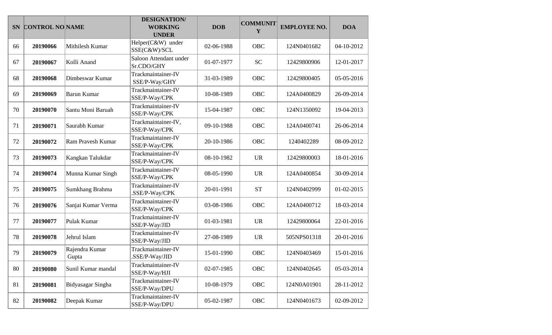|    | SN CONTROL NO NAME |                         | <b>DESIGNATION/</b><br><b>WORKING</b><br><b>UNDER</b> | <b>DOB</b> | <b>COMMUNIT</b><br>Y | <b>EMPLOYEE NO.</b> | <b>DOA</b> |
|----|--------------------|-------------------------|-------------------------------------------------------|------------|----------------------|---------------------|------------|
| 66 | 20190066           | Mithilesh Kumar         | Helper(C&W) under<br>SSE(C&W)/SCL                     | 02-06-1988 | <b>OBC</b>           | 124N0401682         | 04-10-2012 |
| 67 | 20190067           | Kolli Anand             | Saloon Attendant under<br>Sr.CDO/GHY                  | 01-07-1977 | <b>SC</b>            | 12429800906         | 12-01-2017 |
| 68 | 20190068           | Dimbeswar Kumar         | Trackmaintainer-IV<br>SSE/P-Way/GHY                   | 31-03-1989 | OBC                  | 12429800405         | 05-05-2016 |
| 69 | 20190069           | Barun Kumar             | Trackmaintainer-IV<br>SSE/P-Way/CPK                   | 10-08-1989 | <b>OBC</b>           | 124A0400829         | 26-09-2014 |
| 70 | 20190070           | Santu Moni Baruah       | Trackmaintainer-IV<br>SSE/P-Way/CPK                   | 15-04-1987 | <b>OBC</b>           | 124N1350092         | 19-04-2013 |
| 71 | 20190071           | Saurabh Kumar           | Trackmaintainer-IV,<br>SSE/P-Way/CPK                  | 09-10-1988 | <b>OBC</b>           | 124A0400741         | 26-06-2014 |
| 72 | 20190072           | Ram Pravesh Kumar       | Trackmaintainer-IV<br>SSE/P-Way/CPK                   | 20-10-1986 | <b>OBC</b>           | 1240402289          | 08-09-2012 |
| 73 | 20190073           | Kangkan Talukdar        | Trackmaintainer-IV<br>SSE/P-Way/CPK                   | 08-10-1982 | <b>UR</b>            | 12429800003         | 18-01-2016 |
| 74 | 20190074           | Munna Kumar Singh       | Trackmaintainer-IV<br>SSE/P-Way/CPK                   | 08-05-1990 | <b>UR</b>            | 124A0400854         | 30-09-2014 |
| 75 | 20190075           | Sumkhang Brahma         | Trackmaintainer-IV<br>.SSE/P-Way/CPK                  | 20-01-1991 | <b>ST</b>            | 124N0402999         | 01-02-2015 |
| 76 | 20190076           | Sanjai Kumar Verma      | Trackmaintainer-IV<br>SSE/P-Way/CPK                   | 03-08-1986 | <b>OBC</b>           | 124A0400712         | 18-03-2014 |
| 77 | 20190077           | Pulak Kumar             | Trackmaintainer-IV<br>SSE/P-Way/JID                   | 01-03-1981 | <b>UR</b>            | 12429800064         | 22-01-2016 |
| 78 | 20190078           | Jehrul Islam            | Trackmaintainer-IV<br>SSE/P-Way/JID                   | 27-08-1989 | <b>UR</b>            | 505NPS01318         | 20-01-2016 |
| 79 | 20190079           | Rajendra Kumar<br>Gupta | Trackmaintainer-IV<br>.SSE/P-Way/JID                  | 15-01-1990 | <b>OBC</b>           | 124N0403469         | 15-01-2016 |
| 80 | 20190080           | Sunil Kumar mandal      | Trackmaintainer-IV<br>SSE/P-Way/HJI                   | 02-07-1985 | OBC                  | 124N0402645         | 05-03-2014 |
| 81 | 20190081           | Bidyasagar Singha       | Trackmaintainer-IV<br>SSE/P-Way/DPU                   | 10-08-1979 | OBC                  | 124N0A01901         | 28-11-2012 |
| 82 | 20190082           | Deepak Kumar            | Trackmaintainer-IV<br>SSE/P-Way/DPU                   | 05-02-1987 | OBC                  | 124N0401673         | 02-09-2012 |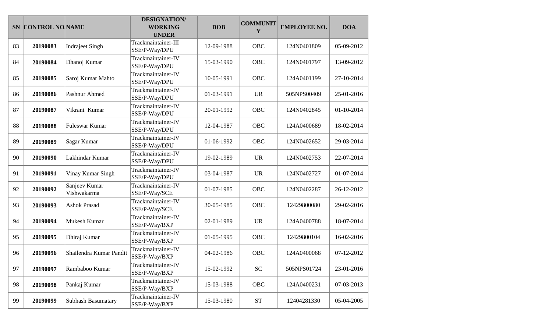|    | SN CONTROL NO NAME |                              | <b>DESIGNATION/</b><br><b>WORKING</b><br><b>UNDER</b> | <b>DOB</b> | <b>COMMUNIT</b><br>Y | <b>EMPLOYEE NO.</b> | <b>DOA</b> |
|----|--------------------|------------------------------|-------------------------------------------------------|------------|----------------------|---------------------|------------|
| 83 | 20190083           | <b>Indraject Singh</b>       | Trackmaintainer-III<br>SSE/P-Way/DPU                  | 12-09-1988 | <b>OBC</b>           | 124N0401809         | 05-09-2012 |
| 84 | 20190084           | Dhanoj Kumar                 | Trackmaintainer-IV<br>SSE/P-Way/DPU                   | 15-03-1990 | <b>OBC</b>           | 124N0401797         | 13-09-2012 |
| 85 | 20190085           | Saroj Kumar Mahto            | Trackmaintainer-IV<br>SSE/P-Way/DPU                   | 10-05-1991 | OBC                  | 124A0401199         | 27-10-2014 |
| 86 | 20190086           | Pashnur Ahmed                | Trackmaintainer-IV<br>SSE/P-Way/DPU                   | 01-03-1991 | <b>UR</b>            | 505NPS00409         | 25-01-2016 |
| 87 | 20190087           | Vikrant Kumar                | Trackmaintainer-IV<br>SSE/P-Way/DPU                   | 20-01-1992 | <b>OBC</b>           | 124N0402845         | 01-10-2014 |
| 88 | 20190088           | Fuleswar Kumar               | Trackmaintainer-IV<br>SSE/P-Way/DPU                   | 12-04-1987 | <b>OBC</b>           | 124A0400689         | 18-02-2014 |
| 89 | 20190089           | Sagar Kumar                  | Trackmaintainer-IV<br>SSE/P-Way/DPU                   | 01-06-1992 | <b>OBC</b>           | 124N0402652         | 29-03-2014 |
| 90 | 20190090           | Lakhindar Kumar              | Trackmaintainer-IV<br>SSE/P-Way/DPU                   | 19-02-1989 | <b>UR</b>            | 124N0402753         | 22-07-2014 |
| 91 | 20190091           | Vinay Kumar Singh            | Trackmaintainer-IV<br>SSE/P-Way/DPU                   | 03-04-1987 | <b>UR</b>            | 124N0402727         | 01-07-2014 |
| 92 | 20190092           | Sanjeev Kumar<br>Vishwakarma | Trackmaintainer-IV<br>SSE/P-Way/SCE                   | 01-07-1985 | <b>OBC</b>           | 124N0402287         | 26-12-2012 |
| 93 | 20190093           | <b>Ashok Prasad</b>          | Trackmaintainer-IV<br>SSE/P-Way/SCE                   | 30-05-1985 | <b>OBC</b>           | 12429800080         | 29-02-2016 |
| 94 | 20190094           | Mukesh Kumar                 | Trackmaintainer-IV<br>SSE/P-Way/BXP                   | 02-01-1989 | <b>UR</b>            | 124A0400788         | 18-07-2014 |
| 95 | 20190095           | Dhiraj Kumar                 | Trackmaintainer-IV<br>SSE/P-Way/BXP                   | 01-05-1995 | <b>OBC</b>           | 12429800104         | 16-02-2016 |
| 96 | 20190096           | Shailendra Kumar Pandit      | Trackmaintainer-IV<br>SSE/P-Way/BXP                   | 04-02-1986 | <b>OBC</b>           | 124A0400068         | 07-12-2012 |
| 97 | 20190097           | Rambaboo Kumar               | Trackmaintainer-IV<br>SSE/P-Way/BXP                   | 15-02-1992 | <b>SC</b>            | 505NPS01724         | 23-01-2016 |
| 98 | 20190098           | Pankaj Kumar                 | Trackmaintainer-IV<br>SSE/P-Way/BXP                   | 15-03-1988 | OBC                  | 124A0400231         | 07-03-2013 |
| 99 | 20190099           | Subhash Basumatary           | Trackmaintainer-IV<br>SSE/P-Way/BXP                   | 15-03-1980 | $\operatorname{ST}$  | 12404281330         | 05-04-2005 |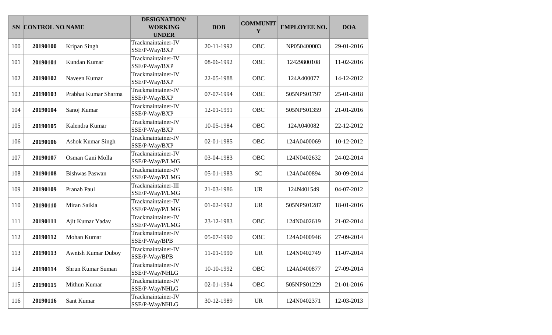|     | SN CONTROL NO NAME |                       | <b>DESIGNATION/</b><br><b>WORKING</b><br><b>UNDER</b> | <b>DOB</b> | <b>COMMUNIT</b><br>Y              | <b>EMPLOYEE NO.</b> | <b>DOA</b> |
|-----|--------------------|-----------------------|-------------------------------------------------------|------------|-----------------------------------|---------------------|------------|
| 100 | 20190100           | Kripan Singh          | Trackmaintainer-IV<br>SSE/P-Way/BXP                   | 20-11-1992 | <b>OBC</b>                        | NP050400003         | 29-01-2016 |
| 101 | 20190101           | Kundan Kumar          | Trackmaintainer-IV<br>SSE/P-Way/BXP                   | 08-06-1992 | <b>OBC</b>                        | 12429800108         | 11-02-2016 |
| 102 | 20190102           | Naveen Kumar          | Trackmaintainer-IV<br>SSE/P-Way/BXP                   | 22-05-1988 | OBC                               | 124A400077          | 14-12-2012 |
| 103 | 20190103           | Prabhat Kumar Sharma  | Trackmaintainer-IV<br>SSE/P-Way/BXP                   | 07-07-1994 | <b>OBC</b>                        | 505NPS01797         | 25-01-2018 |
| 104 | 20190104           | Sanoj Kumar           | Trackmaintainer-IV<br>SSE/P-Way/BXP                   | 12-01-1991 | <b>OBC</b>                        | 505NPS01359         | 21-01-2016 |
| 105 | 20190105           | Kalendra Kumar        | Trackmaintainer-IV<br>SSE/P-Way/BXP                   | 10-05-1984 | <b>OBC</b>                        | 124A040082          | 22-12-2012 |
| 106 | 20190106           | Ashok Kumar Singh     | Trackmaintainer-IV<br>SSE/P-Way/BXP                   | 02-01-1985 | <b>OBC</b>                        | 124A0400069         | 10-12-2012 |
| 107 | 20190107           | Osman Gani Molla      | Trackmaintainer-IV<br>SSE/P-Way/P/LMG                 | 03-04-1983 | <b>OBC</b>                        | 124N0402632         | 24-02-2014 |
| 108 | 20190108           | <b>Bishwas Paswan</b> | Trackmaintainer-IV<br>SSE/P-Way/P/LMG                 | 05-01-1983 | <b>SC</b>                         | 124A0400894         | 30-09-2014 |
| 109 | 20190109           | Pranab Paul           | Trackmaintainer-III<br>SSE/P-Way/P/LMG                | 21-03-1986 | <b>UR</b>                         | 124N401549          | 04-07-2012 |
| 110 | 20190110           | Miran Saikia          | Trackmaintainer-IV<br>SSE/P-Way/P/LMG                 | 01-02-1992 | <b>UR</b>                         | 505NPS01287         | 18-01-2016 |
| 111 | 20190111           | Ajit Kumar Yadav      | Trackmaintainer-IV<br>SSE/P-Way/P/LMG                 | 23-12-1983 | OBC                               | 124N0402619         | 21-02-2014 |
| 112 | 20190112           | Mohan Kumar           | Trackmaintainer-IV<br>SSE/P-Way/BPB                   | 05-07-1990 | <b>OBC</b>                        | 124A0400946         | 27-09-2014 |
| 113 | 20190113           | Awnish Kumar Duboy    | Trackmaintainer-IV<br>SSE/P-Way/BPB                   | 11-01-1990 | <b>UR</b>                         | 124N0402749         | 11-07-2014 |
| 114 | 20190114           | Shrun Kumar Suman     | Trackmaintainer-IV<br>SSE/P-Way/NHLG                  | 10-10-1992 | OBC                               | 124A0400877         | 27-09-2014 |
| 115 | 20190115           | Mithun Kumar          | Trackmaintainer-IV<br>SSE/P-Way/NHLG                  | 02-01-1994 | OBC                               | 505NPS01229         | 21-01-2016 |
| 116 | 20190116           | Sant Kumar            | Trackmaintainer-IV<br>SSE/P-Way/NHLG                  | 30-12-1989 | $\ensuremath{\mathsf{UR}}\xspace$ | 124N0402371         | 12-03-2013 |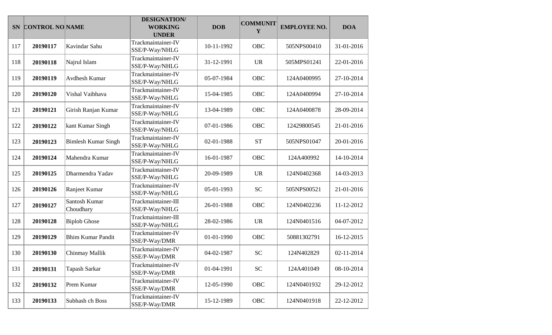|     | SN CONTROL NO NAME |                            | <b>DESIGNATION/</b><br><b>WORKING</b><br><b>UNDER</b> | <b>DOB</b> | <b>COMMUNIT</b><br>Y | <b>EMPLOYEE NO.</b> | <b>DOA</b> |
|-----|--------------------|----------------------------|-------------------------------------------------------|------------|----------------------|---------------------|------------|
| 117 | 20190117           | Kavindar Sahu              | Trackmaintainer-IV<br>SSE/P-Way/NHLG                  | 10-11-1992 | OBC                  | 505NPS00410         | 31-01-2016 |
| 118 | 20190118           | Najrul Islam               | Trackmaintainer-IV<br>SSE/P-Way/NHLG                  | 31-12-1991 | <b>UR</b>            | 505MPS01241         | 22-01-2016 |
| 119 | 20190119           | Avdhesh Kumar              | Trackmaintainer-IV<br>SSE/P-Way/NHLG                  | 05-07-1984 | OBC                  | 124A0400995         | 27-10-2014 |
| 120 | 20190120           | Vishal Vaibhava            | Trackmaintainer-IV<br>SSE/P-Way/NHLG                  | 15-04-1985 | <b>OBC</b>           | 124A0400994         | 27-10-2014 |
| 121 | 20190121           | Girish Ranjan Kumar        | Trackmaintainer-IV<br>SSE/P-Way/NHLG                  | 13-04-1989 | <b>OBC</b>           | 124A0400878         | 28-09-2014 |
| 122 | 20190122           | kant Kumar Singh           | Trackmaintainer-IV<br>SSE/P-Way/NHLG                  | 07-01-1986 | <b>OBC</b>           | 12429800545         | 21-01-2016 |
| 123 | 20190123           | <b>Bimlesh Kumar Singh</b> | Trackmaintainer-IV<br>SSE/P-Way/NHLG                  | 02-01-1988 | <b>ST</b>            | 505NPS01047         | 20-01-2016 |
| 124 | 20190124           | Mahendra Kumar             | Trackmaintainer-IV<br>SSE/P-Way/NHLG                  | 16-01-1987 | <b>OBC</b>           | 124A400992          | 14-10-2014 |
| 125 | 20190125           | Dharmendra Yadav           | Trackmaintainer-IV<br>SSE/P-Way/NHLG                  | 20-09-1989 | <b>UR</b>            | 124N0402368         | 14-03-2013 |
| 126 | 20190126           | Ranjeet Kumar              | Trackmaintainer-IV<br>SSE/P-Way/NHLG                  | 05-01-1993 | <b>SC</b>            | 505NPS00521         | 21-01-2016 |
| 127 | 20190127           | Santosh Kumar<br>Choudhary | Trackmaintainer-III<br>SSE/P-Way/NHLG                 | 26-01-1988 | <b>OBC</b>           | 124N0402236         | 11-12-2012 |
| 128 | 20190128           | <b>Biplob Ghose</b>        | Trackmaintainer-III<br>SSE/P-Way/NHLG                 | 28-02-1986 | <b>UR</b>            | 124N0401516         | 04-07-2012 |
| 129 | 20190129           | <b>Bhim Kumar Pandit</b>   | Trackmaintainer-IV<br>SSE/P-Way/DMR                   | 01-01-1990 | <b>OBC</b>           | 50881302791         | 16-12-2015 |
| 130 | 20190130           | Chinmay Mallik             | Trackmaintainer-IV<br>SSE/P-Way/DMR                   | 04-02-1987 | <b>SC</b>            | 124N402829          | 02-11-2014 |
| 131 | 20190131           | Tapash Sarkar              | Trackmaintainer-IV<br>SSE/P-Way/DMR                   | 01-04-1991 | <b>SC</b>            | 124A401049          | 08-10-2014 |
| 132 | 20190132           | Prem Kumar                 | Trackmaintainer-IV<br>SSE/P-Way/DMR                   | 12-05-1990 | OBC                  | 124N0401932         | 29-12-2012 |
| 133 | 20190133           | Subhash ch Boss            | Trackmaintainer-IV<br>SSE/P-Way/DMR                   | 15-12-1989 | OBC                  | 124N0401918         | 22-12-2012 |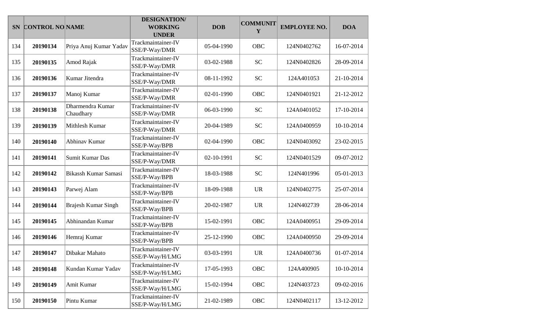|     | SN CONTROL NO NAME |                               | <b>DESIGNATION/</b><br><b>WORKING</b><br><b>UNDER</b> | <b>DOB</b> | <b>COMMUNIT</b><br>Y | <b>EMPLOYEE NO.</b> | <b>DOA</b> |
|-----|--------------------|-------------------------------|-------------------------------------------------------|------------|----------------------|---------------------|------------|
| 134 | 20190134           | Priya Anuj Kumar Yadav        | Trackmaintainer-IV<br>SSE/P-Way/DMR                   | 05-04-1990 | <b>OBC</b>           | 124N0402762         | 16-07-2014 |
| 135 | 20190135           | Amod Rajak                    | Trackmaintainer-IV<br>SSE/P-Way/DMR                   | 03-02-1988 | <b>SC</b>            | 124N0402826         | 28-09-2014 |
| 136 | 20190136           | Kumar Jitendra                | Trackmaintainer-IV<br>SSE/P-Way/DMR                   | 08-11-1992 | <b>SC</b>            | 124A401053          | 21-10-2014 |
| 137 | 20190137           | Manoj Kumar                   | Trackmaintainer-IV<br>SSE/P-Way/DMR                   | 02-01-1990 | <b>OBC</b>           | 124N0401921         | 21-12-2012 |
| 138 | 20190138           | Dharmendra Kumar<br>Chaudhary | Trackmaintainer-IV<br>SSE/P-Way/DMR                   | 06-03-1990 | <b>SC</b>            | 124A0401052         | 17-10-2014 |
| 139 | 20190139           | Mithlesh Kumar                | Trackmaintainer-IV<br>SSE/P-Way/DMR                   | 20-04-1989 | <b>SC</b>            | 124A0400959         | 10-10-2014 |
| 140 | 20190140           | Abhinav Kumar                 | Trackmaintainer-IV<br>SSE/P-Way/BPB                   | 02-04-1990 | <b>OBC</b>           | 124N0403092         | 23-02-2015 |
| 141 | 20190141           | Sumit Kumar Das               | Trackmaintainer-IV<br>SSE/P-Way/DMR                   | 02-10-1991 | <b>SC</b>            | 124N0401529         | 09-07-2012 |
| 142 | 20190142           | Bikassh Kumar Samasi          | Trackmaintainer-IV<br>SSE/P-Way/BPB                   | 18-03-1988 | <b>SC</b>            | 124N401996          | 05-01-2013 |
| 143 | 20190143           | Parwej Alam                   | Trackmaintainer-IV<br>SSE/P-Way/BPB                   | 18-09-1988 | <b>UR</b>            | 124N0402775         | 25-07-2014 |
| 144 | 20190144           | <b>Brajesh Kumar Singh</b>    | Trackmaintainer-IV<br>SSE/P-Way/BPB                   | 20-02-1987 | <b>UR</b>            | 124N402739          | 28-06-2014 |
| 145 | 20190145           | Abhinandan Kumar              | Trackmaintainer-IV<br>SSE/P-Way/BPB                   | 15-02-1991 | OBC                  | 124A0400951         | 29-09-2014 |
| 146 | 20190146           | Hemraj Kumar                  | Trackmaintainer-IV<br>SSE/P-Way/BPB                   | 25-12-1990 | <b>OBC</b>           | 124A0400950         | 29-09-2014 |
| 147 | 20190147           | Dibakar Mahato                | Trackmaintainer-IV<br>SSE/P-Way/H/LMG                 | 03-03-1991 | <b>UR</b>            | 124A0400736         | 01-07-2014 |
| 148 | 20190148           | Kundan Kumar Yadav            | Trackmaintainer-IV<br>SSE/P-Way/H/LMG                 | 17-05-1993 | OBC                  | 124A400905          | 10-10-2014 |
| 149 | 20190149           | Amit Kumar                    | Trackmaintainer-IV<br>SSE/P-Way/H/LMG                 | 15-02-1994 | OBC                  | 124N403723          | 09-02-2016 |
| 150 | 20190150           | Pintu Kumar                   | Trackmaintainer-IV<br>SSE/P-Way/H/LMG                 | 21-02-1989 | OBC                  | 124N0402117         | 13-12-2012 |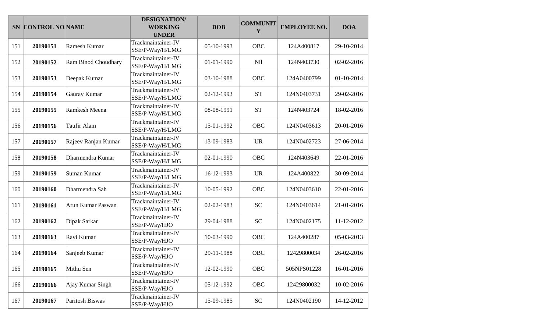|     | SN CONTROL NO NAME |                     | <b>DESIGNATION/</b><br><b>WORKING</b><br><b>UNDER</b> | <b>DOB</b> | <b>COMMUNIT</b><br>Y | <b>EMPLOYEE NO.</b> | <b>DOA</b> |
|-----|--------------------|---------------------|-------------------------------------------------------|------------|----------------------|---------------------|------------|
| 151 | 20190151           | Ramesh Kumar        | Trackmaintainer-IV<br>SSE/P-Way/H/LMG                 | 05-10-1993 | <b>OBC</b>           | 124A400817          | 29-10-2014 |
| 152 | 20190152           | Ram Binod Choudhary | Trackmaintainer-IV<br>SSE/P-Way/H/LMG                 | 01-01-1990 | Nil                  | 124N403730          | 02-02-2016 |
| 153 | 20190153           | Deepak Kumar        | Trackmaintainer-IV<br>SSE/P-Way/H/LMG                 | 03-10-1988 | OBC                  | 124A0400799         | 01-10-2014 |
| 154 | 20190154           | Gaurav Kumar        | Trackmaintainer-IV<br>SSE/P-Way/H/LMG                 | 02-12-1993 | <b>ST</b>            | 124N0403731         | 29-02-2016 |
| 155 | 20190155           | Ramkesh Meena       | Trackmaintainer-IV<br>SSE/P-Way/H/LMG                 | 08-08-1991 | <b>ST</b>            | 124N403724          | 18-02-2016 |
| 156 | 20190156           | Taufir Alam         | Trackmaintainer-IV<br>SSE/P-Way/H/LMG                 | 15-01-1992 | <b>OBC</b>           | 124N0403613         | 20-01-2016 |
| 157 | 20190157           | Rajeev Ranjan Kumar | Trackmaintainer-IV<br>SSE/P-Way/H/LMG                 | 13-09-1983 | <b>UR</b>            | 124N0402723         | 27-06-2014 |
| 158 | 20190158           | Dharmendra Kumar    | Trackmaintainer-IV<br>SSE/P-Way/H/LMG                 | 02-01-1990 | <b>OBC</b>           | 124N403649          | 22-01-2016 |
| 159 | 20190159           | Suman Kumar         | Trackmaintainer-IV<br>SSE/P-Way/H/LMG                 | 16-12-1993 | <b>UR</b>            | 124A400822          | 30-09-2014 |
| 160 | 20190160           | Dharmendra Sah      | Trackmaintainer-IV<br>SSE/P-Way/H/LMG                 | 10-05-1992 | <b>OBC</b>           | 124N0403610         | 22-01-2016 |
| 161 | 20190161           | Arun Kumar Paswan   | Trackmaintainer-IV<br>SSE/P-Way/H/LMG                 | 02-02-1983 | <b>SC</b>            | 124N0403614         | 21-01-2016 |
| 162 | 20190162           | Dipak Sarkar        | Trackmaintainer-IV<br>SSE/P-Way/HJO                   | 29-04-1988 | <b>SC</b>            | 124N0402175         | 11-12-2012 |
| 163 | 20190163           | Ravi Kumar          | Trackmaintainer-IV<br>SSE/P-Way/HJO                   | 10-03-1990 | <b>OBC</b>           | 124A400287          | 05-03-2013 |
| 164 | 20190164           | Sanjeeb Kumar       | Trackmaintainer-IV<br>SSE/P-Way/HJO                   | 29-11-1988 | <b>OBC</b>           | 12429800034         | 26-02-2016 |
| 165 | 20190165           | Mithu Sen           | Trackmaintainer-IV<br>SSE/P-Way/HJO                   | 12-02-1990 | OBC                  | 505NPS01228         | 16-01-2016 |
| 166 | 20190166           | Ajay Kumar Singh    | Trackmaintainer-IV<br>SSE/P-Way/HJO                   | 05-12-1992 | OBC                  | 12429800032         | 10-02-2016 |
| 167 | 20190167           | Paritosh Biswas     | Trackmaintainer-IV<br>SSE/P-Way/HJO                   | 15-09-1985 | ${\rm SC}$           | 124N0402190         | 14-12-2012 |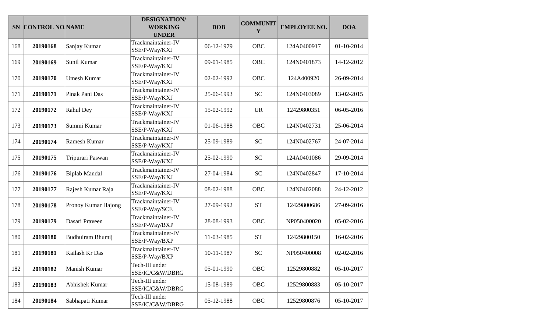|     | SN CONTROL NO NAME |                      | <b>DESIGNATION/</b><br><b>WORKING</b><br><b>UNDER</b> | <b>DOB</b> | <b>COMMUNIT</b><br>Y | <b>EMPLOYEE NO.</b> | <b>DOA</b> |
|-----|--------------------|----------------------|-------------------------------------------------------|------------|----------------------|---------------------|------------|
| 168 | 20190168           | Sanjay Kumar         | Trackmaintainer-IV<br>SSE/P-Way/KXJ                   | 06-12-1979 | <b>OBC</b>           | 124A0400917         | 01-10-2014 |
| 169 | 20190169           | Sunil Kumar          | Trackmaintainer-IV<br>SSE/P-Way/KXJ                   | 09-01-1985 | <b>OBC</b>           | 124N0401873         | 14-12-2012 |
| 170 | 20190170           | <b>Umesh Kumar</b>   | Trackmaintainer-IV<br>SSE/P-Way/KXJ                   | 02-02-1992 | <b>OBC</b>           | 124A400920          | 26-09-2014 |
| 171 | 20190171           | Pinak Pani Das       | Trackmaintainer-IV<br>SSE/P-Way/KXJ                   | 25-06-1993 | <b>SC</b>            | 124N0403089         | 13-02-2015 |
| 172 | 20190172           | Rahul Dey            | Trackmaintainer-IV<br>SSE/P-Way/KXJ                   | 15-02-1992 | <b>UR</b>            | 12429800351         | 06-05-2016 |
| 173 | 20190173           | Summi Kumar          | Trackmaintainer-IV<br>SSE/P-Way/KXJ                   | 01-06-1988 | <b>OBC</b>           | 124N0402731         | 25-06-2014 |
| 174 | 20190174           | Ramesh Kumar         | Trackmaintainer-IV<br>SSE/P-Way/KXJ                   | 25-09-1989 | <b>SC</b>            | 124N0402767         | 24-07-2014 |
| 175 | 20190175           | Tripurari Paswan     | Trackmaintainer-IV<br>SSE/P-Way/KXJ                   | 25-02-1990 | <b>SC</b>            | 124A0401086         | 29-09-2014 |
| 176 | 20190176           | <b>Biplab Mandal</b> | Trackmaintainer-IV<br>SSE/P-Way/KXJ                   | 27-04-1984 | <b>SC</b>            | 124N0402847         | 17-10-2014 |
| 177 | 20190177           | Rajesh Kumar Raja    | Trackmaintainer-IV<br>SSE/P-Way/KXJ                   | 08-02-1988 | <b>OBC</b>           | 124N0402088         | 24-12-2012 |
| 178 | 20190178           | Pronoy Kumar Hajong  | Trackmaintainer-IV<br>SSE/P-Way/SCE                   | 27-09-1992 | <b>ST</b>            | 12429800686         | 27-09-2016 |
| 179 | 20190179           | Dasari Praveen       | Trackmaintainer-IV<br>SSE/P-Way/BXP                   | 28-08-1993 | <b>OBC</b>           | NP050400020         | 05-02-2016 |
| 180 | 20190180           | Budhuiram Bhumij     | Trackmaintainer-IV<br>SSE/P-Way/BXP                   | 11-03-1985 | <b>ST</b>            | 12429800150         | 16-02-2016 |
| 181 | 20190181           | Kailash Kr Das       | Trackmaintainer-IV<br>SSE/P-Way/BXP                   | 10-11-1987 | <b>SC</b>            | NP050400008         | 02-02-2016 |
| 182 | 20190182           | Manish Kumar         | Tech-III under<br>SSE/IC/C&W/DBRG                     | 05-01-1990 | OBC                  | 12529800882         | 05-10-2017 |
| 183 | 20190183           | Abhishek Kumar       | Tech-III under<br>SSE/IC/C&W/DBRG                     | 15-08-1989 | OBC                  | 12529800883         | 05-10-2017 |
| 184 | 20190184           | Sabhapati Kumar      | Tech-III under<br>SSE/IC/C&W/DBRG                     | 05-12-1988 | OBC                  | 12529800876         | 05-10-2017 |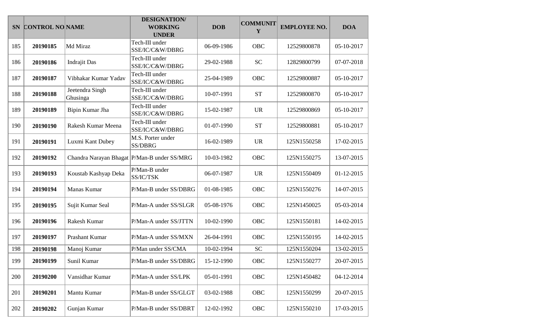| <b>SN</b> | <b>CONTROL NO NAME</b> |                             | <b>DESIGNATION/</b><br><b>WORKING</b><br><b>UNDER</b> | <b>DOB</b> | <b>COMMUNIT</b><br>Y | <b>EMPLOYEE NO.</b> | <b>DOA</b> |
|-----------|------------------------|-----------------------------|-------------------------------------------------------|------------|----------------------|---------------------|------------|
| 185       | 20190185               | Md Miraz                    | Tech-III under<br>SSE/IC/C&W/DBRG                     | 06-09-1986 | OBC                  | 12529800878         | 05-10-2017 |
| 186       | 20190186               | <b>Indrajit Das</b>         | Tech-III under<br>SSE/IC/C&W/DBRG                     | 29-02-1988 | <b>SC</b>            | 12829800799         | 07-07-2018 |
| 187       | 20190187               | Vibhakar Kumar Yadav        | Tech-III under<br>SSE/IC/C&W/DBRG                     | 25-04-1989 | OBC                  | 12529800887         | 05-10-2017 |
| 188       | 20190188               | Jeetendra Singh<br>Ghusinga | Tech-III under<br>SSE/IC/C&W/DBRG                     | 10-07-1991 | <b>ST</b>            | 12529800870         | 05-10-2017 |
| 189       | 20190189               | Bipin Kumar Jha             | Tech-III under<br>SSE/IC/C&W/DBRG                     | 15-02-1987 | <b>UR</b>            | 12529800869         | 05-10-2017 |
| 190       | 20190190               | Rakesh Kumar Meena          | Tech-III under<br>SSE/IC/C&W/DBRG                     | 01-07-1990 | <b>ST</b>            | 12529800881         | 05-10-2017 |
| 191       | 20190191               | Luxmi Kant Dubey            | M.S. Porter under<br>SS/DBRG                          | 16-02-1989 | <b>UR</b>            | 125N1550258         | 17-02-2015 |
| 192       | 20190192               |                             | Chandra Narayan Bhagat   P/Man-B under SS/MRG         | 10-03-1982 | OBC                  | 125N1550275         | 13-07-2015 |
| 193       | 20190193               | Koustab Kashyap Deka        | P/Man-B under<br>SS/IC/TSK                            | 06-07-1987 | <b>UR</b>            | 125N1550409         | 01-12-2015 |
| 194       | 20190194               | Manas Kumar                 | P/Man-B under SS/DBRG                                 | 01-08-1985 | OBC                  | 125N1550276         | 14-07-2015 |
| 195       | 20190195               | Sujit Kumar Seal            | P/Man-A under SS/SLGR                                 | 05-08-1976 | OBC                  | 125N1450025         | 05-03-2014 |
| 196       | 20190196               | Rakesh Kumar                | P/Man-A under SS/JTTN                                 | 10-02-1990 | OBC                  | 125N1550181         | 14-02-2015 |
| 197       | 20190197               | Prashant Kumar              | P/Man-A under SS/MXN                                  | 26-04-1991 | OBC                  | 125N1550195         | 14-02-2015 |
| 198       | 20190198               | Manoj Kumar                 | P/Man under SS/CMA                                    | 10-02-1994 | <b>SC</b>            | 125N1550204         | 13-02-2015 |
| 199       | 20190199               | Sunil Kumar                 | P/Man-B under SS/DBRG                                 | 15-12-1990 | OBC                  | 125N1550277         | 20-07-2015 |
| 200       | 20190200               | Vansidhar Kumar             | P/Man-A under SS/LPK                                  | 05-01-1991 | OBC                  | 125N1450482         | 04-12-2014 |
| 201       | 20190201               | Mantu Kumar                 | P/Man-B under SS/GLGT                                 | 03-02-1988 | OBC                  | 125N1550299         | 20-07-2015 |
| 202       | 20190202               | Gunjan Kumar                | P/Man-B under SS/DBRT                                 | 12-02-1992 | OBC                  | 125N1550210         | 17-03-2015 |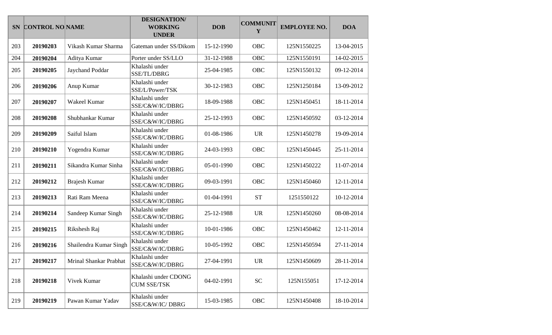|     | SN CONTROL NO NAME |                        | <b>DESIGNATION/</b><br><b>WORKING</b><br><b>UNDER</b> | <b>DOB</b> | <b>COMMUNIT</b><br>Y | <b>EMPLOYEE NO.</b> | <b>DOA</b> |
|-----|--------------------|------------------------|-------------------------------------------------------|------------|----------------------|---------------------|------------|
| 203 | 20190203           | Vikash Kumar Sharma    | Gateman under SS/Dikom                                | 15-12-1990 | OBC                  | 125N1550225         | 13-04-2015 |
| 204 | 20190204           | Aditya Kumar           | Porter under SS/LLO                                   | 31-12-1988 | OBC                  | 125N1550191         | 14-02-2015 |
| 205 | 20190205           | Jaychand Poddar        | Khalashi under<br>SSE/TL/DBRG                         | 25-04-1985 | OBC                  | 125N1550132         | 09-12-2014 |
| 206 | 20190206           | Anup Kumar             | Khalashi under<br>SSE/L/Power/TSK                     | 30-12-1983 | OBC                  | 125N1250184         | 13-09-2012 |
| 207 | 20190207           | Wakeel Kumar           | Khalashi under<br>SSE/C&W/IC/DBRG                     | 18-09-1988 | OBC                  | 125N1450451         | 18-11-2014 |
| 208 | 20190208           | Shubhankar Kumar       | Khalashi under<br>SSE/C&W/IC/DBRG                     | 25-12-1993 | OBC                  | 125N1450592         | 03-12-2014 |
| 209 | 20190209           | Saiful Islam           | Khalashi under<br>SSE/C&W/IC/DBRG                     | 01-08-1986 | <b>UR</b>            | 125N1450278         | 19-09-2014 |
| 210 | 20190210           | Yogendra Kumar         | Khalashi under<br>SSE/C&W/IC/DBRG                     | 24-03-1993 | OBC                  | 125N1450445         | 25-11-2014 |
| 211 | 20190211           | Sikandra Kumar Sinha   | Khalashi under<br>SSE/C&W/IC/DBRG                     | 05-01-1990 | <b>OBC</b>           | 125N1450222         | 11-07-2014 |
| 212 | 20190212           | <b>Brajesh Kumar</b>   | Khalashi under<br>SSE/C&W/IC/DBRG                     | 09-03-1991 | OBC                  | 125N1450460         | 12-11-2014 |
| 213 | 20190213           | Rati Ram Meena         | Khalashi under<br>SSE/C&W/IC/DBRG                     | 01-04-1991 | <b>ST</b>            | 1251550122          | 10-12-2014 |
| 214 | 20190214           | Sandeep Kumar Singh    | Khalashi under<br>SSE/C&W/IC/DBRG                     | 25-12-1988 | <b>UR</b>            | 125N1450260         | 08-08-2014 |
| 215 | 20190215           | Rikshesh Raj           | Khalashi under<br>SSE/C&W/IC/DBRG                     | 10-01-1986 | OBC                  | 125N1450462         | 12-11-2014 |
| 216 | 20190216           | Shailendra Kumar Singh | Khalashi under<br>SSE/C&W/IC/DBRG                     | 10-05-1992 | OBC                  | 125N1450594         | 27-11-2014 |
| 217 | 20190217           | Mrinal Shankar Prabhat | Khalashi under<br>SSE/C&W/IC/DBRG                     | 27-04-1991 | <b>UR</b>            | 125N1450609         | 28-11-2014 |
| 218 | 20190218           | Vivek Kumar            | Khalashi under CDONG<br><b>CUM SSE/TSK</b>            | 04-02-1991 | <b>SC</b>            | 125N155051          | 17-12-2014 |
| 219 | 20190219           | Pawan Kumar Yadav      | Khalashi under<br>SSE/C&W/IC/DBRG                     | 15-03-1985 | OBC                  | 125N1450408         | 18-10-2014 |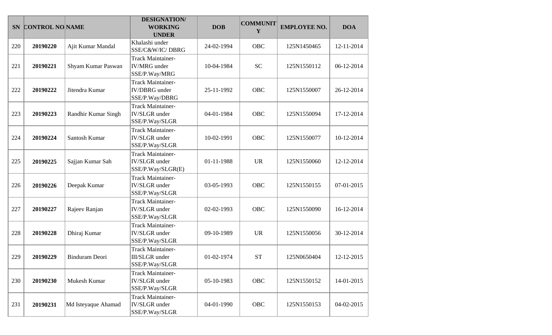|     | SN CONTROL NO NAME |                       | <b>DESIGNATION/</b><br><b>WORKING</b><br><b>UNDER</b>                 | <b>DOB</b> | <b>COMMUNIT</b><br>Y | <b>EMPLOYEE NO.</b> | <b>DOA</b> |
|-----|--------------------|-----------------------|-----------------------------------------------------------------------|------------|----------------------|---------------------|------------|
| 220 | 20190220           | Ajit Kumar Mandal     | Khalashi under<br>SSE/C&W/IC/DBRG                                     | 24-02-1994 | <b>OBC</b>           | 125N1450465         | 12-11-2014 |
| 221 | 20190221           | Shyam Kumar Paswan    | <b>Track Maintainer-</b><br><b>IV/MRG</b> under<br>SSE/P.Way/MRG      | 10-04-1984 | <b>SC</b>            | 125N1550112         | 06-12-2014 |
| 222 | 20190222           | Jitendra Kumar        | <b>Track Maintainer-</b><br><b>IV/DBRG</b> under<br>SSE/P.Way/DBRG    | 25-11-1992 | <b>OBC</b>           | 125N1550007         | 26-12-2014 |
| 223 | 20190223           | Randhir Kumar Singh   | <b>Track Maintainer-</b><br><b>IV/SLGR</b> under<br>SSE/P.Way/SLGR    | 04-01-1984 | OBC                  | 125N1550094         | 17-12-2014 |
| 224 | 20190224           | Santosh Kumar         | Track Maintainer-<br><b>IV/SLGR</b> under<br>SSE/P.Way/SLGR           | 10-02-1991 | OBC                  | 125N1550077         | 10-12-2014 |
| 225 | 20190225           | Sajjan Kumar Sah      | <b>Track Maintainer-</b><br><b>IV/SLGR</b> under<br>SSE/P.Way/SLGR(E) | 01-11-1988 | <b>UR</b>            | 125N1550060         | 12-12-2014 |
| 226 | 20190226           | Deepak Kumar          | <b>Track Maintainer-</b><br><b>IV/SLGR</b> under<br>SSE/P.Way/SLGR    | 03-05-1993 | <b>OBC</b>           | 125N1550155         | 07-01-2015 |
| 227 | 20190227           | Rajeev Ranjan         | <b>Track Maintainer-</b><br><b>IV/SLGR</b> under<br>SSE/P.Way/SLGR    | 02-02-1993 | OBC                  | 125N1550090         | 16-12-2014 |
| 228 | 20190228           | Dhiraj Kumar          | Track Maintainer-<br><b>IV/SLGR</b> under<br>SSE/P.Way/SLGR           | 09-10-1989 | <b>UR</b>            | 125N1550056         | 30-12-2014 |
| 229 | 20190229           | <b>Binduram Deori</b> | <b>Track Maintainer-</b><br>III/SLGR under<br>SSE/P.Way/SLGR          | 01-02-1974 | <b>ST</b>            | 125N0650404         | 12-12-2015 |
| 230 | 20190230           | Mukesh Kumar          | <b>Track Maintainer-</b><br><b>IV/SLGR</b> under<br>SSE/P.Way/SLGR    | 05-10-1983 | <b>OBC</b>           | 125N1550152         | 14-01-2015 |
| 231 | 20190231           | Md Isteyaque Ahamad   | <b>Track Maintainer-</b><br><b>IV/SLGR</b> under<br>SSE/P.Way/SLGR    | 04-01-1990 | OBC                  | 125N1550153         | 04-02-2015 |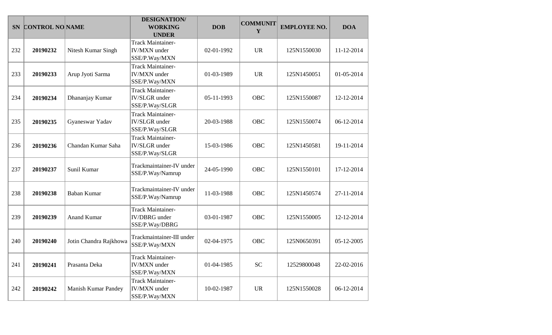| <b>SN</b> | <b>CONTROL NO NAME</b> |                            | <b>DESIGNATION/</b><br><b>WORKING</b><br><b>UNDER</b>              | <b>DOB</b> | <b>COMMUNIT</b><br>Y | <b>EMPLOYEE NO.</b> | <b>DOA</b> |
|-----------|------------------------|----------------------------|--------------------------------------------------------------------|------------|----------------------|---------------------|------------|
| 232       | 20190232               | Nitesh Kumar Singh         | <b>Track Maintainer-</b><br><b>IV/MXN</b> under<br>SSE/P.Way/MXN   | 02-01-1992 | <b>UR</b>            | 125N1550030         | 11-12-2014 |
| 233       | 20190233               | Arup Jyoti Sarma           | <b>Track Maintainer-</b><br><b>IV/MXN</b> under<br>SSE/P.Way/MXN   | 01-03-1989 | <b>UR</b>            | 125N1450051         | 01-05-2014 |
| 234       | 20190234               | Dhananjay Kumar            | <b>Track Maintainer-</b><br><b>IV/SLGR</b> under<br>SSE/P.Way/SLGR | 05-11-1993 | <b>OBC</b>           | 125N1550087         | 12-12-2014 |
| 235       | 20190235               | Gyaneswar Yadav            | <b>Track Maintainer-</b><br><b>IV/SLGR</b> under<br>SSE/P.Way/SLGR | 20-03-1988 | <b>OBC</b>           | 125N1550074         | 06-12-2014 |
| 236       | 20190236               | Chandan Kumar Saha         | <b>Track Maintainer-</b><br><b>IV/SLGR</b> under<br>SSE/P.Way/SLGR | 15-03-1986 | <b>OBC</b>           | 125N1450581         | 19-11-2014 |
| 237       | 20190237               | Sunil Kumar                | Trackmaintainer-IV under<br>SSE/P.Way/Namrup                       | 24-05-1990 | <b>OBC</b>           | 125N1550101         | 17-12-2014 |
| 238       | 20190238               | <b>Baban Kumar</b>         | Trackmaintainer-IV under<br>SSE/P.Way/Namrup                       | 11-03-1988 | <b>OBC</b>           | 125N1450574         | 27-11-2014 |
| 239       | 20190239               | <b>Anand Kumar</b>         | <b>Track Maintainer-</b><br><b>IV/DBRG</b> under<br>SSE/P.Way/DBRG | 03-01-1987 | <b>OBC</b>           | 125N1550005         | 12-12-2014 |
| 240       | 20190240               | Jotin Chandra Rajkhowa     | Trackmaintainer-III under<br>SSE/P.Way/MXN                         | 02-04-1975 | <b>OBC</b>           | 125N0650391         | 05-12-2005 |
| 241       | 20190241               | Prasanta Deka              | <b>Track Maintainer-</b><br><b>IV/MXN</b> under<br>SSE/P.Way/MXN   | 01-04-1985 | <b>SC</b>            | 12529800048         | 22-02-2016 |
| 242       | 20190242               | <b>Manish Kumar Pandey</b> | Track Maintainer-<br><b>IV/MXN</b> under<br>SSE/P.Way/MXN          | 10-02-1987 | <b>UR</b>            | 125N1550028         | 06-12-2014 |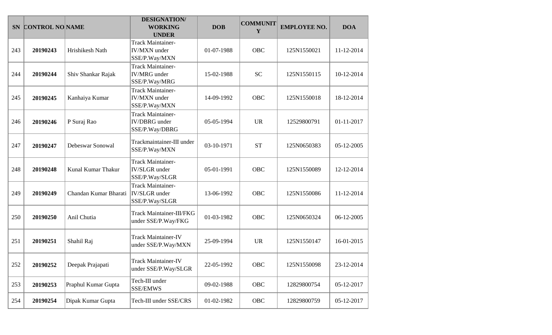|     | SN CONTROL NO NAME |                       | <b>DESIGNATION/</b><br><b>WORKING</b><br><b>UNDER</b>              | <b>DOB</b> | <b>COMMUNIT</b><br>Y | <b>EMPLOYEE NO.</b> | <b>DOA</b> |
|-----|--------------------|-----------------------|--------------------------------------------------------------------|------------|----------------------|---------------------|------------|
| 243 | 20190243           | Hrishikesh Nath       | Track Maintainer-<br><b>IV/MXN</b> under<br>SSE/P.Way/MXN          | 01-07-1988 | <b>OBC</b>           | 125N1550021         | 11-12-2014 |
| 244 | 20190244           | Shiv Shankar Rajak    | <b>Track Maintainer-</b><br><b>IV/MRG</b> under<br>SSE/P.Way/MRG   | 15-02-1988 | <b>SC</b>            | 125N1550115         | 10-12-2014 |
| 245 | 20190245           | Kanhaiya Kumar        | <b>Track Maintainer-</b><br><b>IV/MXN</b> under<br>SSE/P.Way/MXN   | 14-09-1992 | OBC                  | 125N1550018         | 18-12-2014 |
| 246 | 20190246           | P Suraj Rao           | <b>Track Maintainer-</b><br><b>IV/DBRG</b> under<br>SSE/P.Way/DBRG | 05-05-1994 | <b>UR</b>            | 12529800791         | 01-11-2017 |
| 247 | 20190247           | Debeswar Sonowal      | Trackmaintainer-III under<br>SSE/P.Way/MXN                         | 03-10-1971 | <b>ST</b>            | 125N0650383         | 05-12-2005 |
| 248 | 20190248           | Kunal Kumar Thakur    | <b>Track Maintainer-</b><br><b>IV/SLGR</b> under<br>SSE/P.Way/SLGR | 05-01-1991 | OBC                  | 125N1550089         | 12-12-2014 |
| 249 | 20190249           | Chandan Kumar Bharati | <b>Track Maintainer-</b><br><b>IV/SLGR</b> under<br>SSE/P.Way/SLGR | 13-06-1992 | <b>OBC</b>           | 125N1550086         | 11-12-2014 |
| 250 | 20190250           | Anil Chutia           | <b>Track Maintainer-III/FKG</b><br>under SSE/P.Way/FKG             | 01-03-1982 | <b>OBC</b>           | 125N0650324         | 06-12-2005 |
| 251 | 20190251           | Shahil Raj            | <b>Track Maintainer-IV</b><br>under SSE/P.Way/MXN                  | 25-09-1994 | <b>UR</b>            | 125N1550147         | 16-01-2015 |
| 252 | 20190252           | Deepak Prajapati      | <b>Track Maintainer-IV</b><br>under SSE/P.Way/SLGR                 | 22-05-1992 | OBC                  | 125N1550098         | 23-12-2014 |
| 253 | 20190253           | Praphul Kumar Gupta   | Tech-III under<br><b>SSE/EMWS</b>                                  | 09-02-1988 | OBC                  | 12829800754         | 05-12-2017 |
| 254 | 20190254           | Dipak Kumar Gupta     | Tech-III under SSE/CRS                                             | 01-02-1982 | OBC                  | 12829800759         | 05-12-2017 |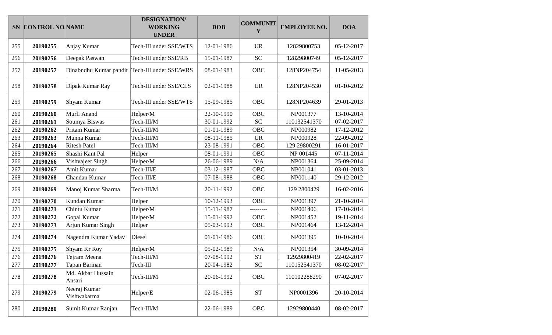|     | SN CONTROL NO NAME |                                               | <b>DESIGNATION/</b><br><b>WORKING</b><br><b>UNDER</b> | <b>DOB</b> | <b>COMMUNIT</b><br>Y | <b>EMPLOYEE NO.</b> | <b>DOA</b> |
|-----|--------------------|-----------------------------------------------|-------------------------------------------------------|------------|----------------------|---------------------|------------|
| 255 | 20190255           | Anjay Kumar                                   | Tech-III under SSE/WTS                                | 12-01-1986 | <b>UR</b>            | 12829800753         | 05-12-2017 |
| 256 | 20190256           | Deepak Paswan                                 | Tech-III under SSE/RB                                 | 15-01-1987 | <b>SC</b>            | 12829800749         | 05-12-2017 |
| 257 | 20190257           | Dinabndhu Kumar pandit Tech-III under SSE/WRS |                                                       | 08-01-1983 | OBC                  | 128NP204754         | 11-05-2013 |
| 258 | 20190258           | Dipak Kumar Ray                               | Tech-III under SSE/CLS                                | 02-01-1988 | <b>UR</b>            | 128NP204530         | 01-10-2012 |
| 259 | 20190259           | Shyam Kumar                                   | Tech-III under SSE/WTS                                | 15-09-1985 | OBC                  | 128NP204639         | 29-01-2013 |
| 260 | 20190260           | Murli Anand                                   | Helper/M                                              | 22-10-1990 | OBC                  | NP001377            | 13-10-2014 |
| 261 | 20190261           | Soumya Biswas                                 | Tech-III/M                                            | 30-01-1992 | <b>SC</b>            | 110132541370        | 07-02-2017 |
| 262 | 20190262           | Pritam Kumar                                  | Tech-III/M                                            | 01-01-1989 | <b>OBC</b>           | NP000982            | 17-12-2012 |
| 263 | 20190263           | Munna Kumar                                   | Tech-III/M                                            | 08-11-1985 | <b>UR</b>            | NP000928            | 22-09-2012 |
| 264 | 20190264           | <b>Ritesh Patel</b>                           | Tech-III/M                                            | 23-08-1991 | <b>OBC</b>           | 129 29800291        | 16-01-2017 |
| 265 | 20190265           | Shashi Kant Pal                               | Helper                                                | 08-01-1991 | OBC                  | NP 001445           | 07-11-2014 |
| 266 | 20190266           | Vishvajeet Singh                              | Helper/M                                              | 26-06-1989 | N/A                  | NP001364            | 25-09-2014 |
| 267 | 20190267           | Amit Kumar                                    | Tech-III/E                                            | 03-12-1987 | <b>OBC</b>           | NP001041            | 03-01-2013 |
| 268 | 20190268           | Chandan Kumar                                 | Tech-III/E                                            | 07-08-1988 | OBC                  | NP001140            | 29-12-2012 |
| 269 | 20190269           | Manoj Kumar Sharma                            | Tech-III/M                                            | 20-11-1992 | OBC                  | 129 2800429         | 16-02-2016 |
| 270 | 20190270           | Kundan Kumar                                  | Helper                                                | 10-12-1993 | <b>OBC</b>           | NP001397            | 21-10-2014 |
| 271 | 20190271           | Chintu Kumar                                  | Helper/M                                              | 15-11-1987 | .________            | NP001406            | 17-10-2014 |
| 272 | 20190272           | Gopal Kumar                                   | Helper/M                                              | 15-01-1992 | <b>OBC</b>           | NP001452            | 19-11-2014 |
| 273 | 20190273           | Arjun Kumar Singh                             | Helper                                                | 05-03-1993 | OBC                  | NP001464            | 13-12-2014 |
| 274 | 20190274           | Nagendra Kumar Yadav                          | Diesel                                                | 01-01-1986 | OBC                  | NP001395            | 10-10-2014 |
| 275 | 20190275           | Shyam Kr Roy                                  | Helper/M                                              | 05-02-1989 | N/A                  | NP001354            | 30-09-2014 |
| 276 | 20190276           | Tejram Meena                                  | Tech-III/M                                            | 07-08-1992 | <b>ST</b>            | 12929800419         | 22-02-2017 |
| 277 | 20190277           | Tapan Barman                                  | Tech-III                                              | 20-04-1982 | ${\rm SC}$           | 110152541370        | 08-02-2017 |
| 278 | 20190278           | Md. Akbar Hussain<br>Ansari                   | Tech-III/M                                            | 20-06-1992 | OBC                  | 110102288290        | 07-02-2017 |
| 279 | 20190279           | Neeraj Kumar<br>Vishwakarma                   | Helper/E                                              | 02-06-1985 | $\operatorname{ST}$  | NP0001396           | 20-10-2014 |
| 280 | 20190280           | Sumit Kumar Ranjan                            | Tech-III/M                                            | 22-06-1989 | OBC                  | 12929800440         | 08-02-2017 |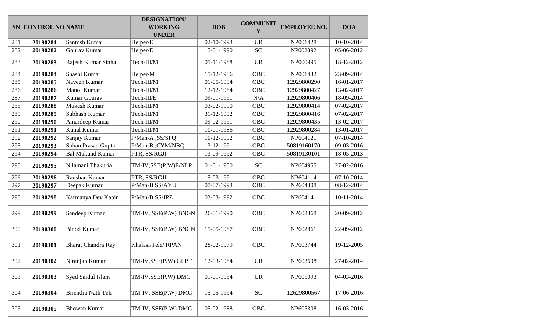|     | SN CONTROL NO NAME |                           | <b>DESIGNATION/</b><br><b>WORKING</b><br><b>UNDER</b> | <b>DOB</b> | <b>COMMUNIT</b><br>Y | <b>EMPLOYEE NO.</b> | <b>DOA</b> |
|-----|--------------------|---------------------------|-------------------------------------------------------|------------|----------------------|---------------------|------------|
| 281 | 20190281           | Santosh Kumar             | Helper/E                                              | 02-10-1993 | <b>UR</b>            | NP001428            | 10-10-2014 |
| 282 | 20190282           | Gourav Kumar              | Helper/E                                              | 15-01-1990 | <b>SC</b>            | NP002392            | 05-06-2012 |
| 283 | 20190283           | Rajesh Kumar Sinha        | Tech-III/M                                            | 05-11-1988 | <b>UR</b>            | NP000995            | 18-12-2012 |
| 284 | 20190284           | Shashi Kumar              | Helper/M                                              | 15-12-1986 | <b>OBC</b>           | NP001432            | 23-09-2014 |
| 285 | 20190285           | Naveen Kumar              | Tech-III/M                                            | 01-05-1994 | <b>OBC</b>           | 12929800290         | 16-01-2017 |
| 286 | 20190286           | Manoj Kumar               | Tech-III/M                                            | 12-12-1984 | <b>OBC</b>           | 12929800427         | 13-02-2017 |
| 287 | 20190287           | Kumar Gourav              | Tech-III/E                                            | 09-01-1991 | N/A                  | 12929800406         | 18-09-2014 |
| 288 | 20190288           | Mukesh Kumar              | Tech-III/M                                            | 03-02-1990 | <b>OBC</b>           | 12929800414         | 07-02-2017 |
| 289 | 20190289           | Subhash Kumar             | Tech-III/M                                            | 31-12-1992 | <b>OBC</b>           | 12929800416         | 07-02-2017 |
| 290 | 20190290           | Amardeep Kumar            | Tech-III/M                                            | 09-02-1991 | <b>OBC</b>           | 12929800435         | 13-02-2017 |
| 291 | 20190291           | Kunal Kumar               | Tech-III/M                                            | 10-01-1986 | OBC                  | 12929800284         | 13-01-2017 |
| 292 | 20190292           | Sanjay Kumar              | P/Man-A, SS/SPQ                                       | 10-12-1992 | OBC                  | NP604121            | 07-10-2014 |
| 293 | 20190293           | Sohan Prasad Gupta        | P/Man-B, CYM/NBQ                                      | 13-12-1991 | <b>OBC</b>           | 50819160170         | 09-03-2016 |
| 294 | 20190294           | <b>Bal Mukund Kumar</b>   | PTR, SS/RGJI                                          | 13-09-1992 | <b>OBC</b>           | 50819130101         | 18-05-2013 |
| 295 | 20190295           | Nilamani Thakuria         | TM-IV, SSE(P.W) E/NLP                                 | 01-01-1980 | <b>SC</b>            | NP604955            | 27-02-2016 |
| 296 | 20190296           | Raushan Kumar             | PTR, SS/RGJI                                          | 15-03-1991 | <b>OBC</b>           | NP604114            | 07-10-2014 |
| 297 | 20190297           | Deepak Kumar              | P/Man-B SS/AYU                                        | 07-07-1993 | OBC                  | NP604308            | 08-12-2014 |
| 298 | 20190298           | Karmanya Dev Kabir        | P/Man-B SS/JPZ                                        | 03-03-1992 | OBC                  | NP604141            | 10-11-2014 |
| 299 | 20190299           | Sandeep Kumar             | TM-IV, SSE(P.W) BNGN                                  | 26-01-1990 | OBC                  | NP602868            | 20-09-2012 |
| 300 | 20190300           | <b>Binod Kumar</b>        | TM-IV, SSE(P.W) BNGN                                  | 15-05-1987 | OBC                  | NP602861            | 22-09-2012 |
| 301 | 20190301           | <b>Bharat Chandra Ray</b> | Khalasi/Tele/RPAN                                     | 28-02-1979 | OBC                  | NP603744            | 19-12-2005 |
| 302 | 20190302           | Niranjan Kumar            | TM-IV, SSE(P.W) GLPT                                  | 12-03-1984 | <b>UR</b>            | NP603698            | 27-02-2014 |
| 303 | 20190303           | Syed Saidul Islam         | TM-IV, SSE(P.W) DMC                                   | 01-01-1984 | <b>UR</b>            | NP605093            | 04-03-2016 |
| 304 | 20190304           | Birendra Nath Teli        | TM-IV, SSE(P.W) DMC                                   | 15-05-1994 | <b>SC</b>            | 12629800567         | 17-06-2016 |
| 305 | 20190305           | <b>Bhowan Kumar</b>       | TM-IV, SSE(P.W) DMC                                   | 05-02-1988 | OBC                  | NP605308            | 16-03-2016 |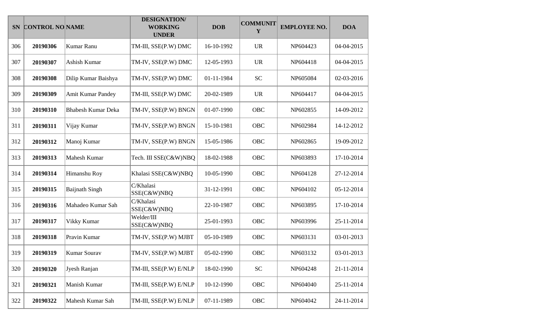|     | SN CONTROL NO NAME |                           | <b>DESIGNATION/</b><br><b>WORKING</b><br><b>UNDER</b> | <b>DOB</b> | <b>COMMUNIT</b><br>Y | <b>EMPLOYEE NO.</b> | <b>DOA</b> |
|-----|--------------------|---------------------------|-------------------------------------------------------|------------|----------------------|---------------------|------------|
| 306 | 20190306           | Kumar Ranu                | TM-III, SSE(P.W) DMC                                  | 16-10-1992 | <b>UR</b>            | NP604423            | 04-04-2015 |
| 307 | 20190307           | Ashish Kumar              | TM-IV, SSE(P.W) DMC                                   | 12-05-1993 | <b>UR</b>            | NP604418            | 04-04-2015 |
| 308 | 20190308           | Dilip Kumar Baishya       | TM-IV, SSE(P.W) DMC                                   | 01-11-1984 | <b>SC</b>            | NP605084            | 02-03-2016 |
| 309 | 20190309           | <b>Amit Kumar Pandey</b>  | TM-III, SSE(P.W) DMC                                  | 20-02-1989 | <b>UR</b>            | NP604417            | 04-04-2015 |
| 310 | 20190310           | <b>Bhabesh Kumar Deka</b> | TM-IV, SSE(P.W) BNGN                                  | 01-07-1990 | OBC                  | NP602855            | 14-09-2012 |
| 311 | 20190311           | Vijay Kumar               | TM-IV, SSE(P.W) BNGN                                  | 15-10-1981 | <b>OBC</b>           | NP602984            | 14-12-2012 |
| 312 | 20190312           | Manoj Kumar               | TM-IV, SSE(P.W) BNGN                                  | 15-05-1986 | <b>OBC</b>           | NP602865            | 19-09-2012 |
| 313 | 20190313           | Mahesh Kumar              | Tech. III SSE(C&W)NBQ                                 | 18-02-1988 | <b>OBC</b>           | NP603893            | 17-10-2014 |
| 314 | 20190314           | Himanshu Roy              | Khalasi SSE(C&W)NBQ                                   | 10-05-1990 | OBC                  | NP604128            | 27-12-2014 |
| 315 | 20190315           | <b>Baijnath Singh</b>     | C/Khalasi<br>SSE(C&W)NBQ                              | 31-12-1991 | <b>OBC</b>           | NP604102            | 05-12-2014 |
| 316 | 20190316           | Mahadeo Kumar Sah         | C/Khalasi<br>SSE(C&W)NBQ                              | 22-10-1987 | OBC                  | NP603895            | 17-10-2014 |
| 317 | 20190317           | Vikky Kumar               | Welder/III<br>SSE(C&W)NBQ                             | 25-01-1993 | <b>OBC</b>           | NP603996            | 25-11-2014 |
| 318 | 20190318           | Pravin Kumar              | TM-IV, SSE(P.W) MJBT                                  | 05-10-1989 | <b>OBC</b>           | NP603131            | 03-01-2013 |
| 319 | 20190319           | <b>Kumar Sourav</b>       | TM-IV, SSE(P.W) MJBT                                  | 05-02-1990 | <b>OBC</b>           | NP603132            | 03-01-2013 |
| 320 | 20190320           | Jyesh Ranjan              | TM-III, SSE(P.W) E/NLP                                | 18-02-1990 | <b>SC</b>            | NP604248            | 21-11-2014 |
| 321 | 20190321           | Manish Kumar              | TM-III, SSE(P.W) E/NLP                                | 10-12-1990 | OBC                  | NP604040            | 25-11-2014 |
| 322 | 20190322           | Mahesh Kumar Sah          | TM-III, SSE(P.W) E/NLP                                | 07-11-1989 | OBC                  | NP604042            | 24-11-2014 |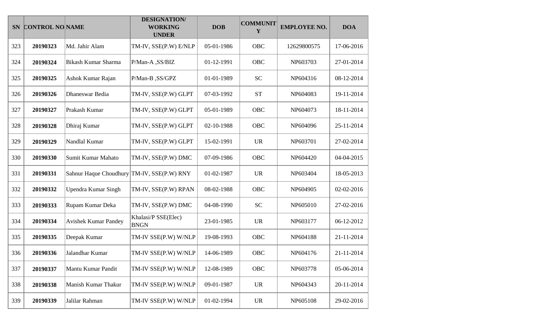|     | SN CONTROL NO NAME |                             | <b>DESIGNATION/</b><br><b>WORKING</b><br><b>UNDER</b> | <b>DOB</b> | <b>COMMUNIT</b><br>Y | <b>EMPLOYEE NO.</b> | <b>DOA</b> |
|-----|--------------------|-----------------------------|-------------------------------------------------------|------------|----------------------|---------------------|------------|
| 323 | 20190323           | Md. Jahir Alam              | TM-IV, SSE(P.W) E/NLP                                 | 05-01-1986 | <b>OBC</b>           | 12629800575         | 17-06-2016 |
| 324 | 20190324           | <b>Bikash Kumar Sharma</b>  | P/Man-A, SS/BIZ                                       | 01-12-1991 | OBC                  | NP603703            | 27-01-2014 |
| 325 | 20190325           | Ashok Kumar Rajan           | P/Man-B, SS/GPZ                                       | 01-01-1989 | <b>SC</b>            | NP604316            | 08-12-2014 |
| 326 | 20190326           | Dhaneswar Bedia             | TM-IV, SSE(P.W) GLPT                                  | 07-03-1992 | <b>ST</b>            | NP604083            | 19-11-2014 |
| 327 | 20190327           | Prakash Kumar               | TM-IV, SSE(P.W) GLPT                                  | 05-01-1989 | <b>OBC</b>           | NP604073            | 18-11-2014 |
| 328 | 20190328           | Dhiraj Kumar                | TM-IV, SSE(P.W) GLPT                                  | 02-10-1988 | OBC                  | NP604096            | 25-11-2014 |
| 329 | 20190329           | Nandlal Kumar               | TM-IV, SSE(P.W) GLPT                                  | 15-02-1991 | <b>UR</b>            | NP603701            | 27-02-2014 |
| 330 | 20190330           | Sumit Kumar Mahato          | TM-IV, SSE(P.W) DMC                                   | 07-09-1986 | OBC                  | NP604420            | 04-04-2015 |
| 331 | 20190331           | Sahnur Haque Choudhury      | TM-IV, SSE(P.W) RNY                                   | 01-02-1987 | <b>UR</b>            | NP603404            | 18-05-2013 |
| 332 | 20190332           | Upendra Kumar Singh         | TM-IV, SSE(P.W) RPAN                                  | 08-02-1988 | OBC                  | NP604905            | 02-02-2016 |
| 333 | 20190333           | Rupam Kumar Deka            | TM-IV, SSE(P.W) DMC                                   | 04-08-1990 | <b>SC</b>            | NP605010            | 27-02-2016 |
| 334 | 20190334           | <b>Avishek Kumar Pandey</b> | Khalasi/P SSE(Elec)<br><b>BNGN</b>                    | 23-01-1985 | <b>UR</b>            | NP603177            | 06-12-2012 |
| 335 | 20190335           | Deepak Kumar                | TM-IV SSE(P.W) W/NLP                                  | 19-08-1993 | OBC                  | NP604188            | 21-11-2014 |
| 336 | 20190336           | Jalandhar Kumar             | TM-IV SSE(P.W) W/NLP                                  | 14-06-1989 | <b>OBC</b>           | NP604176            | 21-11-2014 |
| 337 | 20190337           | Mantu Kumar Pandit          | TM-IV SSE(P.W) W/NLP                                  | 12-08-1989 | OBC                  | NP603778            | 05-06-2014 |
| 338 | 20190338           | Manish Kumar Thakur         | TM-IV SSE(P.W) W/NLP                                  | 09-01-1987 | <b>UR</b>            | NP604343            | 20-11-2014 |
| 339 | 20190339           | Jalilar Rahman              | TM-IV SSE(P.W) W/NLP                                  | 01-02-1994 | <b>UR</b>            | NP605108            | 29-02-2016 |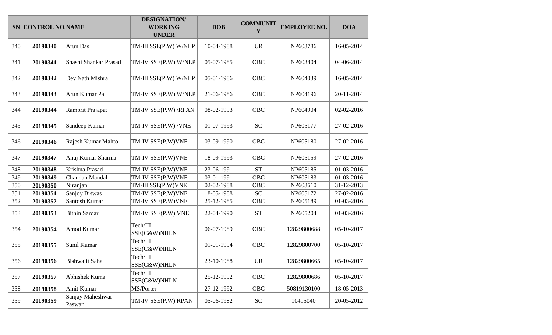|     | SN CONTROL NO NAME |                            | <b>DESIGNATION/</b><br><b>WORKING</b><br><b>UNDER</b> | <b>DOB</b> | <b>COMMUNIT</b><br>Y | <b>EMPLOYEE NO.</b> | <b>DOA</b> |
|-----|--------------------|----------------------------|-------------------------------------------------------|------------|----------------------|---------------------|------------|
| 340 | 20190340           | Arun Das                   | TM-III SSE(P.W) W/NLP                                 | 10-04-1988 | <b>UR</b>            | NP603786            | 16-05-2014 |
| 341 | 20190341           | Shashi Shankar Prasad      | TM-IV SSE(P.W) W/NLP                                  | 05-07-1985 | OBC                  | NP603804            | 04-06-2014 |
| 342 | 20190342           | Dev Nath Mishra            | TM-III SSE(P.W) W/NLP                                 | 05-01-1986 | OBC                  | NP604039            | 16-05-2014 |
| 343 | 20190343           | Arun Kumar Pal             | TM-IV SSE(P.W) W/NLP                                  | 21-06-1986 | OBC                  | NP604196            | 20-11-2014 |
| 344 | 20190344           | Ramprit Prajapat           | TM-IV SSE(P.W) /RPAN                                  | 08-02-1993 | OBC                  | NP604904            | 02-02-2016 |
| 345 | 20190345           | Sandeep Kumar              | TM-IV SSE(P.W) /VNE                                   | 01-07-1993 | <b>SC</b>            | NP605177            | 27-02-2016 |
| 346 | 20190346           | Rajesh Kumar Mahto         | TM-IV SSE(P.W)VNE                                     | 03-09-1990 | OBC                  | NP605180            | 27-02-2016 |
| 347 | 20190347           | Anuj Kumar Sharma          | TM-IV SSE(P.W)VNE                                     | 18-09-1993 | <b>OBC</b>           | NP605159            | 27-02-2016 |
| 348 | 20190348           | Krishna Prasad             | TM-IV SSE(P.W)VNE                                     | 23-06-1991 | <b>ST</b>            | NP605185            | 01-03-2016 |
| 349 | 20190349           | Chandan Mandal             | TM-IV SSE(P.W)VNE                                     | 03-01-1991 | <b>OBC</b>           | NP605183            | 01-03-2016 |
| 350 | 20190350           | Niranjan                   | TM-III SSE(P.W)VNE                                    | 02-02-1988 | <b>OBC</b>           | NP603610            | 31-12-2013 |
| 351 | 20190351           | <b>Sanjoy Biswas</b>       | TM-IV SSE(P.W)VNE                                     | 18-05-1988 | <b>SC</b>            | NP605172            | 27-02-2016 |
| 352 | 20190352           | Santosh Kumar              | TM-IV SSE(P.W)VNE                                     | 25-12-1985 | OBC                  | NP605189            | 01-03-2016 |
| 353 | 20190353           | <b>Bithin Sardar</b>       | TM-IV SSE(P.W) VNE                                    | 22-04-1990 | <b>ST</b>            | NP605204            | 01-03-2016 |
| 354 | 20190354           | Amod Kumar                 | Tech/III<br>SSE(C&W)NHLN                              | 06-07-1989 | OBC                  | 12829800688         | 05-10-2017 |
| 355 | 20190355           | Sunil Kumar                | Tech/III<br>SSE(C&W)NHLN                              | 01-01-1994 | OBC                  | 12829800700         | 05-10-2017 |
| 356 | 20190356           | Bishwajit Saha             | Tech/III<br>SSE(C&W)NHLN                              | 23-10-1988 | <b>UR</b>            | 12829800665         | 05-10-2017 |
| 357 | 20190357           | Abhishek Kuma              | Tech/III<br>SSE(C&W)NHLN                              | 25-12-1992 | OBC                  | 12829800686         | 05-10-2017 |
| 358 | 20190358           | Amit Kumar                 | MS/Porter                                             | 27-12-1992 | OBC                  | 50819130100         | 18-05-2013 |
| 359 | 20190359           | Sanjay Maheshwar<br>Paswan | TM-IV SSE(P.W) RPAN                                   | 05-06-1982 | ${\rm SC}$           | 10415040            | 20-05-2012 |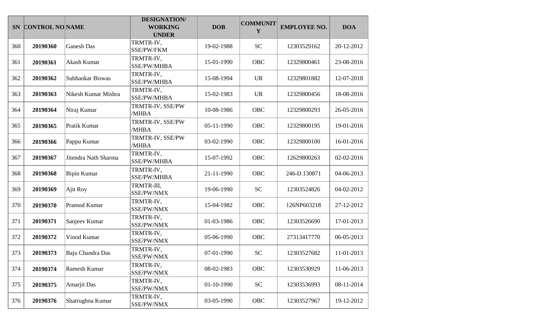|     | SN CONTROL NO NAME |                      | <b>DESIGNATION/</b><br><b>WORKING</b><br><b>UNDER</b> | <b>DOB</b> | <b>COMMUNIT</b><br>Y | <b>EMPLOYEE NO.</b> | <b>DOA</b> |
|-----|--------------------|----------------------|-------------------------------------------------------|------------|----------------------|---------------------|------------|
| 360 | 20190360           | <b>Ganesh Das</b>    | TRMTR-IV,<br>SSE/PW/FKM                               | 19-02-1988 | <b>SC</b>            | 12303529162         | 20-12-2012 |
| 361 | 20190361           | Akash Kumar          | TRMTR-IV,<br>SSE/PW/MHBA                              | 15-01-1990 | <b>OBC</b>           | 12329800461         | 23-08-2016 |
| 362 | 20190362           | Subhankar Biswas     | TRMTR-IV,<br><b>SSE/PW/MHBA</b>                       | 15-08-1994 | <b>UR</b>            | 12329801882         | 12-07-2018 |
| 363 | 20190363           | Nikesh Kumar Mishra  | TRMTR-IV,<br>SSE/PW/MHBA                              | 15-02-1983 | <b>UR</b>            | 12329800456         | 18-08-2016 |
| 364 | 20190364           | Niraj Kumar          | TRMTR-IV, SSE/PW<br>/MHBA                             | 10-08-1986 | OBC                  | 12329800293         | 26-05-2016 |
| 365 | 20190365           | Pratik Kumar         | TRMTR-IV, SSE/PW<br>/MHBA                             | 05-11-1990 | OBC                  | 12329800195         | 19-01-2016 |
| 366 | 20190366           | Pappu Kumar          | TRMTR-IV, SSE/PW<br>/MHBA                             | 03-02-1990 | <b>OBC</b>           | 12329800100         | 16-01-2016 |
| 367 | 20190367           | Jitendra Nath Sharma | TRMTR-IV,<br><b>SSE/PW/MHBA</b>                       | 15-07-1992 | OBC                  | 12629800263         | 02-02-2016 |
| 368 | 20190368           | <b>Bipin Kumar</b>   | TRMTR-IV,<br>SSE/PW/MHBA                              | 21-11-1990 | OBC                  | 246-IJ.130871       | 04-06-2013 |
| 369 | 20190369           | Ajit Roy             | TRMTR-III,<br>SSE/PW/NMX                              | 19-06-1990 | <b>SC</b>            | 12303524826         | 04-02-2012 |
| 370 | 20190370           | Pramod Kumar         | TRMTR-IV,<br>SSE/PW/NMX                               | 15-04-1982 | <b>OBC</b>           | 126NP603218         | 27-12-2012 |
| 371 | 20190371           | Sanjeev Kumar        | TRMTR-IV,<br>SSE/PW/NMX                               | 01-03-1986 | OBC                  | 12303526690         | 17-01-2013 |
| 372 | 20190372           | Vinod Kumar          | TRMTR-IV,<br>SSE/PW/NMX                               | 05-06-1990 | <b>OBC</b>           | 27313417770         | 06-05-2013 |
| 373 | 20190373           | Baju Chandra Das     | TRMTR-IV,<br>SSE/PW/NMX                               | 07-01-1990 | <b>SC</b>            | 12303527682         | 11-01-2013 |
| 374 | 20190374           | <b>Ramesh Kumar</b>  | TRMTR-IV,<br>SSE/PW/NMX                               | 08-02-1983 | OBC                  | 12303530929         | 11-06-2013 |
| 375 | 20190375           | Amarjit Das          | TRMTR-IV,<br>SSE/PW/NMX                               | 01-10-1990 | <b>SC</b>            | 12303536993         | 08-11-2014 |
| 376 | 20190376           | Shatrughna Kumar     | TRMTR-IV,<br>SSE/PW/NMX                               | 03-05-1990 | OBC                  | 12303527967         | 19-12-2012 |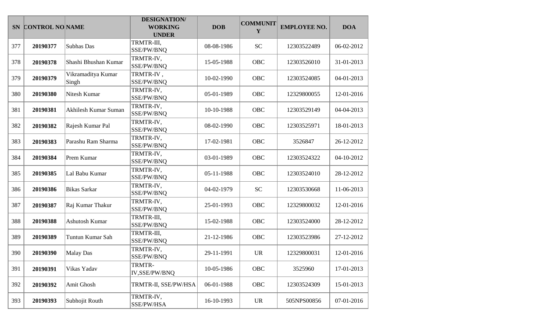|     | SN CONTROL NO NAME |                             | <b>DESIGNATION/</b><br><b>WORKING</b><br><b>UNDER</b> | <b>DOB</b> | <b>COMMUNIT</b><br>Y | <b>EMPLOYEE NO.</b> | <b>DOA</b> |
|-----|--------------------|-----------------------------|-------------------------------------------------------|------------|----------------------|---------------------|------------|
| 377 | 20190377           | Subhas Das                  | TRMTR-III,<br>SSE/PW/BNQ                              | 08-08-1986 | <b>SC</b>            | 12303522489         | 06-02-2012 |
| 378 | 20190378           | Shashi Bhushan Kumar        | TRMTR-IV,<br>SSE/PW/BNQ                               | 15-05-1988 | OBC                  | 12303526010         | 31-01-2013 |
| 379 | 20190379           | Vikramaditya Kumar<br>Singh | TRMTR-IV,<br>SSE/PW/BNQ                               | 10-02-1990 | OBC                  | 12303524085         | 04-01-2013 |
| 380 | 20190380           | Nitesh Kumar                | TRMTR-IV,<br>SSE/PW/BNQ                               | 05-01-1989 | <b>OBC</b>           | 12329800055         | 12-01-2016 |
| 381 | 20190381           | Akhilesh Kumar Suman        | TRMTR-IV,<br>SSE/PW/BNQ                               | 10-10-1988 | <b>OBC</b>           | 12303529149         | 04-04-2013 |
| 382 | 20190382           | Rajesh Kumar Pal            | TRMTR-IV,<br>SSE/PW/BNQ                               | 08-02-1990 | OBC                  | 12303525971         | 18-01-2013 |
| 383 | 20190383           | Parashu Ram Sharma          | TRMTR-IV,<br>SSE/PW/BNQ                               | 17-02-1981 | OBC                  | 3526847             | 26-12-2012 |
| 384 | 20190384           | Prem Kumar                  | TRMTR-IV,<br>SSE/PW/BNQ                               | 03-01-1989 | OBC                  | 12303524322         | 04-10-2012 |
| 385 | 20190385           | Lal Babu Kumar              | TRMTR-IV,<br>SSE/PW/BNQ                               | 05-11-1988 | OBC                  | 12303524010         | 28-12-2012 |
| 386 | 20190386           | <b>Bikas Sarkar</b>         | TRMTR-IV,<br>SSE/PW/BNQ                               | 04-02-1979 | <b>SC</b>            | 12303530668         | 11-06-2013 |
| 387 | 20190387           | Raj Kumar Thakur            | TRMTR-IV,<br>SSE/PW/BNQ                               | 25-01-1993 | <b>OBC</b>           | 12329800032         | 12-01-2016 |
| 388 | 20190388           | Ashutosh Kumar              | TRMTR-III,<br>SSE/PW/BNQ                              | 15-02-1988 | OBC                  | 12303524000         | 28-12-2012 |
| 389 | 20190389           | Tuntun Kumar Sah            | TRMTR-III,<br>SSE/PW/BNQ                              | 21-12-1986 | OBC                  | 12303523986         | 27-12-2012 |
| 390 | 20190390           | <b>Malay Das</b>            | TRMTR-IV,<br>SSE/PW/BNQ                               | 29-11-1991 | <b>UR</b>            | 12329800031         | 12-01-2016 |
| 391 | 20190391           | Vikas Yadav                 | TRMTR-<br>IV, SSE/PW/BNQ                              | 10-05-1986 | OBC                  | 3525960             | 17-01-2013 |
| 392 | 20190392           | Amit Ghosh                  | TRMTR-II, SSE/PW/HSA                                  | 06-01-1988 | OBC                  | 12303524309         | 15-01-2013 |
| 393 | 20190393           | Subhojit Routh              | TRMTR-IV,<br>SSE/PW/HSA                               | 16-10-1993 | <b>UR</b>            | 505NPS00856         | 07-01-2016 |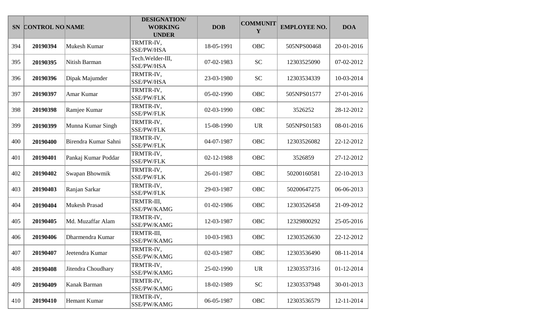|     | SN CONTROL NO NAME |                      | <b>DESIGNATION/</b><br><b>WORKING</b><br><b>UNDER</b> | <b>DOB</b> | <b>COMMUNIT</b><br>Y | <b>EMPLOYEE NO.</b> | <b>DOA</b> |
|-----|--------------------|----------------------|-------------------------------------------------------|------------|----------------------|---------------------|------------|
| 394 | 20190394           | Mukesh Kumar         | TRMTR-IV,<br>SSE/PW/HSA                               | 18-05-1991 | OBC                  | 505NPS00468         | 20-01-2016 |
| 395 | 20190395           | Nitish Barman        | Tech. Welder-III,<br>SSE/PW/HSA                       | 07-02-1983 | <b>SC</b>            | 12303525090         | 07-02-2012 |
| 396 | 20190396           | Dipak Majumder       | TRMTR-IV,<br>SSE/PW/HSA                               | 23-03-1980 | <b>SC</b>            | 12303534339         | 10-03-2014 |
| 397 | 20190397           | Amar Kumar           | TRMTR-IV,<br>SSE/PW/FLK                               | 05-02-1990 | OBC                  | 505NPS01577         | 27-01-2016 |
| 398 | 20190398           | Ramjee Kumar         | TRMTR-IV,<br>SSE/PW/FLK                               | 02-03-1990 | OBC                  | 3526252             | 28-12-2012 |
| 399 | 20190399           | Munna Kumar Singh    | TRMTR-IV,<br><b>SSE/PW/FLK</b>                        | 15-08-1990 | <b>UR</b>            | 505NPS01583         | 08-01-2016 |
| 400 | 20190400           | Birendra Kumar Sahni | TRMTR-IV,<br><b>SSE/PW/FLK</b>                        | 04-07-1987 | <b>OBC</b>           | 12303526082         | 22-12-2012 |
| 401 | 20190401           | Pankaj Kumar Poddar  | TRMTR-IV,<br><b>SSE/PW/FLK</b>                        | 02-12-1988 | OBC                  | 3526859             | 27-12-2012 |
| 402 | 20190402           | Swapan Bhowmik       | TRMTR-IV,<br>SSE/PW/FLK                               | 26-01-1987 | OBC                  | 50200160581         | 22-10-2013 |
| 403 | 20190403           | Ranjan Sarkar        | TRMTR-IV,<br><b>SSE/PW/FLK</b>                        | 29-03-1987 | <b>OBC</b>           | 50200647275         | 06-06-2013 |
| 404 | 20190404           | <b>Mukesh Prasad</b> | TRMTR-III,<br>SSE/PW/KAMG                             | 01-02-1986 | <b>OBC</b>           | 12303526458         | 21-09-2012 |
| 405 | 20190405           | Md. Muzaffar Alam    | TRMTR-IV,<br>SSE/PW/KAMG                              | 12-03-1987 | OBC                  | 12329800292         | 25-05-2016 |
| 406 | 20190406           | Dharmendra Kumar     | TRMTR-III,<br>SSE/PW/KAMG                             | 10-03-1983 | <b>OBC</b>           | 12303526630         | 22-12-2012 |
| 407 | 20190407           | Jeetendra Kumar      | TRMTR-IV,<br>SSE/PW/KAMG                              | 02-03-1987 | <b>OBC</b>           | 12303536490         | 08-11-2014 |
| 408 | 20190408           | Jitendra Choudhary   | TRMTR-IV,<br>SSE/PW/KAMG                              | 25-02-1990 | <b>UR</b>            | 12303537316         | 01-12-2014 |
| 409 | 20190409           | Kanak Barman         | TRMTR-IV,<br>SSE/PW/KAMG                              | 18-02-1989 | <b>SC</b>            | 12303537948         | 30-01-2013 |
| 410 | 20190410           | Hemant Kumar         | TRMTR-IV,<br>SSE/PW/KAMG                              | 06-05-1987 | OBC                  | 12303536579         | 12-11-2014 |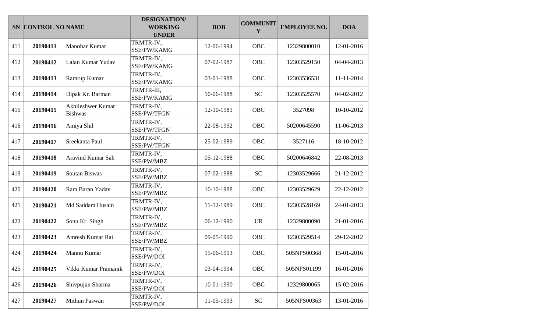|     | SN CONTROL NO NAME |                                     | <b>DESIGNATION/</b><br><b>WORKING</b><br><b>UNDER</b> | <b>DOB</b> | <b>COMMUNIT</b><br>Y | <b>EMPLOYEE NO.</b> | <b>DOA</b> |
|-----|--------------------|-------------------------------------|-------------------------------------------------------|------------|----------------------|---------------------|------------|
| 411 | 20190411           | Manohar Kumar                       | TRMTR-IV,<br>SSE/PW/KAMG                              | 12-06-1994 | OBC                  | 12329800010         | 12-01-2016 |
| 412 | 20190412           | Lalan Kumar Yadav                   | TRMTR-IV,<br>SSE/PW/KAMG                              | 07-02-1987 | <b>OBC</b>           | 12303529150         | 04-04-2013 |
| 413 | 20190413           | Ramrup Kumar                        | TRMTR-IV,<br>SSE/PW/KAMG                              | 03-01-1988 | OBC                  | 12303536531         | 11-11-2014 |
| 414 | 20190414           | Dipak Kr. Barman                    | TRMTR-III,<br>SSE/PW/KAMG                             | 10-06-1988 | <b>SC</b>            | 12303525570         | 04-02-2012 |
| 415 | 20190415           | Akhileshwer Kumar<br><b>Bishwas</b> | TRMTR-IV,<br>SSE/PW/TFGN                              | 12-10-1981 | OBC                  | 3527098             | 10-10-2012 |
| 416 | 20190416           | Amiya Shil                          | TRMTR-IV,<br>SSE/PW/TFGN                              | 22-08-1992 | OBC                  | 50200645590         | 11-06-2013 |
| 417 | 20190417           | Sreekanta Paul                      | TRMTR-IV,<br>SSE/PW/TFGN                              | 25-02-1989 | OBC                  | 3527116             | 18-10-2012 |
| 418 | 20190418           | Aravind Kumar Sah                   | TRMTR-IV,<br>SSE/PW/MBZ                               | 05-12-1988 | <b>OBC</b>           | 50200646842         | 22-08-2013 |
| 419 | 20190419           | Soutan Biswas                       | TRMTR-IV,<br>SSE/PW/MBZ                               | 07-02-1988 | <b>SC</b>            | 12303529666         | 21-12-2012 |
| 420 | 20190420           | Ram Baran Yadav                     | TRMTR-IV,<br>SSE/PW/MBZ                               | 10-10-1988 | <b>OBC</b>           | 12303529629         | 22-12-2012 |
| 421 | 20190421           | Md Saddam Husain                    | TRMTR-IV,<br>SSE/PW/MBZ                               | 11-12-1989 | <b>OBC</b>           | 12303528169         | 24-01-2013 |
| 422 | 20190422           | Sonu Kr. Singh                      | TRMTR-IV,<br>SSE/PW/MBZ                               | 06-12-1990 | <b>UR</b>            | 12329800090         | 21-01-2016 |
| 423 | 20190423           | Amresh Kumar Rai                    | TRMTR-IV,<br>SSE/PW/MBZ                               | 09-05-1990 | <b>OBC</b>           | 12303529514         | 29-12-2012 |
| 424 | 20190424           | Mannu Kumar                         | TRMTR-IV,<br>SSE/PW/DOI                               | 15-06-1993 | <b>OBC</b>           | 505NPS00368         | 15-01-2016 |
| 425 | 20190425           | Vikki Kumar Pramanik                | TRMTR-IV,<br>SSE/PW/DOI                               | 03-04-1994 | OBC                  | 505NPS01199         | 16-01-2016 |
| 426 | 20190426           | Shivpujan Sharma                    | TRMTR-IV,<br>SSE/PW/DOI                               | 10-01-1990 | OBC                  | 12329800065         | 15-02-2016 |
| 427 | 20190427           | Mithun Paswan                       | TRMTR-IV,<br>SSE/PW/DOI                               | 11-05-1993 | ${\rm SC}$           | 505NPS00363         | 13-01-2016 |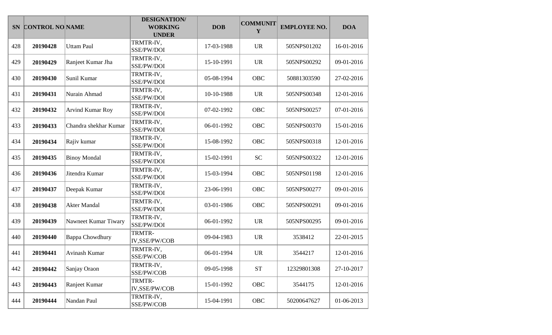|     | SN CONTROL NO NAME |                         | <b>DESIGNATION/</b><br><b>WORKING</b><br><b>UNDER</b> | <b>DOB</b> | <b>COMMUNIT</b><br>Y | <b>EMPLOYEE NO.</b> | <b>DOA</b> |
|-----|--------------------|-------------------------|-------------------------------------------------------|------------|----------------------|---------------------|------------|
| 428 | 20190428           | <b>Uttam Paul</b>       | TRMTR-IV,<br>SSE/PW/DOI                               | 17-03-1988 | <b>UR</b>            | 505NPS01202         | 16-01-2016 |
| 429 | 20190429           | Ranjeet Kumar Jha       | TRMTR-IV,<br>SSE/PW/DOI                               | 15-10-1991 | <b>UR</b>            | 505NPS00292         | 09-01-2016 |
| 430 | 20190430           | Sunil Kumar             | TRMTR-IV,<br>SSE/PW/DOI                               | 05-08-1994 | OBC                  | 50881303590         | 27-02-2016 |
| 431 | 20190431           | Nurain Ahmad            | TRMTR-IV,<br>SSE/PW/DOI                               | 10-10-1988 | <b>UR</b>            | 505NPS00348         | 12-01-2016 |
| 432 | 20190432           | <b>Arvind Kumar Roy</b> | TRMTR-IV,<br>SSE/PW/DOI                               | 07-02-1992 | <b>OBC</b>           | 505NPS00257         | 07-01-2016 |
| 433 | 20190433           | Chandra shekhar Kumar   | TRMTR-IV,<br>SSE/PW/DOI                               | 06-01-1992 | OBC                  | 505NPS00370         | 15-01-2016 |
| 434 | 20190434           | Rajiv kumar             | TRMTR-IV,<br>SSE/PW/DOI                               | 15-08-1992 | OBC                  | 505NPS00318         | 12-01-2016 |
| 435 | 20190435           | <b>Binoy Mondal</b>     | TRMTR-IV,<br>SSE/PW/DOI                               | 15-02-1991 | <b>SC</b>            | 505NPS00322         | 12-01-2016 |
| 436 | 20190436           | Jitendra Kumar          | TRMTR-IV,<br>SSE/PW/DOI                               | 15-03-1994 | <b>OBC</b>           | 505NPS01198         | 12-01-2016 |
| 437 | 20190437           | Deepak Kumar            | TRMTR-IV,<br>SSE/PW/DOI                               | 23-06-1991 | <b>OBC</b>           | 505NPS00277         | 09-01-2016 |
| 438 | 20190438           | <b>Akter Mandal</b>     | TRMTR-IV,<br>SSE/PW/DOI                               | 03-01-1986 | <b>OBC</b>           | 505NPS00291         | 09-01-2016 |
| 439 | 20190439           | Nawneet Kumar Tiwary    | TRMTR-IV,<br>SSE/PW/DOI                               | 06-01-1992 | <b>UR</b>            | 505NPS00295         | 09-01-2016 |
| 440 | 20190440           | <b>Bappa Chowdhury</b>  | TRMTR-<br>IV,SSE/PW/COB                               | 09-04-1983 | <b>UR</b>            | 3538412             | 22-01-2015 |
| 441 | 20190441           | Avinash Kumar           | TRMTR-IV,<br>SSE/PW/COB                               | 06-01-1994 | <b>UR</b>            | 3544217             | 12-01-2016 |
| 442 | 20190442           | Sanjay Oraon            | TRMTR-IV,<br>SSE/PW/COB                               | 09-05-1998 | $\operatorname{ST}$  | 12329801308         | 27-10-2017 |
| 443 | 20190443           | Ranjeet Kumar           | TRMTR-<br>IV,SSE/PW/COB                               | 15-01-1992 | OBC                  | 3544175             | 12-01-2016 |
| 444 | 20190444           | Nandan Paul             | TRMTR-IV,<br>SSE/PW/COB                               | 15-04-1991 | OBC                  | 50200647627         | 01-06-2013 |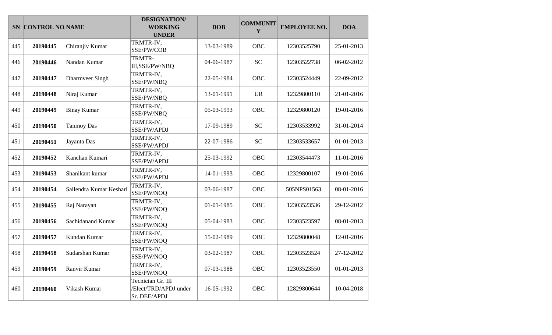|     | SN CONTROL NO NAME |                         | <b>DESIGNATION/</b><br><b>WORKING</b><br><b>UNDER</b>      | <b>DOB</b> | <b>COMMUNIT</b><br>Y | <b>EMPLOYEE NO.</b> | <b>DOA</b> |
|-----|--------------------|-------------------------|------------------------------------------------------------|------------|----------------------|---------------------|------------|
| 445 | 20190445           | Chiranjiv Kumar         | TRMTR-IV,<br>SSE/PW/COB                                    | 13-03-1989 | OBC                  | 12303525790         | 25-01-2013 |
| 446 | 20190446           | Nandan Kumar            | TRMTR-<br>III,SSE/PW/NBQ                                   | 04-06-1987 | <b>SC</b>            | 12303522738         | 06-02-2012 |
| 447 | 20190447           | Dharmveer Singh         | TRMTR-IV,<br>SSE/PW/NBQ                                    | 22-05-1984 | OBC                  | 12303524449         | 22-09-2012 |
| 448 | 20190448           | Niraj Kumar             | TRMTR-IV,<br>SSE/PW/NBQ                                    | 13-01-1991 | <b>UR</b>            | 12329800110         | 21-01-2016 |
| 449 | 20190449           | <b>Binay Kumar</b>      | TRMTR-IV,<br>SSE/PW/NBQ                                    | 05-03-1993 | <b>OBC</b>           | 12329800120         | 19-01-2016 |
| 450 | 20190450           | <b>Tanmoy Das</b>       | TRMTR-IV,<br>SSE/PW/APDJ                                   | 17-09-1989 | <b>SC</b>            | 12303533992         | 31-01-2014 |
| 451 | 20190451           | Jayanta Das             | TRMTR-IV,<br>SSE/PW/APDJ                                   | 22-07-1986 | <b>SC</b>            | 12303533657         | 01-01-2013 |
| 452 | 20190452           | Kanchan Kumari          | TRMTR-IV,<br>SSE/PW/APDJ                                   | 25-03-1992 | <b>OBC</b>           | 12303544473         | 11-01-2016 |
| 453 | 20190453           | Shanikant kumar         | TRMTR-IV,<br>SSE/PW/APDJ                                   | 14-01-1993 | <b>OBC</b>           | 12329800107         | 19-01-2016 |
| 454 | 20190454           | Sailendra Kumar Keshari | TRMTR-IV,<br>SSE/PW/NOQ                                    | 03-06-1987 | OBC                  | 505NPS01563         | 08-01-2016 |
| 455 | 20190455           | Raj Narayan             | TRMTR-IV,<br>SSE/PW/NOQ                                    | 01-01-1985 | <b>OBC</b>           | 12303523536         | 29-12-2012 |
| 456 | 20190456           | Sachidanand Kumar       | TRMTR-IV,<br>SSE/PW/NOQ                                    | 05-04-1983 | OBC                  | 12303523597         | 08-01-2013 |
| 457 | 20190457           | Kundan Kumar            | TRMTR-IV,<br>SSE/PW/NOQ                                    | 15-02-1989 | OBC                  | 12329800048         | 12-01-2016 |
| 458 | 20190458           | Sudarshan Kumar         | TRMTR-IV,<br>SSE/PW/NOQ                                    | 03-02-1987 | OBC                  | 12303523524         | 27-12-2012 |
| 459 | 20190459           | Ranvir Kumar            | TRMTR-IV,<br>SSE/PW/NOQ                                    | 07-03-1988 | <b>OBC</b>           | 12303523550         | 01-01-2013 |
| 460 | 20190460           | Vikash Kumar            | Tecnician Gr. III<br>/Elect/TRD/APDJ under<br>Sr. DEE/APDJ | 16-05-1992 | OBC                  | 12829800644         | 10-04-2018 |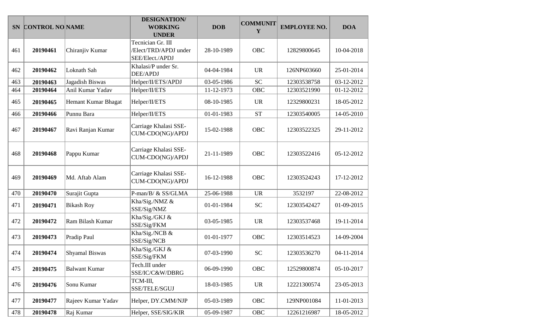| <b>SN</b> | <b>CONTROL NO NAME</b> |                       | <b>DESIGNATION/</b><br><b>WORKING</b><br><b>UNDER</b>         | <b>DOB</b> | <b>COMMUNIT</b><br>Y | <b>EMPLOYEE NO.</b> | <b>DOA</b> |
|-----------|------------------------|-----------------------|---------------------------------------------------------------|------------|----------------------|---------------------|------------|
| 461       | 20190461               | Chiranjiv Kumar       | Tecnician Gr. III<br>/Elect/TRD/APDJ under<br>SEE/Elect./APDJ | 28-10-1989 | <b>OBC</b>           | 12829800645         | 10-04-2018 |
| 462       | 20190462               | Loknath Sah           | Khalasi/P under Sr.<br><b>DEE/APDJ</b>                        | 04-04-1984 | <b>UR</b>            | 126NP603660         | 25-01-2014 |
| 463       | 20190463               | Jagadish Biswas       | Helper/II/ETS/APDJ                                            | 03-05-1986 | <b>SC</b>            | 12303538758         | 03-12-2012 |
| 464       | 20190464               | Anil Kumar Yadav      | Helper/II/ETS                                                 | 11-12-1973 | <b>OBC</b>           | 12303521990         | 01-12-2012 |
| 465       | 20190465               | Hemant Kumar Bhagat   | Helper/II/ETS                                                 | 08-10-1985 | <b>UR</b>            | 12329800231         | 18-05-2012 |
| 466       | 20190466               | Punnu Bara            | Helper/II/ETS                                                 | 01-01-1983 | <b>ST</b>            | 12303540005         | 14-05-2010 |
| 467       | 20190467               | Ravi Ranjan Kumar     | Carriage Khalasi SSE-<br>CUM-CDO(NG)/APDJ                     | 15-02-1988 | <b>OBC</b>           | 12303522325         | 29-11-2012 |
| 468       | 20190468               | Pappu Kumar           | Carriage Khalasi SSE-<br>CUM-CDO(NG)/APDJ                     | 21-11-1989 | <b>OBC</b>           | 12303522416         | 05-12-2012 |
| 469       | 20190469               | Md. Aftab Alam        | Carriage Khalasi SSE-<br>CUM-CDO(NG)/APDJ                     | 16-12-1988 | <b>OBC</b>           | 12303524243         | 17-12-2012 |
| 470       | 20190470               | Surajit Gupta         | P-man/B/ & SS/GLMA                                            | 25-06-1988 | <b>UR</b>            | 3532197             | 22-08-2012 |
| 471       | 20190471               | <b>Bikash Roy</b>     | Kha/Sig./NMZ &<br>SSE/Sig/NMZ                                 | 01-01-1984 | <b>SC</b>            | 12303542427         | 01-09-2015 |
| 472       | 20190472               | Ram Bilash Kumar      | Kha/Sig./GKJ &<br>SSE/Sig/FKM                                 | 03-05-1985 | <b>UR</b>            | 12303537468         | 19-11-2014 |
| 473       | 20190473               | Pradip Paul           | Kha/Sig./NCB &<br>SSE/Sig/NCB                                 | 01-01-1977 | OBC                  | 12303514523         | 14-09-2004 |
| 474       | 20190474               | <b>Shyamal Biswas</b> | Kha/Sig./GKJ &<br>SSE/Sig/FKM                                 | 07-03-1990 | <b>SC</b>            | 12303536270         | 04-11-2014 |
| 475       | 20190475               | <b>Balwant Kumar</b>  | Tech.III under<br>SSE/IC/C&W/DBRG                             | 06-09-1990 | OBC                  | 12529800874         | 05-10-2017 |
| 476       | 20190476               | Sonu Kumar            | TCM-III,<br>SSE/TELE/SGUJ                                     | 18-03-1985 | <b>UR</b>            | 12221300574         | 23-05-2013 |
| 477       | 20190477               | Rajeev Kumar Yadav    | Helper, DY.CMM/NJP                                            | 05-03-1989 | OBC                  | 129NP001084         | 11-01-2013 |
| 478       | 20190478               | Raj Kumar             | Helper, SSE/SIG/KIR                                           | 05-09-1987 | OBC                  | 12261216987         | 18-05-2012 |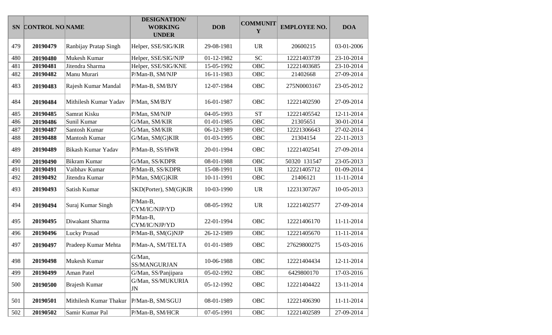|     | SN CONTROL NO NAME |                        | <b>DESIGNATION/</b><br><b>WORKING</b><br><b>UNDER</b> | <b>DOB</b> | <b>COMMUNIT</b><br>Y | <b>EMPLOYEE NO.</b> | <b>DOA</b> |
|-----|--------------------|------------------------|-------------------------------------------------------|------------|----------------------|---------------------|------------|
| 479 | 20190479           | Ranbijay Pratap Singh  | Helper, SSE/SIG/KIR                                   | 29-08-1981 | <b>UR</b>            | 20600215            | 03-01-2006 |
| 480 | 20190480           | Mukesh Kumar           | Helper, SSE/SIG/NJP                                   | 01-12-1982 | <b>SC</b>            | 12221403739         | 23-10-2014 |
| 481 | 20190481           | Jitendra Sharma        | Helper, SSE/SIG/KNE                                   | 15-05-1992 | <b>OBC</b>           | 12221403685         | 23-10-2014 |
| 482 | 20190482           | Manu Murari            | P/Man-B, SM/NJP                                       | 16-11-1983 | OBC                  | 21402668            | 27-09-2014 |
| 483 | 20190483           | Rajesh Kumar Mandal    | P/Man-B, SM/BJY                                       | 12-07-1984 | OBC                  | 275N0003167         | 23-05-2012 |
| 484 | 20190484           | Mithilesh Kumar Yadav  | P/Man, SM/BJY                                         | 16-01-1987 | OBC                  | 12221402590         | 27-09-2014 |
| 485 | 20190485           | Samrat Kisku           | P/Man, SM/NJP                                         | 04-05-1993 | <b>ST</b>            | 12221405542         | 12-11-2014 |
| 486 | 20190486           | Sunil Kumar            | G/Man, SM/KIR                                         | 01-01-1985 | <b>OBC</b>           | 21305651            | 30-01-2014 |
| 487 | 20190487           | Santosh Kumar          | G/Man, SM/KIR                                         | 06-12-1989 | OBC                  | 12221306643         | 27-02-2014 |
| 488 | 20190488           | Mantosh Kumar          | G/Man, SM(G)KIR                                       | 01-03-1995 | OBC                  | 21304154            | 22-11-2013 |
| 489 | 20190489           | Bikash Kumar Yadav     | P/Man-B, SS/HWR                                       | 20-01-1994 | OBC                  | 12221402541         | 27-09-2014 |
| 490 | 20190490           | <b>Bikram Kumar</b>    | G/Man, SS/KDPR                                        | 08-01-1988 | <b>OBC</b>           | 50320 131547        | 23-05-2013 |
| 491 | 20190491           | Vaibhav Kumar          | P/Man-B, SS/KDPR                                      | 15-08-1991 | <b>UR</b>            | 12221405712         | 01-09-2014 |
| 492 | 20190492           | Jitendra Kumar         | P/Man, SM(G)KIR                                       | 10-11-1991 | OBC                  | 21406121            | 11-11-2014 |
| 493 | 20190493           | Satish Kumar           | SKD(Porter), SM(G)KIR                                 | 10-03-1990 | <b>UR</b>            | 12231307267         | 10-05-2013 |
| 494 | 20190494           | Suraj Kumar Singh      | P/Man-B,<br>CYM/IC/NJP/YD                             | 08-05-1992 | <b>UR</b>            | 12221402577         | 27-09-2014 |
| 495 | 20190495           | Diwakant Sharma        | $P/Man-B$ ,<br>CYM/IC/NJP/YD                          | 22-01-1994 | <b>OBC</b>           | 12221406170         | 11-11-2014 |
| 496 | 20190496           | <b>Lucky Prasad</b>    | P/Man-B, SM(G)NJP                                     | 26-12-1989 | OBC                  | 12221405670         | 11-11-2014 |
| 497 | 20190497           | Pradeep Kumar Mehta    | P/Man-A, SM/TELTA                                     | 01-01-1989 | OBC                  | 27629800275         | 15-03-2016 |
| 498 | 20190498           | Mukesh Kumar           | G/Man,<br>SS/MANGURJAN                                | 10-06-1988 | OBC                  | 12221404434         | 12-11-2014 |
| 499 | 20190499           | Aman Patel             | G/Man, SS/Panjipara                                   | 05-02-1992 | <b>OBC</b>           | 6429800170          | 17-03-2016 |
| 500 | 20190500           | <b>Brajesh Kumar</b>   | G/Man, SS/MUKURIA<br>JN                               | 05-12-1992 | <b>OBC</b>           | 12221404422         | 13-11-2014 |
| 501 | 20190501           | Mithilesh Kumar Thakur | P/Man-B, SM/SGUJ                                      | 08-01-1989 | <b>OBC</b>           | 12221406390         | 11-11-2014 |
| 502 | 20190502           | Samir Kumar Pal        | P/Man-B, SM/HCR                                       | 07-05-1991 | <b>OBC</b>           | 12221402589         | 27-09-2014 |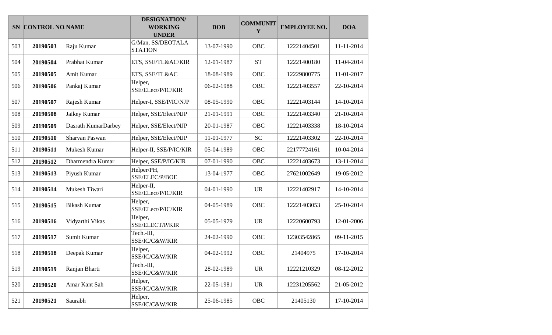| <b>SN</b> | <b>CONTROL NO NAME</b> |                     | <b>DESIGNATION/</b><br><b>WORKING</b><br><b>UNDER</b> | <b>DOB</b> | <b>COMMUNIT</b><br>Y | <b>EMPLOYEE NO.</b> | <b>DOA</b> |
|-----------|------------------------|---------------------|-------------------------------------------------------|------------|----------------------|---------------------|------------|
| 503       | 20190503               | Raju Kumar          | G/Man, SS/DEOTALA<br><b>STATION</b>                   | 13-07-1990 | <b>OBC</b>           | 12221404501         | 11-11-2014 |
| 504       | 20190504               | Prabhat Kumar       | ETS, SSE/TL&AC/KIR                                    | 12-01-1987 | <b>ST</b>            | 12221400180         | 11-04-2014 |
| 505       | 20190505               | Amit Kumar          | ETS, SSE/TL&AC                                        | 18-08-1989 | <b>OBC</b>           | 12229800775         | 11-01-2017 |
| 506       | 20190506               | Pankaj Kumar        | Helper,<br>SSE/ELect/P/IC/KIR                         | 06-02-1988 | <b>OBC</b>           | 12221403557         | 22-10-2014 |
| 507       | 20190507               | Rajesh Kumar        | Helper-I, SSE/P/IC/NJP                                | 08-05-1990 | <b>OBC</b>           | 12221403144         | 14-10-2014 |
| 508       | 20190508               | Jaikey Kumar        | Helper, SSE/Elect/NJP                                 | 21-01-1991 | <b>OBC</b>           | 12221403340         | 21-10-2014 |
| 509       | 20190509               | Dasrath KumarDarbey | Helper, SSE/Elect/NJP                                 | 20-01-1987 | <b>OBC</b>           | 12221403338         | 18-10-2014 |
| 510       | 20190510               | Sharvan Paswan      | Helper, SSE/Elect/NJP                                 | 11-01-1977 | <b>SC</b>            | 12221403302         | 22-10-2014 |
| 511       | 20190511               | Mukesh Kumar        | Helper-II, SSE/P/IC/KIR                               | 05-04-1989 | <b>OBC</b>           | 22177724161         | 10-04-2014 |
| 512       | 20190512               | Dharmendra Kumar    | Helper, SSE/P/IC/KIR                                  | 07-01-1990 | <b>OBC</b>           | 12221403673         | 13-11-2014 |
| 513       | 20190513               | Piyush Kumar        | Helper/PH,<br>SSE/ELEC/P/BOE                          | 13-04-1977 | <b>OBC</b>           | 27621002649         | 19-05-2012 |
| 514       | 20190514               | Mukesh Tiwari       | Helper-II,<br>SSE/ELect/P/IC/KIR                      | 04-01-1990 | <b>UR</b>            | 12221402917         | 14-10-2014 |
| 515       | 20190515               | <b>Bikash Kumar</b> | Helper,<br>SSE/ELect/P/IC/KIR                         | 04-05-1989 | <b>OBC</b>           | 12221403053         | 25-10-2014 |
| 516       | 20190516               | Vidyarthi Vikas     | Helper,<br>SSE/ELECT/P/KIR                            | 05-05-1979 | <b>UR</b>            | 12220600793         | 12-01-2006 |
| 517       | 20190517               | Sumit Kumar         | Tech.-III,<br>SSE/IC/C&W/KIR                          | 24-02-1990 | <b>OBC</b>           | 12303542865         | 09-11-2015 |
| 518       | 20190518               | Deepak Kumar        | Helper,<br>SSE/IC/C&W/KIR                             | 04-02-1992 | <b>OBC</b>           | 21404975            | 17-10-2014 |
| 519       | 20190519               | Ranjan Bharti       | Tech.-III,<br>SSE/IC/C&W/KIR                          | 28-02-1989 | <b>UR</b>            | 12221210329         | 08-12-2012 |
| 520       | 20190520               | Amar Kant Sah       | Helper,<br>SSE/IC/C&W/KIR                             | 22-05-1981 | <b>UR</b>            | 12231205562         | 21-05-2012 |
| 521       | 20190521               | Saurabh             | Helper,<br>SSE/IC/C&W/KIR                             | 25-06-1985 | OBC                  | 21405130            | 17-10-2014 |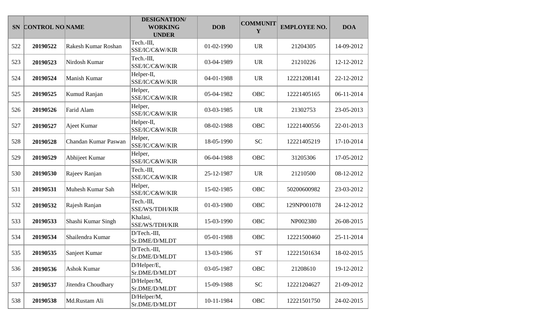|     | SN CONTROL NO NAME |                      | <b>DESIGNATION/</b><br><b>WORKING</b><br><b>UNDER</b> | <b>DOB</b> | <b>COMMUNIT</b><br>Y | <b>EMPLOYEE NO.</b> | <b>DOA</b> |
|-----|--------------------|----------------------|-------------------------------------------------------|------------|----------------------|---------------------|------------|
| 522 | 20190522           | Rakesh Kumar Roshan  | Tech.-III,<br>SSE/IC/C&W/KIR                          | 01-02-1990 | <b>UR</b>            | 21204305            | 14-09-2012 |
| 523 | 20190523           | Nirdosh Kumar        | Tech.-III,<br>SSE/IC/C&W/KIR                          | 03-04-1989 | <b>UR</b>            | 21210226            | 12-12-2012 |
| 524 | 20190524           | Manish Kumar         | Helper-II,<br>SSE/IC/C&W/KIR                          | 04-01-1988 | <b>UR</b>            | 12221208141         | 22-12-2012 |
| 525 | 20190525           | Kumud Ranjan         | Helper,<br>SSE/IC/C&W/KIR                             | 05-04-1982 | <b>OBC</b>           | 12221405165         | 06-11-2014 |
| 526 | 20190526           | Farid Alam           | Helper,<br>SSE/IC/C&W/KIR                             | 03-03-1985 | <b>UR</b>            | 21302753            | 23-05-2013 |
| 527 | 20190527           | Ajeet Kumar          | Helper-II,<br>SSE/IC/C&W/KIR                          | 08-02-1988 | OBC                  | 12221400556         | 22-01-2013 |
| 528 | 20190528           | Chandan Kumar Paswan | Helper,<br>SSE/IC/C&W/KIR                             | 18-05-1990 | <b>SC</b>            | 12221405219         | 17-10-2014 |
| 529 | 20190529           | Abhijeet Kumar       | Helper,<br>SSE/IC/C&W/KIR                             | 06-04-1988 | <b>OBC</b>           | 31205306            | 17-05-2012 |
| 530 | 20190530           | Rajeev Ranjan        | Tech.-III,<br>SSE/IC/C&W/KIR                          | 25-12-1987 | <b>UR</b>            | 21210500            | 08-12-2012 |
| 531 | 20190531           | Muhesh Kumar Sah     | Helper,<br>SSE/IC/C&W/KIR                             | 15-02-1985 | <b>OBC</b>           | 50200600982         | 23-03-2012 |
| 532 | 20190532           | Rajesh Ranjan        | Tech.-III,<br>SSE/WS/TDH/KIR                          | 01-03-1980 | <b>OBC</b>           | 129NP001078         | 24-12-2012 |
| 533 | 20190533           | Shashi Kumar Singh   | Khalasi,<br>SSE/WS/TDH/KIR                            | 15-03-1990 | OBC                  | NP002380            | 26-08-2015 |
| 534 | 20190534           | Shailendra Kumar     | D/Tech.-III,<br>Sr.DME/D/MLDT                         | 05-01-1988 | <b>OBC</b>           | 12221500460         | 25-11-2014 |
| 535 | 20190535           | Sanjeet Kumar        | D/Tech.-III,<br>Sr.DME/D/MLDT                         | 13-03-1986 | <b>ST</b>            | 12221501634         | 18-02-2015 |
| 536 | 20190536           | Ashok Kumar          | D/Helper/E,<br>Sr.DME/D/MLDT                          | 03-05-1987 | <b>OBC</b>           | 21208610            | 19-12-2012 |
| 537 | 20190537           | Jitendra Choudhary   | D/Helper/M,<br>Sr.DME/D/MLDT                          | 15-09-1988 | <b>SC</b>            | 12221204627         | 21-09-2012 |
| 538 | 20190538           | Md.Rustam Ali        | D/Helper/M,<br>Sr.DME/D/MLDT                          | 10-11-1984 | OBC                  | 12221501750         | 24-02-2015 |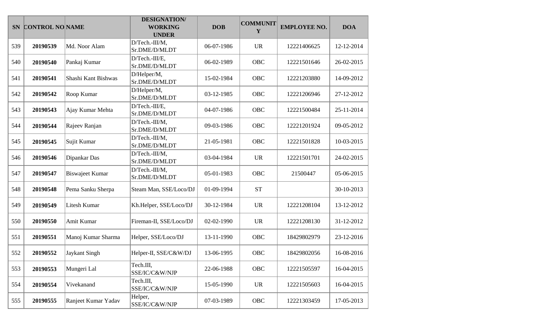|     | SN CONTROL NO NAME |                        | <b>DESIGNATION/</b><br><b>WORKING</b><br><b>UNDER</b> | <b>DOB</b> | <b>COMMUNIT</b><br>Y | <b>EMPLOYEE NO.</b> | <b>DOA</b> |
|-----|--------------------|------------------------|-------------------------------------------------------|------------|----------------------|---------------------|------------|
| 539 | 20190539           | Md. Noor Alam          | D/Tech.-III/M,<br>Sr.DME/D/MLDT                       | 06-07-1986 | <b>UR</b>            | 12221406625         | 12-12-2014 |
| 540 | 20190540           | Pankaj Kumar           | D/Tech.-III/E,<br>Sr.DME/D/MLDT                       | 06-02-1989 | <b>OBC</b>           | 12221501646         | 26-02-2015 |
| 541 | 20190541           | Shashi Kant Bishwas    | D/Helper/M,<br>Sr.DME/D/MLDT                          | 15-02-1984 | OBC                  | 12221203880         | 14-09-2012 |
| 542 | 20190542           | Roop Kumar             | D/Helper/M,<br>Sr.DME/D/MLDT                          | 03-12-1985 | <b>OBC</b>           | 12221206946         | 27-12-2012 |
| 543 | 20190543           | Ajay Kumar Mehta       | D/Tech.-III/E,<br>Sr.DME/D/MLDT                       | 04-07-1986 | <b>OBC</b>           | 12221500484         | 25-11-2014 |
| 544 | 20190544           | Rajeev Ranjan          | D/Tech.-III/M,<br>Sr.DME/D/MLDT                       | 09-03-1986 | <b>OBC</b>           | 12221201924         | 09-05-2012 |
| 545 | 20190545           | Sujit Kumar            | D/Tech.-III/M,<br>Sr.DME/D/MLDT                       | 21-05-1981 | OBC                  | 12221501828         | 10-03-2015 |
| 546 | 20190546           | Dipankar Das           | D/Tech.-III/M,<br>Sr.DME/D/MLDT                       | 03-04-1984 | <b>UR</b>            | 12221501701         | 24-02-2015 |
| 547 | 20190547           | <b>Biswajeet Kumar</b> | D/Tech.-III/M,<br>Sr.DME/D/MLDT                       | 05-01-1983 | OBC                  | 21500447            | 05-06-2015 |
| 548 | 20190548           | Pema Sanku Sherpa      | Steam Man, SSE/Loco/DJ                                | 01-09-1994 | <b>ST</b>            |                     | 30-10-2013 |
| 549 | 20190549           | <b>Litesh Kumar</b>    | Kh.Helper, SSE/Loco/DJ                                | 30-12-1984 | <b>UR</b>            | 12221208104         | 13-12-2012 |
| 550 | 20190550           | Amit Kumar             | Fireman-II, SSE/Loco/DJ                               | 02-02-1990 | <b>UR</b>            | 12221208130         | 31-12-2012 |
| 551 | 20190551           | Manoj Kumar Sharma     | Helper, SSE/Loco/DJ                                   | 13-11-1990 | OBC                  | 18429802979         | 23-12-2016 |
| 552 | 20190552           | <b>Jaykant Singh</b>   | Helper-II, SSE/C&W/DJ                                 | 13-06-1995 | <b>OBC</b>           | 18429802056         | 16-08-2016 |
| 553 | 20190553           | Mungeri Lal            | Tech.III,<br>SSE/IC/C&W/NJP                           | 22-06-1988 | OBC                  | 12221505597         | 16-04-2015 |
| 554 | 20190554           | Vivekanand             | Tech.III,<br>SSE/IC/C&W/NJP                           | 15-05-1990 | <b>UR</b>            | 12221505603         | 16-04-2015 |
| 555 | 20190555           | Ranjeet Kumar Yadav    | Helper,<br>SSE/IC/C&W/NJP                             | 07-03-1989 | OBC                  | 12221303459         | 17-05-2013 |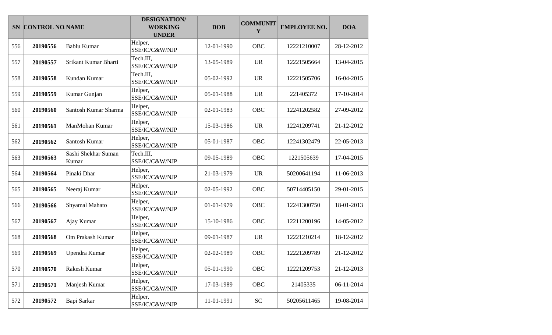|     | SN CONTROL NO NAME |                              | <b>DESIGNATION/</b><br><b>WORKING</b><br><b>UNDER</b> | <b>DOB</b> | <b>COMMUNIT</b><br>Y | <b>EMPLOYEE NO.</b> | <b>DOA</b> |
|-----|--------------------|------------------------------|-------------------------------------------------------|------------|----------------------|---------------------|------------|
| 556 | 20190556           | <b>Bablu Kumar</b>           | Helper,<br>SSE/IC/C&W/NJP                             | 12-01-1990 | <b>OBC</b>           | 12221210007         | 28-12-2012 |
| 557 | 20190557           | Srikant Kumar Bharti         | Tech.III,<br>SSE/IC/C&W/NJP                           | 13-05-1989 | <b>UR</b>            | 12221505664         | 13-04-2015 |
| 558 | 20190558           | Kundan Kumar                 | Tech.III,<br>SSE/IC/C&W/NJP                           | 05-02-1992 | <b>UR</b>            | 12221505706         | 16-04-2015 |
| 559 | 20190559           | Kumar Gunjan                 | Helper,<br>SSE/IC/C&W/NJP                             | 05-01-1988 | <b>UR</b>            | 221405372           | 17-10-2014 |
| 560 | 20190560           | Santosh Kumar Sharma         | Helper,<br>SSE/IC/C&W/NJP                             | 02-01-1983 | <b>OBC</b>           | 12241202582         | 27-09-2012 |
| 561 | 20190561           | ManMohan Kumar               | Helper,<br>SSE/IC/C&W/NJP                             | 15-03-1986 | <b>UR</b>            | 12241209741         | 21-12-2012 |
| 562 | 20190562           | Santosh Kumar                | Helper,<br>SSE/IC/C&W/NJP                             | 05-01-1987 | <b>OBC</b>           | 12241302479         | 22-05-2013 |
| 563 | 20190563           | Sashi Shekhar Suman<br>Kumar | Tech.III,<br>SSE/IC/C&W/NJP                           | 09-05-1989 | <b>OBC</b>           | 1221505639          | 17-04-2015 |
| 564 | 20190564           | Pinaki Dhar                  | Helper,<br>SSE/IC/C&W/NJP                             | 21-03-1979 | <b>UR</b>            | 50200641194         | 11-06-2013 |
| 565 | 20190565           | Neeraj Kumar                 | Helper,<br>SSE/IC/C&W/NJP                             | 02-05-1992 | <b>OBC</b>           | 50714405150         | 29-01-2015 |
| 566 | 20190566           | Shyamal Mahato               | Helper,<br>SSE/IC/C&W/NJP                             | 01-01-1979 | <b>OBC</b>           | 12241300750         | 18-01-2013 |
| 567 | 20190567           | Ajay Kumar                   | Helper,<br>SSE/IC/C&W/NJP                             | 15-10-1986 | OBC                  | 12211200196         | 14-05-2012 |
| 568 | 20190568           | Om Prakash Kumar             | Helper,<br>SSE/IC/C&W/NJP                             | 09-01-1987 | <b>UR</b>            | 12221210214         | 18-12-2012 |
| 569 | 20190569           | Upendra Kumar                | Helper,<br>SSE/IC/C&W/NJP                             | 02-02-1989 | OBC                  | 12221209789         | 21-12-2012 |
| 570 | 20190570           | Rakesh Kumar                 | Helper,<br>SSE/IC/C&W/NJP                             | 05-01-1990 | <b>OBC</b>           | 12221209753         | 21-12-2013 |
| 571 | 20190571           | Manjesh Kumar                | Helper,<br>SSE/IC/C&W/NJP                             | 17-03-1989 | OBC                  | 21405335            | 06-11-2014 |
| 572 | 20190572           | Bapi Sarkar                  | Helper,<br>SSE/IC/C&W/NJP                             | 11-01-1991 | ${\rm SC}$           | 50205611465         | 19-08-2014 |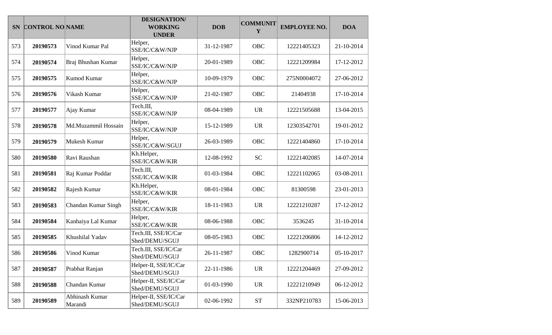|     | SN CONTROL NO NAME |                           | <b>DESIGNATION/</b><br><b>WORKING</b><br><b>UNDER</b> | <b>DOB</b> | <b>COMMUNIT</b><br>Y | <b>EMPLOYEE NO.</b> | <b>DOA</b> |
|-----|--------------------|---------------------------|-------------------------------------------------------|------------|----------------------|---------------------|------------|
| 573 | 20190573           | Vinod Kumar Pal           | Helper,<br>SSE/IC/C&W/NJP                             | 31-12-1987 | <b>OBC</b>           | 12221405323         | 21-10-2014 |
| 574 | 20190574           | Braj Bhushan Kumar        | Helper,<br>SSE/IC/C&W/NJP                             | 20-01-1989 | <b>OBC</b>           | 12221209984         | 17-12-2012 |
| 575 | 20190575           | Kumod Kumar               | Helper,<br>SSE/IC/C&W/NJP                             | 10-09-1979 | OBC                  | 275N0004072         | 27-06-2012 |
| 576 | 20190576           | Vikash Kumar              | Helper,<br>SSE/IC/C&W/NJP                             | 21-02-1987 | <b>OBC</b>           | 21404938            | 17-10-2014 |
| 577 | 20190577           | Ajay Kumar                | Tech.III,<br>SSE/IC/C&W/NJP                           | 08-04-1989 | <b>UR</b>            | 12221505688         | 13-04-2015 |
| 578 | 20190578           | Md.Muzammil Hossain       | Helper,<br>SSE/IC/C&W/NJP                             | 15-12-1989 | <b>UR</b>            | 12303542701         | 19-01-2012 |
| 579 | 20190579           | Mukesh Kumar              | Helper,<br>SSE/IC/C&W/SGUJ                            | 26-03-1989 | <b>OBC</b>           | 12221404860         | 17-10-2014 |
| 580 | 20190580           | Ravi Raushan              | Kh.Helper,<br>SSE/IC/C&W/KIR                          | 12-08-1992 | <b>SC</b>            | 12221402085         | 14-07-2014 |
| 581 | 20190581           | Raj Kumar Poddar          | Tech.III,<br>SSE/IC/C&W/KIR                           | 01-03-1984 | <b>OBC</b>           | 12221102065         | 03-08-2011 |
| 582 | 20190582           | Rajesh Kumar              | Kh.Helper,<br>SSE/IC/C&W/KIR                          | 08-01-1984 | <b>OBC</b>           | 81300598            | 23-01-2013 |
| 583 | 20190583           | Chandan Kumar Singh       | Helper,<br>SSE/IC/C&W/KIR                             | 18-11-1983 | <b>UR</b>            | 12221210287         | 17-12-2012 |
| 584 | 20190584           | Kanhaiya Lal Kumar        | Helper,<br>SSE/IC/C&W/KIR                             | 08-06-1988 | <b>OBC</b>           | 3536245             | 31-10-2014 |
| 585 | 20190585           | Khushilal Yadav           | Tech.III, SSE/IC/Car<br>Shed/DEMU/SGUJ                | 08-05-1983 | <b>OBC</b>           | 12221206806         | 14-12-2012 |
| 586 | 20190586           | Vinod Kumar               | Tech.III, SSE/IC/Car<br>Shed/DEMU/SGUJ                | 26-11-1987 | <b>OBC</b>           | 1282900714          | 05-10-2017 |
| 587 | 20190587           | Prabhat Ranjan            | Helper-II, SSE/IC/Car<br>Shed/DEMU/SGUJ               | 22-11-1986 | <b>UR</b>            | 12221204469         | 27-09-2012 |
| 588 | 20190588           | Chandan Kumar             | Helper-II, SSE/IC/Car<br>Shed/DEMU/SGUJ               | 01-03-1990 | <b>UR</b>            | 12221210949         | 06-12-2012 |
| 589 | 20190589           | Abhinash Kumar<br>Marandi | Helper-II, SSE/IC/Car<br>Shed/DEMU/SGUJ               | 02-06-1992 | $\operatorname{ST}$  | 332NP210783         | 15-06-2013 |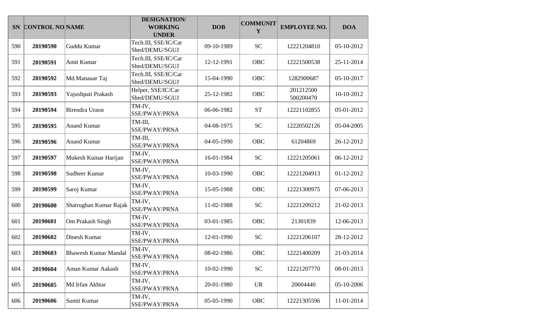|     | SN CONTROL NO NAME |                             | <b>DESIGNATION/</b><br><b>WORKING</b><br><b>UNDER</b> | <b>DOB</b> | <b>COMMUNIT</b><br>Y | <b>EMPLOYEE NO.</b>    | <b>DOA</b> |
|-----|--------------------|-----------------------------|-------------------------------------------------------|------------|----------------------|------------------------|------------|
| 590 | 20190590           | Guddu Kumar                 | Tech.III, SSE/IC/Car<br>Shed/DEMU/SGUJ                | 09-10-1989 | <b>SC</b>            | 12221204810            | 05-10-2012 |
| 591 | 20190591           | Amit Kumar                  | Tech.III, SSE/IC/Car<br>Shed/DEMU/SGUJ                | 12-12-1991 | OBC                  | 12221500538            | 25-11-2014 |
| 592 | 20190592           | Md.Manauar Taj              | Tech.III, SSE/IC/Car<br>Shed/DEMU/SGUJ                | 15-04-1990 | OBC                  | 1282900687             | 05-10-2017 |
| 593 | 20190593           | Yajushpati Prakash          | Helper, SSE/IC/Car<br>Shed/DEMU/SGUJ                  | 25-12-1982 | OBC                  | 201212500<br>500200470 | 10-10-2012 |
| 594 | 20190594           | Birendra Uraon              | TM-IV,<br>SSE/PWAY/PRNA                               | 06-06-1982 | <b>ST</b>            | 12221102855            | 05-01-2012 |
| 595 | 20190595           | <b>Anand Kumar</b>          | TM-III,<br>SSE/PWAY/PRNA                              | 04-08-1975 | <b>SC</b>            | 12220502126            | 05-04-2005 |
| 596 | 20190596           | <b>Anand Kumar</b>          | TM-III,<br>SSE/PWAY/PRNA                              | 04-05-1990 | OBC                  | 61204869               | 26-12-2012 |
| 597 | 20190597           | Mukesh Kumar Harijan        | TM-IV,<br>SSE/PWAY/PRNA                               | 16-01-1984 | <b>SC</b>            | 12221205061            | 06-12-2012 |
| 598 | 20190598           | Sudheer Kumar               | TM-IV,<br>SSE/PWAY/PRNA                               | 10-03-1990 | OBC                  | 12221204913            | 01-12-2012 |
| 599 | 20190599           | Saroj Kumar                 | TM-IV,<br>SSE/PWAY/PRNA                               | 15-05-1988 | <b>OBC</b>           | 12221300975            | 07-06-2013 |
| 600 | 20190600           | Shatrughan Kumar Rajak      | TM-IV,<br>SSE/PWAY/PRNA                               | 11-02-1988 | <b>SC</b>            | 12221209212            | 21-02-2013 |
| 601 | 20190601           | Om Prakash Singh            | TM-IV,<br>SSE/PWAY/PRNA                               | 03-01-1985 | OBC                  | 21301839               | 12-06-2013 |
| 602 | 20190602           | Dinesh Kumar                | TM-IV,<br>SSE/PWAY/PRNA                               | 12-01-1990 | <b>SC</b>            | 12221206107            | 28-12-2012 |
| 603 | 20190603           | <b>Bhawesh Kumar Mandal</b> | TM-IV,<br>SSE/PWAY/PRNA                               | 08-02-1986 | <b>OBC</b>           | 12221400209            | 21-03-2014 |
| 604 | 20190604           | Aman Kumar Aakash           | TM-IV,<br>SSE/PWAY/PRNA                               | 10-02-1990 | <b>SC</b>            | 12221207770            | 08-01-2013 |
| 605 | 20190605           | Md Irfan Akhtar             | TM-IV,<br>SSE/PWAY/PRNA                               | 20-01-1980 | <b>UR</b>            | 20604440               | 05-10-2006 |
| 606 | 20190606           | Sumit Kumar                 | TM-IV,<br>SSE/PWAY/PRNA                               | 05-05-1990 | OBC                  | 12221305596            | 11-01-2014 |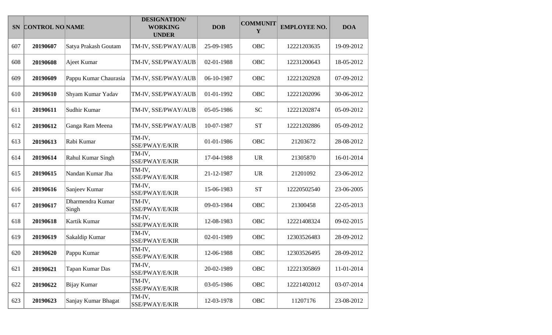|     | SN CONTROL NO NAME |                           | <b>DESIGNATION/</b><br><b>WORKING</b><br><b>UNDER</b> | <b>DOB</b> | <b>COMMUNIT</b><br>Y | <b>EMPLOYEE NO.</b> | <b>DOA</b> |
|-----|--------------------|---------------------------|-------------------------------------------------------|------------|----------------------|---------------------|------------|
| 607 | 20190607           | Satya Prakash Goutam      | TM-IV, SSE/PWAY/AUB                                   | 25-09-1985 | OBC                  | 12221203635         | 19-09-2012 |
| 608 | 20190608           | Ajeet Kumar               | TM-IV, SSE/PWAY/AUB                                   | 02-01-1988 | OBC                  | 12231200643         | 18-05-2012 |
| 609 | 20190609           | Pappu Kumar Chaurasia     | TM-IV, SSE/PWAY/AUB                                   | 06-10-1987 | OBC                  | 12221202928         | 07-09-2012 |
| 610 | 20190610           | Shyam Kumar Yadav         | TM-IV, SSE/PWAY/AUB                                   | 01-01-1992 | OBC                  | 12221202096         | 30-06-2012 |
| 611 | 20190611           | Sudhir Kumar              | TM-IV, SSE/PWAY/AUB                                   | 05-05-1986 | <b>SC</b>            | 12221202874         | 05-09-2012 |
| 612 | 20190612           | Ganga Ram Meena           | TM-IV, SSE/PWAY/AUB                                   | 10-07-1987 | <b>ST</b>            | 12221202886         | 05-09-2012 |
| 613 | 20190613           | Rabi Kumar                | TM-IV,<br>SSE/PWAY/E/KIR                              | 01-01-1986 | OBC                  | 21203672            | 28-08-2012 |
| 614 | 20190614           | Rahul Kumar Singh         | TM-IV,<br>SSE/PWAY/E/KIR                              | 17-04-1988 | <b>UR</b>            | 21305870            | 16-01-2014 |
| 615 | 20190615           | Nandan Kumar Jha          | TM-IV,<br>SSE/PWAY/E/KIR                              | 21-12-1987 | <b>UR</b>            | 21201092            | 23-06-2012 |
| 616 | 20190616           | Sanjeev Kumar             | TM-IV,<br>SSE/PWAY/E/KIR                              | 15-06-1983 | <b>ST</b>            | 12220502540         | 23-06-2005 |
| 617 | 20190617           | Dharmendra Kumar<br>Singh | TM-IV,<br>SSE/PWAY/E/KIR                              | 09-03-1984 | <b>OBC</b>           | 21300458            | 22-05-2013 |
| 618 | 20190618           | Kartik Kumar              | TM-IV,<br>SSE/PWAY/E/KIR                              | 12-08-1983 | OBC                  | 12221408324         | 09-02-2015 |
| 619 | 20190619           | Sakaldip Kumar            | TM-IV,<br>SSE/PWAY/E/KIR                              | 02-01-1989 | OBC                  | 12303526483         | 28-09-2012 |
| 620 | 20190620           | Pappu Kumar               | TM-IV,<br>SSE/PWAY/E/KIR                              | 12-06-1988 | OBC                  | 12303526495         | 28-09-2012 |
| 621 | 20190621           | Tapan Kumar Das           | TM-IV,<br>SSE/PWAY/E/KIR                              | 20-02-1989 | <b>OBC</b>           | 12221305869         | 11-01-2014 |
| 622 | 20190622           | <b>Bijay Kumar</b>        | TM-IV,<br>SSE/PWAY/E/KIR                              | 03-05-1986 | OBC                  | 12221402012         | 03-07-2014 |
| 623 | 20190623           | Sanjay Kumar Bhagat       | TM-IV,<br>SSE/PWAY/E/KIR                              | 12-03-1978 | OBC                  | 11207176            | 23-08-2012 |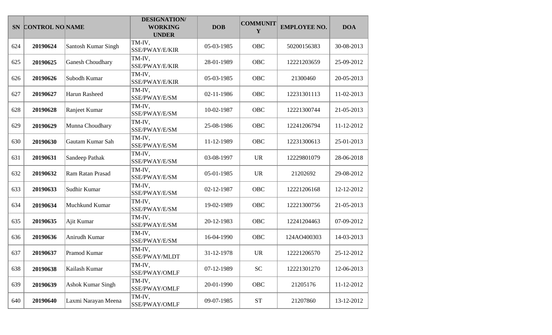|     | SN CONTROL NO NAME |                          | <b>DESIGNATION/</b><br><b>WORKING</b><br><b>UNDER</b> | <b>DOB</b> | <b>COMMUNIT</b><br>Y | <b>EMPLOYEE NO.</b> | <b>DOA</b> |
|-----|--------------------|--------------------------|-------------------------------------------------------|------------|----------------------|---------------------|------------|
| 624 | 20190624           | Santosh Kumar Singh      | TM-IV,<br>SSE/PWAY/E/KIR                              | 05-03-1985 | OBC                  | 50200156383         | 30-08-2013 |
| 625 | 20190625           | <b>Ganesh Choudhary</b>  | TM-IV,<br>SSE/PWAY/E/KIR                              | 28-01-1989 | <b>OBC</b>           | 12221203659         | 25-09-2012 |
| 626 | 20190626           | Subodh Kumar             | TM-IV,<br>SSE/PWAY/E/KIR                              | 05-03-1985 | OBC                  | 21300460            | 20-05-2013 |
| 627 | 20190627           | Harun Rasheed            | TM-IV,<br>SSE/PWAY/E/SM                               | 02-11-1986 | <b>OBC</b>           | 12231301113         | 11-02-2013 |
| 628 | 20190628           | Ranjeet Kumar            | TM-IV,<br>SSE/PWAY/E/SM                               | 10-02-1987 | OBC                  | 12221300744         | 21-05-2013 |
| 629 | 20190629           | Munna Choudhary          | TM-IV,<br>SSE/PWAY/E/SM                               | 25-08-1986 | OBC                  | 12241206794         | 11-12-2012 |
| 630 | 20190630           | Gautam Kumar Sah         | TM-IV,<br>SSE/PWAY/E/SM                               | 11-12-1989 | <b>OBC</b>           | 12231300613         | 25-01-2013 |
| 631 | 20190631           | Sandeep Pathak           | TM-IV,<br>SSE/PWAY/E/SM                               | 03-08-1997 | <b>UR</b>            | 12229801079         | 28-06-2018 |
| 632 | 20190632           | Ram Ratan Prasad         | TM-IV,<br>SSE/PWAY/E/SM                               | 05-01-1985 | <b>UR</b>            | 21202692            | 29-08-2012 |
| 633 | 20190633           | Sudhir Kumar             | TM-IV,<br>SSE/PWAY/E/SM                               | 02-12-1987 | <b>OBC</b>           | 12221206168         | 12-12-2012 |
| 634 | 20190634           | Muchkund Kumar           | TM-IV,<br>SSE/PWAY/E/SM                               | 19-02-1989 | <b>OBC</b>           | 12221300756         | 21-05-2013 |
| 635 | 20190635           | Ajit Kumar               | TM-IV,<br>SSE/PWAY/E/SM                               | 20-12-1983 | OBC                  | 12241204463         | 07-09-2012 |
| 636 | 20190636           | Anirudh Kumar            | TM-IV,<br>SSE/PWAY/E/SM                               | 16-04-1990 | <b>OBC</b>           | 124AO400303         | 14-03-2013 |
| 637 | 20190637           | Pramod Kumar             | TM-IV,<br>SSE/PWAY/MLDT                               | 31-12-1978 | <b>UR</b>            | 12221206570         | 25-12-2012 |
| 638 | 20190638           | Kailash Kumar            | TM-IV,<br>SSE/PWAY/OMLF                               | 07-12-1989 | <b>SC</b>            | 12221301270         | 12-06-2013 |
| 639 | 20190639           | <b>Ashok Kumar Singh</b> | TM-IV,<br>SSE/PWAY/OMLF                               | 20-01-1990 | OBC                  | 21205176            | 11-12-2012 |
| 640 | 20190640           | Laxmi Narayan Meena      | TM-IV,<br>SSE/PWAY/OMLF                               | 09-07-1985 | ${\cal S}{\cal T}$   | 21207860            | 13-12-2012 |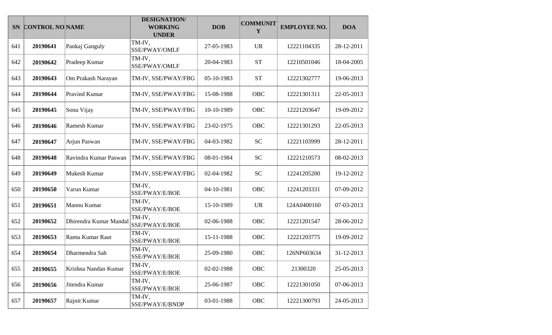| <b>SN</b> | <b>CONTROL NO NAME</b> |                        | <b>DESIGNATION/</b><br><b>WORKING</b><br><b>UNDER</b> | <b>DOB</b> | <b>COMMUNIT</b><br>Y | <b>EMPLOYEE NO.</b> | <b>DOA</b> |
|-----------|------------------------|------------------------|-------------------------------------------------------|------------|----------------------|---------------------|------------|
| 641       | 20190641               | Pankaj Ganguly         | TM-IV,<br>SSE/PWAY/OMLF                               | 27-05-1983 | <b>UR</b>            | 12221104335         | 28-12-2011 |
| 642       | 20190642               | Pradeep Kumar          | TM-IV,<br>SSE/PWAY/OMLF                               | 20-04-1983 | <b>ST</b>            | 12210501046         | 18-04-2005 |
| 643       | 20190643               | Om Prakash Narayan     | TM-IV, SSE/PWAY/FBG                                   | 05-10-1983 | <b>ST</b>            | 12221302777         | 19-06-2013 |
| 644       | 20190644               | <b>Pravind Kumar</b>   | TM-IV, SSE/PWAY/FBG                                   | 15-08-1988 | OBC                  | 12221301311         | 22-05-2013 |
| 645       | 20190645               | Sonu Vijay             | TM-IV, SSE/PWAY/FBG                                   | 10-10-1989 | OBC                  | 12221203647         | 19-09-2012 |
| 646       | 20190646               | Ramesh Kumar           | TM-IV, SSE/PWAY/FBG                                   | 23-02-1975 | OBC                  | 12221301293         | 22-05-2013 |
| 647       | 20190647               | Arjun Paswan           | TM-IV, SSE/PWAY/FBG                                   | 04-03-1982 | <b>SC</b>            | 12221103999         | 28-12-2011 |
| 648       | 20190648               | Ravindra Kumar Paswan  | TM-IV, SSE/PWAY/FBG                                   | 08-01-1984 | <b>SC</b>            | 12221210573         | 08-02-2013 |
| 649       | 20190649               | Mukesh Kumar           | TM-IV, SSE/PWAY/FBG                                   | 02-04-1982 | <b>SC</b>            | 12241205200         | 19-12-2012 |
| 650       | 20190650               | Varun Kumar            | TM-IV,<br>SSE/PWAY/E/BOE                              | 04-10-1981 | OBC                  | 12241203331         | 07-09-2012 |
| 651       | 20190651               | Mannu Kumar            | TM-IV,<br>SSE/PWAY/E/BOE                              | 15-10-1989 | <b>UR</b>            | 124A0400160         | 07-03-2013 |
| 652       | 20190652               | Dhirendra Kumar Mandal | TM-IV,<br>SSE/PWAY/E/BOE                              | 02-06-1988 | OBC                  | 12221201547         | 28-06-2012 |
| 653       | 20190653               | Ramu Kumar Raut        | TM-IV,<br>SSE/PWAY/E/BOE                              | 15-11-1988 | OBC                  | 12221203775         | 19-09-2012 |
| 654       | 20190654               | Dharmendra Sah         | TM-IV,<br>SSE/PWAY/E/BOE                              | 25-09-1980 | OBC                  | 126NP603634         | 31-12-2013 |
| 655       | 20190655               | Krishna Nandan Kumar   | TM-IV,<br>SSE/PWAY/E/BOE                              | 02-02-1988 | OBC                  | 21300320            | 25-05-2013 |
| 656       | 20190656               | Jitendra Kumar         | TM-IV,<br>SSE/PWAY/E/BOE                              | 25-06-1987 | OBC                  | 12221301050         | 07-06-2013 |
| 657       | 20190657               | Rajnit Kumar           | TM-IV,<br>SSE/PWAY/E/BNDP                             | 03-01-1988 | OBC                  | 12221300793         | 24-05-2013 |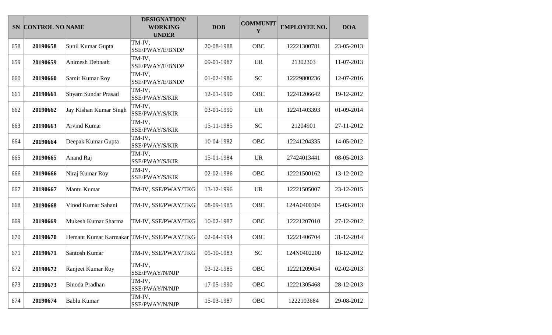|     | SN CONTROL NO NAME |                        | <b>DESIGNATION/</b><br><b>WORKING</b><br><b>UNDER</b> | <b>DOB</b> | <b>COMMUNIT</b><br>Y | <b>EMPLOYEE NO.</b> | <b>DOA</b> |
|-----|--------------------|------------------------|-------------------------------------------------------|------------|----------------------|---------------------|------------|
| 658 | 20190658           | Sunil Kumar Gupta      | TM-IV,<br>SSE/PWAY/E/BNDP                             | 20-08-1988 | OBC                  | 12221300781         | 23-05-2013 |
| 659 | 20190659           | Animesh Debnath        | TM-IV,<br>SSE/PWAY/E/BNDP                             | 09-01-1987 | <b>UR</b>            | 21302303            | 11-07-2013 |
| 660 | 20190660           | Samir Kumar Roy        | TM-IV,<br>SSE/PWAY/E/BNDP                             | 01-02-1986 | <b>SC</b>            | 12229800236         | 12-07-2016 |
| 661 | 20190661           | Shyam Sundar Prasad    | TM-IV,<br>SSE/PWAY/S/KIR                              | 12-01-1990 | OBC                  | 12241206642         | 19-12-2012 |
| 662 | 20190662           | Jay Kishan Kumar Singh | TM-IV,<br>SSE/PWAY/S/KIR                              | 03-01-1990 | <b>UR</b>            | 12241403393         | 01-09-2014 |
| 663 | 20190663           | <b>Arvind Kumar</b>    | TM-IV,<br>SSE/PWAY/S/KIR                              | 15-11-1985 | <b>SC</b>            | 21204901            | 27-11-2012 |
| 664 | 20190664           | Deepak Kumar Gupta     | TM-IV,<br>SSE/PWAY/S/KIR                              | 10-04-1982 | OBC                  | 12241204335         | 14-05-2012 |
| 665 | 20190665           | Anand Raj              | TM-IV,<br>SSE/PWAY/S/KIR                              | 15-01-1984 | <b>UR</b>            | 27424013441         | 08-05-2013 |
| 666 | 20190666           | Niraj Kumar Roy        | TM-IV,<br>SSE/PWAY/S/KIR                              | 02-02-1986 | OBC                  | 12221500162         | 13-12-2012 |
| 667 | 20190667           | Mantu Kumar            | TM-IV, SSE/PWAY/TKG                                   | 13-12-1996 | <b>UR</b>            | 12221505007         | 23-12-2015 |
| 668 | 20190668           | Vinod Kumar Sahani     | TM-IV, SSE/PWAY/TKG                                   | 08-09-1985 | OBC                  | 124A0400304         | 15-03-2013 |
| 669 | 20190669           | Mukesh Kumar Sharma    | TM-IV, SSE/PWAY/TKG                                   | 10-02-1987 | OBC                  | 12221207010         | 27-12-2012 |
| 670 | 20190670           |                        | Hemant Kumar Karmakar TM-IV, SSE/PWAY/TKG             | 02-04-1994 | OBC                  | 12221406704         | 31-12-2014 |
| 671 | 20190671           | Santosh Kumar          | TM-IV, SSE/PWAY/TKG                                   | 05-10-1983 | <b>SC</b>            | 124N0402200         | 18-12-2012 |
| 672 | 20190672           | Ranjeet Kumar Roy      | TM-IV,<br>SSE/PWAY/N/NJP                              | 03-12-1985 | OBC                  | 12221209054         | 02-02-2013 |
| 673 | 20190673           | Binoda Pradhan         | TM-IV,<br>SSE/PWAY/N/NJP                              | 17-05-1990 | OBC                  | 12221305468         | 28-12-2013 |
| 674 | 20190674           | Bablu Kumar            | TM-IV,<br>SSE/PWAY/N/NJP                              | 15-03-1987 | OBC                  | 1222103684          | 29-08-2012 |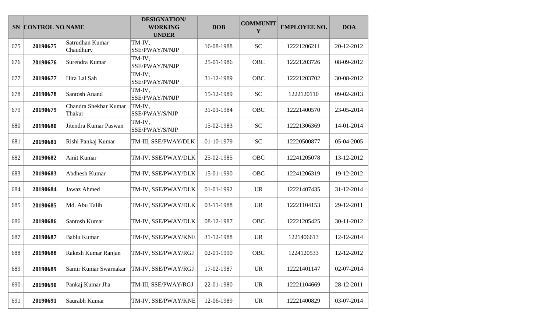|     | SN CONTROL NO NAME |                                 | <b>DESIGNATION/</b><br><b>WORKING</b><br><b>UNDER</b> | <b>DOB</b> | <b>COMMUNIT</b><br>Y | <b>EMPLOYEE NO.</b> | <b>DOA</b> |
|-----|--------------------|---------------------------------|-------------------------------------------------------|------------|----------------------|---------------------|------------|
| 675 | 20190675           | Satrudhan Kumar<br>Chaudhury    | TM-IV,<br>SSE/PWAY/N/NJP                              | 16-08-1988 | <b>SC</b>            | 12221206211         | 20-12-2012 |
| 676 | 20190676           | Surendra Kumar                  | TM-IV,<br>SSE/PWAY/N/NJP                              | 25-01-1986 | OBC                  | 12221203726         | 08-09-2012 |
| 677 | 20190677           | Hira Lal Sah                    | TM-IV,<br>SSE/PWAY/N/NJP                              | 31-12-1989 | OBC                  | 12221203702         | 30-08-2012 |
| 678 | 20190678           | Santosh Anand                   | TM-IV,<br>SSE/PWAY/N/NJP                              | 15-12-1989 | <b>SC</b>            | 1222120110          | 09-02-2013 |
| 679 | 20190679           | Chandra Shekhar Kumar<br>Thakur | TM-IV,<br>SSE/PWAY/S/NJP                              | 31-01-1984 | OBC                  | 12221400570         | 23-05-2014 |
| 680 | 20190680           | Jitendra Kumar Paswan           | TM-IV,<br>SSE/PWAY/S/NJP                              | 15-02-1983 | <b>SC</b>            | 12221306369         | 14-01-2014 |
| 681 | 20190681           | Rishi Pankaj Kumar              | TM-III, SSE/PWAY/DLK                                  | 01-10-1979 | <b>SC</b>            | 12220500877         | 05-04-2005 |
| 682 | 20190682           | Amit Kumar                      | TM-IV, SSE/PWAY/DLK                                   | 25-02-1985 | OBC                  | 12241205078         | 13-12-2012 |
| 683 | 20190683           | Abdhesh Kumar                   | TM-IV, SSE/PWAY/DLK                                   | 15-01-1990 | OBC                  | 12241206319         | 19-12-2012 |
| 684 | 20190684           | Jawaz Ahmed                     | TM-IV, SSE/PWAY/DLK                                   | 01-01-1992 | <b>UR</b>            | 12221407435         | 31-12-2014 |
| 685 | 20190685           | Md. Abu Talib                   | TM-IV, SSE/PWAY/DLK                                   | 03-11-1988 | <b>UR</b>            | 12221104153         | 29-12-2011 |
| 686 | 20190686           | Santosh Kumar                   | TM-IV, SSE/PWAY/DLK                                   | 08-12-1987 | OBC                  | 12221205425         | 30-11-2012 |
| 687 | 20190687           | <b>Bablu Kumar</b>              | TM-IV, SSE/PWAY/KNE                                   | 31-12-1988 | <b>UR</b>            | 1221406613          | 12-12-2014 |
| 688 | 20190688           | Rakesh Kumar Ranjan             | TM-IV, SSE/PWAY/RGJ                                   | 02-01-1990 | OBC                  | 1224120533          | 12-12-2012 |
| 689 | 20190689           | Samir Kumar Swarnakar           | TM-IV, SSE/PWAY/RGJ                                   | 17-02-1987 | <b>UR</b>            | 12221401147         | 02-07-2014 |
| 690 | 20190690           | Pankaj Kumar Jha                | TM-III, SSE/PWAY/RGJ                                  | 22-01-1980 | <b>UR</b>            | 12221104669         | 28-12-2011 |
| 691 | 20190691           | Saurabh Kumar                   | TM-IV, SSE/PWAY/KNE                                   | 12-06-1989 | <b>UR</b>            | 12221400829         | 03-07-2014 |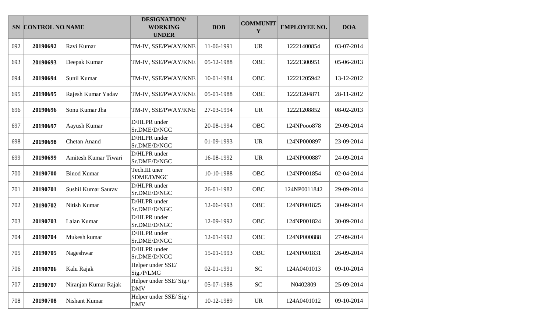|     | SN CONTROL NO NAME |                      | <b>DESIGNATION/</b><br><b>WORKING</b><br><b>UNDER</b> | <b>DOB</b> | <b>COMMUNIT</b><br>Y | <b>EMPLOYEE NO.</b> | <b>DOA</b> |
|-----|--------------------|----------------------|-------------------------------------------------------|------------|----------------------|---------------------|------------|
| 692 | 20190692           | Ravi Kumar           | TM-IV, SSE/PWAY/KNE                                   | 11-06-1991 | <b>UR</b>            | 12221400854         | 03-07-2014 |
| 693 | 20190693           | Deepak Kumar         | TM-IV, SSE/PWAY/KNE                                   | 05-12-1988 | OBC                  | 12221300951         | 05-06-2013 |
| 694 | 20190694           | Sunil Kumar          | TM-IV, SSE/PWAY/KNE                                   | 10-01-1984 | OBC                  | 12221205942         | 13-12-2012 |
| 695 | 20190695           | Rajesh Kumar Yadav   | TM-IV, SSE/PWAY/KNE                                   | 05-01-1988 | <b>OBC</b>           | 12221204871         | 28-11-2012 |
| 696 | 20190696           | Sonu Kumar Jha       | TM-IV, SSE/PWAY/KNE                                   | 27-03-1994 | <b>UR</b>            | 12221208852         | 08-02-2013 |
| 697 | 20190697           | Aayush Kumar         | D/HLPR under<br>Sr.DME/D/NGC                          | 20-08-1994 | <b>OBC</b>           | 124NPooo878         | 29-09-2014 |
| 698 | 20190698           | Chetan Anand         | D/HLPR under<br>Sr.DME/D/NGC                          | 01-09-1993 | <b>UR</b>            | 124NP000897         | 23-09-2014 |
| 699 | 20190699           | Amitesh Kumar Tiwari | D/HLPR under<br>Sr.DME/D/NGC                          | 16-08-1992 | <b>UR</b>            | 124NP000887         | 24-09-2014 |
| 700 | 20190700           | <b>Binod Kumar</b>   | Tech.III uner<br>SDME/D/NGC                           | 10-10-1988 | <b>OBC</b>           | 124NP001854         | 02-04-2014 |
| 701 | 20190701           | Sushil Kumar Saurav  | D/HLPR under<br>Sr.DME/D/NGC                          | 26-01-1982 | OBC                  | 124NP0011842        | 29-09-2014 |
| 702 | 20190702           | Nitish Kumar         | D/HLPR under<br>Sr.DME/D/NGC                          | 12-06-1993 | <b>OBC</b>           | 124NP001825         | 30-09-2014 |
| 703 | 20190703           | Lalan Kumar          | D/HLPR under<br>Sr.DME/D/NGC                          | 12-09-1992 | OBC                  | 124NP001824         | 30-09-2014 |
| 704 | 20190704           | Mukesh kumar         | D/HLPR under<br>Sr.DME/D/NGC                          | 12-01-1992 | OBC                  | 124NP000888         | 27-09-2014 |
| 705 | 20190705           | Nageshwar            | D/HLPR under<br>Sr.DME/D/NGC                          | 15-01-1993 | <b>OBC</b>           | 124NP001831         | 26-09-2014 |
| 706 | 20190706           | Kalu Rajak           | Helper under SSE/<br>Sig./P/LMG                       | 02-01-1991 | <b>SC</b>            | 124A0401013         | 09-10-2014 |
| 707 | 20190707           | Niranjan Kumar Rajak | Helper under SSE/Sig./<br><b>DMV</b>                  | 05-07-1988 | ${\rm SC}$           | N0402809            | 25-09-2014 |
| 708 | 20190708           | Nishant Kumar        | Helper under SSE/Sig./<br><b>DMV</b>                  | 10-12-1989 | <b>UR</b>            | 124A0401012         | 09-10-2014 |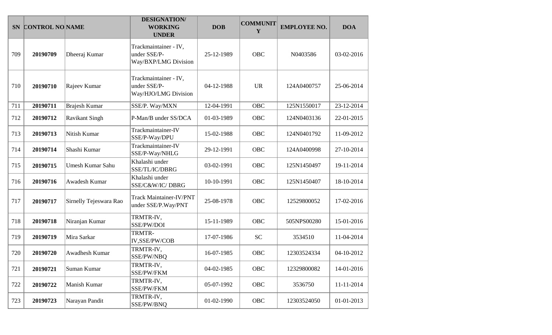|     | SN CONTROL NO NAME |                         | <b>DESIGNATION/</b><br><b>WORKING</b><br><b>UNDER</b>         | <b>DOB</b> | <b>COMMUNIT</b><br>Y | <b>EMPLOYEE NO.</b> | <b>DOA</b> |
|-----|--------------------|-------------------------|---------------------------------------------------------------|------------|----------------------|---------------------|------------|
| 709 | 20190709           | Dheeraj Kumar           | Trackmaintainer - IV,<br>under SSE/P-<br>Way/BXP/LMG Division | 25-12-1989 | <b>OBC</b>           | N0403586            | 03-02-2016 |
| 710 | 20190710           | Rajeev Kumar            | Trackmaintainer - IV,<br>under SSE/P-<br>Way/HJO/LMG Division | 04-12-1988 | <b>UR</b>            | 124A0400757         | 25-06-2014 |
| 711 | 20190711           | Brajesh Kumar           | SSE/P. Way/MXN                                                | 12-04-1991 | <b>OBC</b>           | 125N1550017         | 23-12-2014 |
| 712 | 20190712           | <b>Ravikant Singh</b>   | P-Man/B under SS/DCA                                          | 01-03-1989 | <b>OBC</b>           | 124N0403136         | 22-01-2015 |
| 713 | 20190713           | Nitish Kumar            | Trackmaintainer-IV<br>SSE/P-Way/DPU                           | 15-02-1988 | <b>OBC</b>           | 124N0401792         | 11-09-2012 |
| 714 | 20190714           | Shashi Kumar            | Trackmaintainer-IV<br>SSE/P-Way/NHLG                          | 29-12-1991 | <b>OBC</b>           | 124A0400998         | 27-10-2014 |
| 715 | 20190715           | <b>Umesh Kumar Sahu</b> | Khalashi under<br>SSE/TL/IC/DBRG                              | 03-02-1991 | <b>OBC</b>           | 125N1450497         | 19-11-2014 |
| 716 | 20190716           | Awadesh Kumar           | Khalashi under<br>SSE/C&W/IC/DBRG                             | 10-10-1991 | OBC                  | 125N1450407         | 18-10-2014 |
| 717 | 20190717           | Sirnelly Tejeswara Rao  | <b>Track Maintainer-IV/PNT</b><br>under SSE/P.Way/PNT         | 25-08-1978 | OBC                  | 12529800052         | 17-02-2016 |
| 718 | 20190718           | Niranjan Kumar          | TRMTR-IV,<br>SSE/PW/DOI                                       | 15-11-1989 | OBC                  | 505NPS00280         | 15-01-2016 |
| 719 | 20190719           | Mira Sarkar             | TRMTR-<br>IV,SSE/PW/COB                                       | 17-07-1986 | <b>SC</b>            | 3534510             | 11-04-2014 |
| 720 | 20190720           | Awadhesh Kumar          | TRMTR-IV,<br>SSE/PW/NBQ                                       | 16-07-1985 | OBC                  | 12303524334         | 04-10-2012 |
| 721 | 20190721           | Suman Kumar             | TRMTR-IV,<br>SSE/PW/FKM                                       | 04-02-1985 | <b>OBC</b>           | 12329800082         | 14-01-2016 |
| 722 | 20190722           | Manish Kumar            | TRMTR-IV,<br>SSE/PW/FKM                                       | 05-07-1992 | OBC                  | 3536750             | 11-11-2014 |
| 723 | 20190723           | Narayan Pandit          | TRMTR-IV,<br>SSE/PW/BNQ                                       | 01-02-1990 | OBC                  | 12303524050         | 01-01-2013 |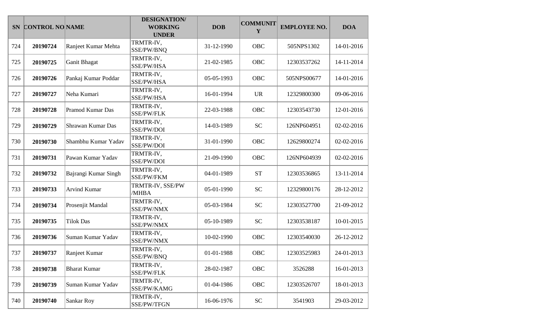|     | SN CONTROL NO NAME |                      | <b>DESIGNATION/</b><br><b>WORKING</b><br><b>UNDER</b> | <b>DOB</b> | <b>COMMUNIT</b><br>Y | <b>EMPLOYEE NO.</b> | <b>DOA</b> |
|-----|--------------------|----------------------|-------------------------------------------------------|------------|----------------------|---------------------|------------|
| 724 | 20190724           | Ranjeet Kumar Mehta  | TRMTR-IV,<br>SSE/PW/BNQ                               | 31-12-1990 | OBC                  | 505NPS1302          | 14-01-2016 |
| 725 | 20190725           | Ganit Bhagat         | TRMTR-IV,<br>SSE/PW/HSA                               | 21-02-1985 | OBC                  | 12303537262         | 14-11-2014 |
| 726 | 20190726           | Pankaj Kumar Poddar  | TRMTR-IV,<br>SSE/PW/HSA                               | 05-05-1993 | OBC                  | 505NPS00677         | 14-01-2016 |
| 727 | 20190727           | Neha Kumari          | TRMTR-IV,<br>SSE/PW/HSA                               | 16-01-1994 | <b>UR</b>            | 12329800300         | 09-06-2016 |
| 728 | 20190728           | Pramod Kumar Das     | TRMTR-IV,<br>SSE/PW/FLK                               | 22-03-1988 | <b>OBC</b>           | 12303543730         | 12-01-2016 |
| 729 | 20190729           | Shrawan Kumar Das    | TRMTR-IV,<br>SSE/PW/DOI                               | 14-03-1989 | <b>SC</b>            | 126NP604951         | 02-02-2016 |
| 730 | 20190730           | Shambhu Kumar Yadav  | TRMTR-IV,<br>SSE/PW/DOI                               | 31-01-1990 | OBC                  | 12629800274         | 02-02-2016 |
| 731 | 20190731           | Pawan Kumar Yadav    | TRMTR-IV,<br>SSE/PW/DOI                               | 21-09-1990 | <b>OBC</b>           | 126NP604939         | 02-02-2016 |
| 732 | 20190732           | Bajrangi Kumar Singh | TRMTR-IV,<br>SSE/PW/FKM                               | 04-01-1989 | <b>ST</b>            | 12303536865         | 13-11-2014 |
| 733 | 20190733           | <b>Arvind Kumar</b>  | TRMTR-IV, SSE/PW<br>/MHBA                             | 05-01-1990 | <b>SC</b>            | 12329800176         | 28-12-2012 |
| 734 | 20190734           | Prosenjit Mandal     | TRMTR-IV,<br>SSE/PW/NMX                               | 05-03-1984 | <b>SC</b>            | 12303527700         | 21-09-2012 |
| 735 | 20190735           | <b>Tilok Das</b>     | TRMTR-IV,<br>SSE/PW/NMX                               | 05-10-1989 | <b>SC</b>            | 12303538187         | 10-01-2015 |
| 736 | 20190736           | Suman Kumar Yadav    | TRMTR-IV,<br>SSE/PW/NMX                               | 10-02-1990 | OBC                  | 12303540030         | 26-12-2012 |
| 737 | 20190737           | Ranjeet Kumar        | TRMTR-IV,<br>SSE/PW/BNQ                               | 01-01-1988 | OBC                  | 12303525983         | 24-01-2013 |
| 738 | 20190738           | <b>Bharat Kumar</b>  | TRMTR-IV,<br>SSE/PW/FLK                               | 28-02-1987 | OBC                  | 3526288             | 16-01-2013 |
| 739 | 20190739           | Suman Kumar Yadav    | TRMTR-IV,<br>SSE/PW/KAMG                              | 01-04-1986 | OBC                  | 12303526707         | 18-01-2013 |
| 740 | 20190740           | Sankar Roy           | TRMTR-IV,<br>SSE/PW/TFGN                              | 16-06-1976 | ${\rm SC}$           | 3541903             | 29-03-2012 |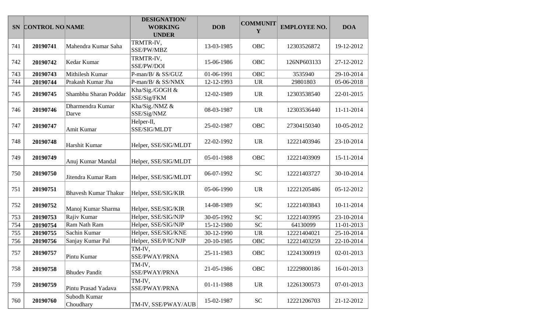|     | SN CONTROL NO NAME |                             | <b>DESIGNATION/</b><br><b>WORKING</b><br><b>UNDER</b> | <b>DOB</b> | <b>COMMUNIT</b><br>Y | <b>EMPLOYEE NO.</b> | <b>DOA</b> |
|-----|--------------------|-----------------------------|-------------------------------------------------------|------------|----------------------|---------------------|------------|
| 741 | 20190741           | Mahendra Kumar Saha         | TRMTR-IV,<br>SSE/PW/MBZ                               | 13-03-1985 | OBC                  | 12303526872         | 19-12-2012 |
| 742 | 20190742           | Kedar Kumar                 | TRMTR-IV,<br>SSE/PW/DOI                               | 15-06-1986 | OBC                  | 126NP603133         | 27-12-2012 |
| 743 | 20190743           | Mithilesh Kumar             | P-man/B/ & SS/GUZ                                     | 01-06-1991 | <b>OBC</b>           | 3535940             | 29-10-2014 |
| 744 | 20190744           | Prakash Kumar Jha           | P-man/B/ & SS/NMX                                     | 12-12-1993 | <b>UR</b>            | 29801803            | 05-06-2018 |
| 745 | 20190745           | Shambhu Sharan Poddar       | Kha/Sig./GOGH &<br>SSE/Sig/FKM                        | 12-02-1989 | <b>UR</b>            | 12303538540         | 22-01-2015 |
| 746 | 20190746           | Dharmendra Kumar<br>Darve   | Kha/Sig./NMZ &<br>SSE/Sig/NMZ                         | 08-03-1987 | <b>UR</b>            | 12303536440         | 11-11-2014 |
| 747 | 20190747           | Amit Kumar                  | Helper-II,<br>SSE/SIG/MLDT                            | 25-02-1987 | <b>OBC</b>           | 27304150340         | 10-05-2012 |
| 748 | 20190748           | Harshit Kumar               | Helper, SSE/SIG/MLDT                                  | 22-02-1992 | <b>UR</b>            | 12221403946         | 23-10-2014 |
| 749 | 20190749           | Anuj Kumar Mandal           | Helper, SSE/SIG/MLDT                                  | 05-01-1988 | OBC                  | 12221403909         | 15-11-2014 |
| 750 | 20190750           | Jitendra Kumar Ram          | Helper, SSE/SIG/MLDT                                  | 06-07-1992 | <b>SC</b>            | 12221403727         | 30-10-2014 |
| 751 | 20190751           | <b>Bhavesh Kumar Thakur</b> | Helper, SSE/SIG/KIR                                   | 05-06-1990 | <b>UR</b>            | 12221205486         | 05-12-2012 |
| 752 | 20190752           | Manoj Kumar Sharma          | Helper, SSE/SIG/KIR                                   | 14-08-1989 | <b>SC</b>            | 12221403843         | 10-11-2014 |
| 753 | 20190753           | Rajiv Kumar                 | Helper, SSE/SIG/NJP                                   | 30-05-1992 | <b>SC</b>            | 12221403995         | 23-10-2014 |
| 754 | 20190754           | Ram Nath Ram                | Helper, SSE/SIG/NJP                                   | 15-12-1980 | <b>SC</b>            | 64130099            | 11-01-2013 |
| 755 | 20190755           | Sachin Kumar                | Helper, SSE/SIG/KNE                                   | 30-12-1990 | <b>UR</b>            | 12221404021         | 25-10-2014 |
| 756 | 20190756           | Sanjay Kumar Pal            | Helper, SSE/P/IC/NJP                                  | 20-10-1985 | <b>OBC</b>           | 12221403259         | 22-10-2014 |
| 757 | 20190757           | Pintu Kumar                 | TM-IV,<br>SSE/PWAY/PRNA                               | 25-11-1983 | OBC                  | 12241300919         | 02-01-2013 |
| 758 | 20190758           | <b>Bhudev Pandit</b>        | TM-IV,<br>SSE/PWAY/PRNA                               | 21-05-1986 | <b>OBC</b>           | 12229800186         | 16-01-2013 |
| 759 | 20190759           | Pintu Prasad Yadava         | TM-IV,<br>SSE/PWAY/PRNA                               | 01-11-1988 | <b>UR</b>            | 12261300573         | 07-01-2013 |
| 760 | 20190760           | Subodh Kumar<br>Choudhary   | TM-IV, SSE/PWAY/AUB                                   | 15-02-1987 | <b>SC</b>            | 12221206703         | 21-12-2012 |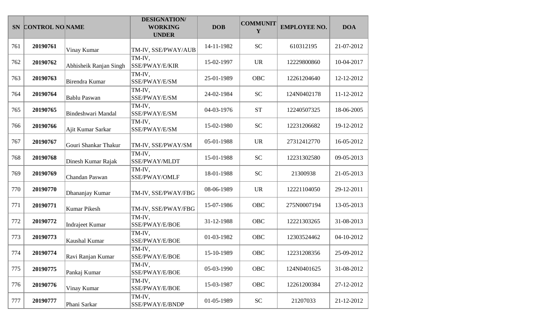|     | SN CONTROL NO NAME |                        | <b>DESIGNATION/</b><br><b>WORKING</b><br><b>UNDER</b> | <b>DOB</b> | <b>COMMUNIT</b><br>Y | <b>EMPLOYEE NO.</b> | <b>DOA</b> |
|-----|--------------------|------------------------|-------------------------------------------------------|------------|----------------------|---------------------|------------|
| 761 | 20190761           | Vinay Kumar            | TM-IV, SSE/PWAY/AUB                                   | 14-11-1982 | <b>SC</b>            | 610312195           | 21-07-2012 |
| 762 | 20190762           | Abhisheik Ranjan Singh | TM-IV,<br>SSE/PWAY/E/KIR                              | 15-02-1997 | <b>UR</b>            | 12229800860         | 10-04-2017 |
| 763 | 20190763           | Birendra Kumar         | TM-IV,<br>SSE/PWAY/E/SM                               | 25-01-1989 | OBC                  | 12261204640         | 12-12-2012 |
| 764 | 20190764           | <b>Bablu Paswan</b>    | TM-IV,<br>SSE/PWAY/E/SM                               | 24-02-1984 | <b>SC</b>            | 124N0402178         | 11-12-2012 |
| 765 | 20190765           | Bindeshwari Mandal     | TM-IV,<br>SSE/PWAY/E/SM                               | 04-03-1976 | <b>ST</b>            | 12240507325         | 18-06-2005 |
| 766 | 20190766           | Ajit Kumar Sarkar      | TM-IV,<br>SSE/PWAY/E/SM                               | 15-02-1980 | <b>SC</b>            | 12231206682         | 19-12-2012 |
| 767 | 20190767           | Gouri Shankar Thakur   | TM-IV, SSE/PWAY/SM                                    | 05-01-1988 | <b>UR</b>            | 27312412770         | 16-05-2012 |
| 768 | 20190768           | Dinesh Kumar Rajak     | TM-IV,<br>SSE/PWAY/MLDT                               | 15-01-1988 | <b>SC</b>            | 12231302580         | 09-05-2013 |
| 769 | 20190769           | Chandan Paswan         | TM-IV,<br>SSE/PWAY/OMLF                               | 18-01-1988 | <b>SC</b>            | 21300938            | 21-05-2013 |
| 770 | 20190770           | Dhananjay Kumar        | TM-IV, SSE/PWAY/FBG                                   | 08-06-1989 | <b>UR</b>            | 12221104050         | 29-12-2011 |
| 771 | 20190771           | <b>Kumar Pikesh</b>    | TM-IV, SSE/PWAY/FBG                                   | 15-07-1986 | OBC                  | 275N0007194         | 13-05-2013 |
| 772 | 20190772           | <b>Indrajeet Kumar</b> | TM-IV,<br>SSE/PWAY/E/BOE                              | 31-12-1988 | OBC                  | 12221303265         | 31-08-2013 |
| 773 | 20190773           | Kaushal Kumar          | TM-IV,<br>SSE/PWAY/E/BOE                              | 01-03-1982 | <b>OBC</b>           | 12303524462         | 04-10-2012 |
| 774 | 20190774           | Ravi Ranjan Kumar      | TM-IV,<br>SSE/PWAY/E/BOE                              | 15-10-1989 | OBC                  | 12231208356         | 25-09-2012 |
| 775 | 20190775           | Pankaj Kumar           | TM-IV,<br>SSE/PWAY/E/BOE                              | 05-03-1990 | OBC                  | 124N0401625         | 31-08-2012 |
| 776 | 20190776           | Vinay Kumar            | TM-IV,<br>SSE/PWAY/E/BOE                              | 15-03-1987 | OBC                  | 12261200384         | 27-12-2012 |
| 777 | 20190777           | Phani Sarkar           | TM-IV,<br>SSE/PWAY/E/BNDP                             | 01-05-1989 | <b>SC</b>            | 21207033            | 21-12-2012 |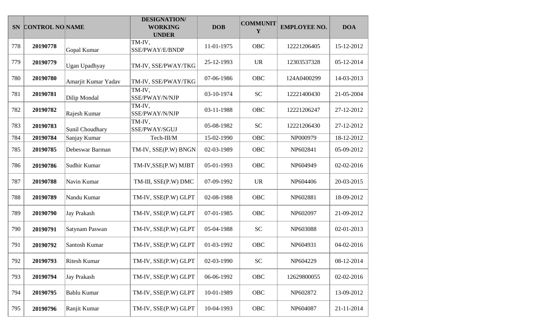| <b>SN</b> | <b>CONTROL NO NAME</b> |                     | <b>DESIGNATION/</b><br><b>WORKING</b><br><b>UNDER</b> | <b>DOB</b> | <b>COMMUNIT</b><br>Y | <b>EMPLOYEE NO.</b> | <b>DOA</b> |
|-----------|------------------------|---------------------|-------------------------------------------------------|------------|----------------------|---------------------|------------|
| 778       | 20190778               | Gopal Kumar         | TM-IV,<br>SSE/PWAY/E/BNDP                             | 11-01-1975 | OBC                  | 12221206405         | 15-12-2012 |
| 779       | 20190779               | Ugan Upadhyay       | TM-IV, SSE/PWAY/TKG                                   | 25-12-1993 | <b>UR</b>            | 12303537328         | 05-12-2014 |
| 780       | 20190780               | Amarjit Kumar Yadav | TM-IV, SSE/PWAY/TKG                                   | 07-06-1986 | OBC                  | 124A0400299         | 14-03-2013 |
| 781       | 20190781               | Dilip Mondal        | TM-IV,<br>SSE/PWAY/N/NJP                              | 03-10-1974 | <b>SC</b>            | 12221400430         | 21-05-2004 |
| 782       | 20190782               | Rajesh Kumar        | TM-IV,<br>SSE/PWAY/N/NJP                              | 03-11-1988 | <b>OBC</b>           | 12221206247         | 27-12-2012 |
| 783       | 20190783               | Sunil Choudhary     | TM-IV,<br>SSE/PWAY/SGUJ                               | 05-08-1982 | <b>SC</b>            | 12221206430         | 27-12-2012 |
| 784       | 20190784               | Sanjay Kumar        | Tech-III/M                                            | 15-02-1990 | OBC                  | NP000979            | 18-12-2012 |
| 785       | 20190785               | Debeswar Barman     | TM-IV, SSE(P.W) BNGN                                  | 02-03-1989 | OBC                  | NP602841            | 05-09-2012 |
| 786       | 20190786               | Sudhir Kumar        | TM-IV, SSE(P.W) MJBT                                  | 05-01-1993 | <b>OBC</b>           | NP604949            | 02-02-2016 |
| 787       | 20190788               | Navin Kumar         | TM-III, SSE(P.W) DMC                                  | 07-09-1992 | <b>UR</b>            | NP604406            | 20-03-2015 |
| 788       | 20190789               | Nandu Kumar         | TM-IV, SSE(P.W) GLPT                                  | 02-08-1988 | <b>OBC</b>           | NP602881            | 18-09-2012 |
| 789       | 20190790               | Jay Prakash         | TM-IV, SSE(P.W) GLPT                                  | 07-01-1985 | <b>OBC</b>           | NP602097            | 21-09-2012 |
| 790       | 20190791               | Satynam Paswan      | TM-IV, SSE(P.W) GLPT                                  | 05-04-1988 | <b>SC</b>            | NP603088            | 02-01-2013 |
| 791       | 20190792               | Santosh Kumar       | TM-IV, SSE(P.W) GLPT                                  | 01-03-1992 | OBC                  | NP604931            | 04-02-2016 |
| 792       | 20190793               | Ritesh Kumar        | TM-IV, SSE(P.W) GLPT                                  | 02-03-1990 | <b>SC</b>            | NP604229            | 08-12-2014 |
| 793       | 20190794               | Jay Prakash         | TM-IV, SSE(P.W) GLPT                                  | 06-06-1992 | OBC                  | 12629800055         | 02-02-2016 |
| 794       | 20190795               | <b>Bablu Kumar</b>  | TM-IV, SSE(P.W) GLPT                                  | 10-01-1989 | OBC                  | NP602872            | 13-09-2012 |
| 795       | 20190796               | Ranjit Kumar        | TM-IV, SSE(P.W) GLPT                                  | 10-04-1993 | OBC                  | NP604087            | 21-11-2014 |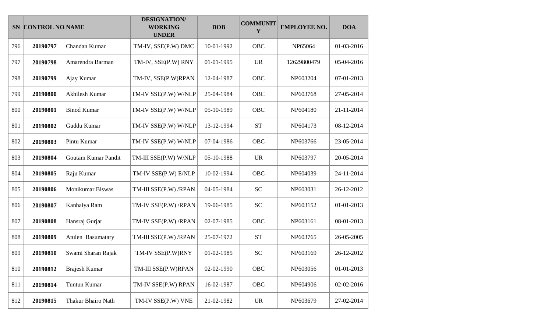|     | SN CONTROL NO NAME |                      | <b>DESIGNATION/</b><br><b>WORKING</b><br><b>UNDER</b> | <b>DOB</b> | <b>COMMUNIT</b><br>Y | <b>EMPLOYEE NO.</b> | <b>DOA</b> |
|-----|--------------------|----------------------|-------------------------------------------------------|------------|----------------------|---------------------|------------|
| 796 | 20190797           | Chandan Kumar        | TM-IV, SSE(P.W) DMC                                   | 10-01-1992 | OBC                  | NP65064             | 01-03-2016 |
| 797 | 20190798           | Amarendra Barman     | TM-IV, SSE(P.W) RNY                                   | 01-01-1995 | <b>UR</b>            | 12629800479         | 05-04-2016 |
| 798 | 20190799           | Ajay Kumar           | TM-IV, SSE(P.W)RPAN                                   | 12-04-1987 | OBC                  | NP603204            | 07-01-2013 |
| 799 | 20190800           | Akhilesh Kumar       | TM-IV SSE(P.W) W/NLP                                  | 25-04-1984 | OBC                  | NP603768            | 27-05-2014 |
| 800 | 20190801           | <b>Binod Kumar</b>   | TM-IV SSE(P.W) W/NLP                                  | 05-10-1989 | OBC                  | NP604180            | 21-11-2014 |
| 801 | 20190802           | Guddu Kumar          | TM-IV SSE(P.W) W/NLP                                  | 13-12-1994 | <b>ST</b>            | NP604173            | 08-12-2014 |
| 802 | 20190803           | Pintu Kumar          | TM-IV SSE(P.W) W/NLP                                  | 07-04-1986 | OBC                  | NP603766            | 23-05-2014 |
| 803 | 20190804           | Goutam Kumar Pandit  | TM-III SSE(P.W) W/NLP                                 | 05-10-1988 | <b>UR</b>            | NP603797            | 20-05-2014 |
| 804 | 20190805           | Raju Kumar           | TM-IV SSE(P.W) E/NLP                                  | 10-02-1994 | OBC                  | NP604039            | 24-11-2014 |
| 805 | 20190806           | Monikumar Biswas     | TM-III SSE(P.W) /RPAN                                 | 04-05-1984 | <b>SC</b>            | NP603031            | 26-12-2012 |
| 806 | 20190807           | Kanhaiya Ram         | TM-IV SSE(P.W) /RPAN                                  | 19-06-1985 | <b>SC</b>            | NP603152            | 01-01-2013 |
| 807 | 20190808           | Hansraj Gurjar       | TM-IV SSE(P.W) /RPAN                                  | 02-07-1985 | OBC                  | NP603161            | 08-01-2013 |
| 808 | 20190809           | Atulen Basumatary    | TM-III SSE(P.W) /RPAN                                 | 25-07-1972 | <b>ST</b>            | NP603765            | 26-05-2005 |
| 809 | 20190810           | Swami Sharan Rajak   | TM-IV SSE(P.W)RNY                                     | 01-02-1985 | <b>SC</b>            | NP603169            | 26-12-2012 |
| 810 | 20190812           | <b>Brajesh Kumar</b> | TM-III SSE(P.W)RPAN                                   | 02-02-1990 | OBC                  | NP603056            | 01-01-2013 |
| 811 | 20190814           | Tuntun Kumar         | TM-IV SSE(P.W) RPAN                                   | 16-02-1987 | OBC                  | NP604906            | 02-02-2016 |
| 812 | 20190815           | Thakur Bhairo Nath   | TM-IV SSE(P.W) VNE                                    | 21-02-1982 | <b>UR</b>            | NP603679            | 27-02-2014 |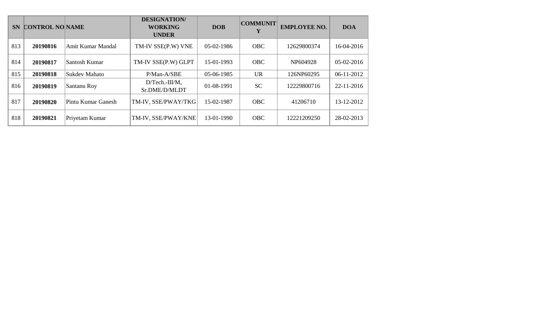| <b>SN</b> | <b>CONTROL NO NAME</b> |                    | <b>DESIGNATION/</b><br><b>WORKING</b><br><b>UNDER</b> | <b>DOB</b> | <b>COMMUNIT</b> | <b>EMPLOYEE NO.</b> | <b>DOA</b> |
|-----------|------------------------|--------------------|-------------------------------------------------------|------------|-----------------|---------------------|------------|
| 813       | 20190816               | Amit Kumar Mandal  | TM-IV SSE(P.W) VNE                                    | 05-02-1986 | <b>OBC</b>      | 12629800374         | 16-04-2016 |
| 814       | 20190817               | Santosh Kumar      | TM-IV SSE(P.W) GLPT                                   | 15-01-1993 | <b>OBC</b>      | NP604928            | 05-02-2016 |
| 815       | 20190818               | Sukdev Mahato      | P/Man-A/SBE                                           | 05-06-1985 | <b>UR</b>       | 126NP60295          | 06-11-2012 |
| 816       | 20190819               | Santanu Roy        | $D/Techn$ -III/M,<br>Sr.DME/D/MLDT                    | 01-08-1991 | <b>SC</b>       | 12229800716         | 22-11-2016 |
| 817       | 20190820               | Pintu Kumar Ganesh | TM-IV, SSE/PWAY/TKG                                   | 15-02-1987 | <b>OBC</b>      | 41206710            | 13-12-2012 |
| 818       | 20190821               | Priyetam Kumar     | TM-IV, SSE/PWAY/KNE                                   | 13-01-1990 | <b>OBC</b>      | 12221209250         | 28-02-2013 |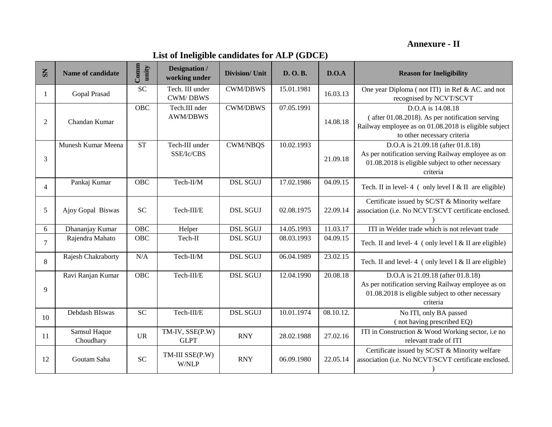### **Annexure - II**

### **List of Ineligible candidates for ALP (GDCE)**

| $\mathbf{S}$   | Name of candidate         | Comm<br>unity | <b>Designation</b> /<br>working under | <b>Division/ Unit</b> | D. O.B.    | D.O.A     | <b>Reason for Ineligibility</b>                                                                                                                                 |
|----------------|---------------------------|---------------|---------------------------------------|-----------------------|------------|-----------|-----------------------------------------------------------------------------------------------------------------------------------------------------------------|
| 1              | Gopal Prasad              | <b>SC</b>     | Tech. III under<br><b>CWM/DBWS</b>    | <b>CWM/DBWS</b>       | 15.01.1981 | 16.03.13  | One year Diploma (not ITI) in Ref & AC. and not<br>recognised by NCVT/SCVT                                                                                      |
| $\overline{2}$ | Chandan Kumar             | <b>OBC</b>    | Tech.III nder<br><b>AWM/DBWS</b>      | <b>CWM/DBWS</b>       | 07.05.1991 | 14.08.18  | D.O.A is 14.08.18<br>$($ after 01.08.2018). As per notification serving<br>Railway employee as on 01.08.2018 is eligible subject<br>to other necessary criteria |
| 3              | Munesh Kumar Meena        | <b>ST</b>     | Tech-III under<br>SSE/Ic/CBS          | <b>CWM/NBQS</b>       | 10.02.1993 | 21.09.18  | D.O.A is 21.09.18 (after 01.8.18)<br>As per notification serving Railway employee as on<br>01.08.2018 is eligible subject to other necessary<br>criteria        |
| $\overline{4}$ | Pankaj Kumar              | OBC           | Tech-II/M                             | <b>DSL SGUJ</b>       | 17.02.1986 | 04.09.15  | Tech. II in level-4 (only level $I < II$ are eligible)                                                                                                          |
| 5              | Ajoy Gopal Biswas         | <b>SC</b>     | Tech-III/E                            | <b>DSL SGUJ</b>       | 02.08.1975 | 22.09.14  | Certificate issued by SC/ST & Minority welfare<br>association (i.e. No NCVT/SCVT certificate enclosed.                                                          |
| 6              | Dhananjay Kumar           | OBC           | Helper                                | <b>DSL SGUJ</b>       | 14.05.1993 | 11.03.17  | ITI in Welder trade which is not relevant trade                                                                                                                 |
| 7              | Rajendra Mahato           | <b>OBC</b>    | Tech-II                               | <b>DSL SGUJ</b>       | 08.03.1993 | 04.09.15  | Tech. II and level-4 (only level I & II are eligible)                                                                                                           |
| 8              | Rajesh Chakraborty        | N/A           | Tech-II/M                             | <b>DSL SGUJ</b>       | 06.04.1989 | 23.02.15  | Tech. II and level-4 (only level I & II are eligible)                                                                                                           |
| 9              | Ravi Ranjan Kumar         | OBC           | Tech-III/E                            | <b>DSL SGUJ</b>       | 12.04.1990 | 20.08.18  | D.O.A is 21.09.18 (after 01.8.18)<br>As per notification serving Railway employee as on<br>01.08.2018 is eligible subject to other necessary<br>criteria        |
| 10             | Debdash BIswas            | <b>SC</b>     | Tech-III/E                            | <b>DSL SGUJ</b>       | 10.01.1974 | 08.10.12. | No ITI, only BA passed<br>(not having prescribed EQ)                                                                                                            |
| 11             | Samsul Haque<br>Choudhary | <b>UR</b>     | TM-IV, SSE(P.W)<br><b>GLPT</b>        | <b>RNY</b>            | 28.02.1988 | 27.02.16  | ITI in Construction & Wood Working sector, i.e no<br>relevant trade of ITI                                                                                      |
| 12             | Goutam Saha               | <b>SC</b>     | TM-III SSE(P.W)<br>W/NLP              | <b>RNY</b>            | 06.09.1980 | 22.05.14  | Certificate issued by SC/ST & Minority welfare<br>association (i.e. No NCVT/SCVT certificate enclosed.                                                          |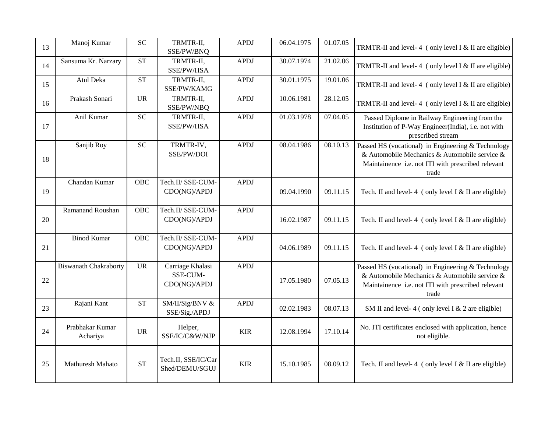| 13 | Manoj Kumar                  | ${\rm SC}$ | TRMTR-II,<br>SSE/PW/BNQ                      | <b>APDJ</b> | 06.04.1975 | 01.07.05 | TRMTR-II and level-4 (only level I $&$ II are eligible)                                                                                                            |
|----|------------------------------|------------|----------------------------------------------|-------------|------------|----------|--------------------------------------------------------------------------------------------------------------------------------------------------------------------|
| 14 | Sansuma Kr. Narzary          | <b>ST</b>  | TRMTR-II,<br>SSE/PW/HSA                      | <b>APDJ</b> | 30.07.1974 | 21.02.06 | TRMTR-II and level-4 (only level I & II are eligible)                                                                                                              |
| 15 | Atul Deka                    | <b>ST</b>  | TRMTR-II,<br>SSE/PW/KAMG                     | <b>APDJ</b> | 30.01.1975 | 19.01.06 | TRMTR-II and level-4 (only level I & II are eligible)                                                                                                              |
| 16 | Prakash Sonari               | <b>UR</b>  | TRMTR-II,<br>SSE/PW/NBQ                      | <b>APDJ</b> | 10.06.1981 | 28.12.05 | TRMTR-II and level-4 (only level I & II are eligible)                                                                                                              |
| 17 | Anil Kumar                   | <b>SC</b>  | TRMTR-II,<br>SSE/PW/HSA                      | <b>APDJ</b> | 01.03.1978 | 07.04.05 | Passed Diplome in Railway Engineering from the<br>Institution of P-Way Engineer(India), i.e. not with<br>prescribed stream                                         |
| 18 | Sanjib Roy                   | ${\rm SC}$ | TRMTR-IV,<br>SSE/PW/DOI                      | <b>APDJ</b> | 08.04.1986 | 08.10.13 | Passed HS (vocational) in Engineering & Technology<br>& Automobile Mechanics & Automobile service &<br>Maintainence i.e. not ITI with prescribed relevant<br>trade |
| 19 | Chandan Kumar                | OBC        | Tech.II/ SSE-CUM-<br>CDO(NG)/APDJ            | <b>APDJ</b> | 09.04.1990 | 09.11.15 | Tech. II and level-4 (only level I & II are eligible)                                                                                                              |
| 20 | Ramanand Roushan             | <b>OBC</b> | Tech.II/ SSE-CUM-<br>CDO(NG)/APDJ            | <b>APDJ</b> | 16.02.1987 | 09.11.15 | Tech. II and level-4 (only level I & II are eligible)                                                                                                              |
| 21 | <b>Binod Kumar</b>           | OBC        | Tech.II/ SSE-CUM-<br>CDO(NG)/APDJ            | <b>APDJ</b> | 04.06.1989 | 09.11.15 | Tech. II and level-4 (only level I & II are eligible)                                                                                                              |
| 22 | <b>Biswanath Chakraborty</b> | <b>UR</b>  | Carriage Khalasi<br>SSE-CUM-<br>CDO(NG)/APDJ | <b>APDJ</b> | 17.05.1980 | 07.05.13 | Passed HS (vocational) in Engineering & Technology<br>& Automobile Mechanics & Automobile service &<br>Maintainence i.e. not ITI with prescribed relevant<br>trade |
| 23 | Rajani Kant                  | <b>ST</b>  | SM/II/Sig/BNV &<br>SSE/Sig./APDJ             | <b>APDJ</b> | 02.02.1983 | 08.07.13 | SM II and level-4 (only level I & 2 are eligible)                                                                                                                  |
| 24 | Prabhakar Kumar<br>Achariya  | <b>UR</b>  | Helper,<br>SSE/IC/C&W/NJP                    | <b>KIR</b>  | 12.08.1994 | 17.10.14 | No. ITI certificates enclosed with application, hence<br>not eligible.                                                                                             |
| 25 | Mathuresh Mahato             | <b>ST</b>  | Tech.II, SSE/IC/Car<br>Shed/DEMU/SGUJ        | <b>KIR</b>  | 15.10.1985 | 08.09.12 | Tech. II and level-4 (only level I & II are eligible)                                                                                                              |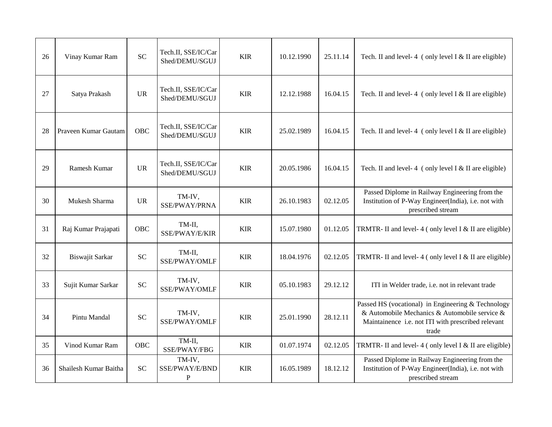| 26 | Vinay Kumar Ram       | <b>SC</b>                  | Tech.II, SSE/IC/Car<br>Shed/DEMU/SGUJ | <b>KIR</b> | 10.12.1990 | 25.11.14 | Tech. II and level-4 (only level I & II are eligible)                                                                                                              |
|----|-----------------------|----------------------------|---------------------------------------|------------|------------|----------|--------------------------------------------------------------------------------------------------------------------------------------------------------------------|
| 27 | Satya Prakash         | <b>UR</b>                  | Tech.II, SSE/IC/Car<br>Shed/DEMU/SGUJ | <b>KIR</b> | 12.12.1988 | 16.04.15 | Tech. II and level-4 (only level I & II are eligible)                                                                                                              |
| 28 | Praveen Kumar Gautam  | OBC                        | Tech.II, SSE/IC/Car<br>Shed/DEMU/SGUJ | <b>KIR</b> | 25.02.1989 | 16.04.15 | Tech. II and level-4 (only level I & II are eligible)                                                                                                              |
| 29 | Ramesh Kumar          | <b>UR</b>                  | Tech.II, SSE/IC/Car<br>Shed/DEMU/SGUJ | <b>KIR</b> | 20.05.1986 | 16.04.15 | Tech. II and level-4 (only level I & II are eligible)                                                                                                              |
| 30 | Mukesh Sharma         | <b>UR</b>                  | TM-IV,<br>SSE/PWAY/PRNA               | <b>KIR</b> | 26.10.1983 | 02.12.05 | Passed Diplome in Railway Engineering from the<br>Institution of P-Way Engineer(India), i.e. not with<br>prescribed stream                                         |
| 31 | Raj Kumar Prajapati   | OBC                        | TM-II,<br>SSE/PWAY/E/KIR              | <b>KIR</b> | 15.07.1980 | 01.12.05 | TRMTR- II and level-4 (only level I & II are eligible)                                                                                                             |
| 32 | Biswajit Sarkar       | $\ensuremath{\mathbf{SC}}$ | TM-II,<br>SSE/PWAY/OMLF               | <b>KIR</b> | 18.04.1976 | 02.12.05 | TRMTR- II and level-4 (only level I $&$ II are eligible)                                                                                                           |
| 33 | Sujit Kumar Sarkar    | <b>SC</b>                  | TM-IV,<br>SSE/PWAY/OMLF               | <b>KIR</b> | 05.10.1983 | 29.12.12 | ITI in Welder trade, i.e. not in relevant trade                                                                                                                    |
| 34 | Pintu Mandal          | <b>SC</b>                  | TM-IV,<br>SSE/PWAY/OMLF               | <b>KIR</b> | 25.01.1990 | 28.12.11 | Passed HS (vocational) in Engineering & Technology<br>& Automobile Mechanics & Automobile service &<br>Maintainence i.e. not ITI with prescribed relevant<br>trade |
| 35 | Vinod Kumar Ram       | <b>OBC</b>                 | TM-II,<br>SSE/PWAY/FBG                | <b>KIR</b> | 01.07.1974 | 02.12.05 | TRMTR- II and level-4 (only level I & II are eligible)                                                                                                             |
| 36 | Shailesh Kumar Baitha | <b>SC</b>                  | TM-IV,<br>SSE/PWAY/E/BND<br>${\bf P}$ | <b>KIR</b> | 16.05.1989 | 18.12.12 | Passed Diplome in Railway Engineering from the<br>Institution of P-Way Engineer(India), i.e. not with<br>prescribed stream                                         |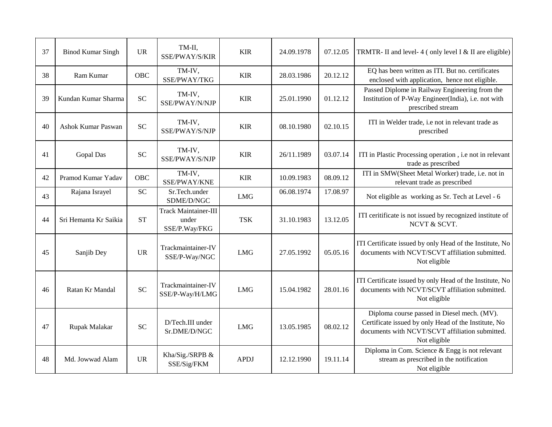| 37 | <b>Binod Kumar Singh</b> | <b>UR</b>  | TM-II,<br>SSE/PWAY/S/KIR                              | <b>KIR</b>  | 24.09.1978 | 07.12.05 | TRMTR- II and level-4 (only level I & II are eligible)                                                                                                                 |
|----|--------------------------|------------|-------------------------------------------------------|-------------|------------|----------|------------------------------------------------------------------------------------------------------------------------------------------------------------------------|
| 38 | Ram Kumar                | <b>OBC</b> | TM-IV,<br>SSE/PWAY/TKG                                | <b>KIR</b>  | 28.03.1986 | 20.12.12 | EQ has been written as ITI. But no. certificates<br>enclosed with application, hence not eligible.                                                                     |
| 39 | Kundan Kumar Sharma      | <b>SC</b>  | TM-IV,<br>SSE/PWAY/N/NJP                              | <b>KIR</b>  | 25.01.1990 | 01.12.12 | Passed Diplome in Railway Engineering from the<br>Institution of P-Way Engineer(India), i.e. not with<br>prescribed stream                                             |
| 40 | Ashok Kumar Paswan       | <b>SC</b>  | TM-IV,<br>SSE/PWAY/S/NJP                              | <b>KIR</b>  | 08.10.1980 | 02.10.15 | ITI in Welder trade, i.e not in relevant trade as<br>prescribed                                                                                                        |
| 41 | Gopal Das                | <b>SC</b>  | TM-IV,<br>SSE/PWAY/S/NJP                              | <b>KIR</b>  | 26/11.1989 | 03.07.14 | ITI in Plastic Processing operation, i.e not in relevant<br>trade as prescribed                                                                                        |
| 42 | Pramod Kumar Yadav       | OBC        | TM-IV,<br>SSE/PWAY/KNE                                | <b>KIR</b>  | 10.09.1983 | 08.09.12 | ITI in SMW(Sheet Metal Worker) trade, i.e. not in<br>relevant trade as prescribed                                                                                      |
| 43 | Rajana Israyel           | <b>SC</b>  | Sr.Tech.under<br>SDME/D/NGC                           | <b>LMG</b>  | 06.08.1974 | 17.08.97 | Not eligible as working as Sr. Tech at Level - 6                                                                                                                       |
| 44 | Sri Hemanta Kr Saikia    | <b>ST</b>  | <b>Track Maintainer-III</b><br>under<br>SSE/P.Way/FKG | <b>TSK</b>  | 31.10.1983 | 13.12.05 | ITI ceritificate is not issued by recognized institute of<br>NCVT & SCVT.                                                                                              |
| 45 | Sanjib Dey               | <b>UR</b>  | Trackmaintainer-IV<br>SSE/P-Way/NGC                   | <b>LMG</b>  | 27.05.1992 | 05.05.16 | ITI Certificate issued by only Head of the Institute, No<br>documents with NCVT/SCVT affiliation submitted.<br>Not eligible                                            |
| 46 | Ratan Kr Mandal          | <b>SC</b>  | Trackmaintainer-IV<br>SSE/P-Way/H/LMG                 | <b>LMG</b>  | 15.04.1982 | 28.01.16 | ITI Certificate issued by only Head of the Institute, No<br>documents with NCVT/SCVT affiliation submitted.<br>Not eligible                                            |
| 47 | Rupak Malakar            | <b>SC</b>  | D/Tech.III under<br>Sr.DME/D/NGC                      | <b>LMG</b>  | 13.05.1985 | 08.02.12 | Diploma course passed in Diesel mech. (MV).<br>Certificate issued by only Head of the Institute, No<br>documents with NCVT/SCVT affiliation submitted.<br>Not eligible |
| 48 | Md. Jowwad Alam          | <b>UR</b>  | Kha/Sig./SRPB &<br>SSE/Sig/FKM                        | <b>APDJ</b> | 12.12.1990 | 19.11.14 | Diploma in Com. Science & Engg is not relevant<br>stream as prescribed in the notification<br>Not eligible                                                             |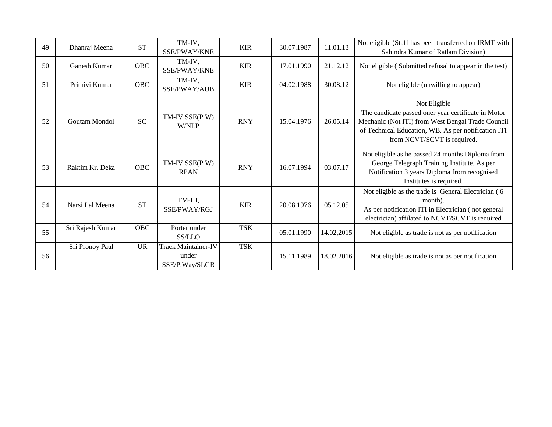| 49 | Dhanraj Meena    | <b>ST</b>  | TM-IV,<br>SSE/PWAY/KNE                                | <b>KIR</b> | 30.07.1987 | 11.01.13   | Not eligible (Staff has been transferred on IRMT with<br>Sahindra Kumar of Ratlam Division)                                                                                                                    |
|----|------------------|------------|-------------------------------------------------------|------------|------------|------------|----------------------------------------------------------------------------------------------------------------------------------------------------------------------------------------------------------------|
| 50 | Ganesh Kumar     | <b>OBC</b> | TM-IV,<br>SSE/PWAY/KNE                                | <b>KIR</b> | 17.01.1990 | 21.12.12   | Not eligible (Submitted refusal to appear in the test)                                                                                                                                                         |
| 51 | Prithivi Kumar   | <b>OBC</b> | TM-IV,<br>SSE/PWAY/AUB                                | <b>KIR</b> | 04.02.1988 | 30.08.12   | Not eligible (unwilling to appear)                                                                                                                                                                             |
| 52 | Goutam Mondol    | <b>SC</b>  | TM-IV SSE(P.W)<br>W/NLP                               | <b>RNY</b> | 15.04.1976 | 26.05.14   | Not Eligible<br>The candidate passed oner year certificate in Motor<br>Mechanic (Not ITI) from West Bengal Trade Council<br>of Technical Education, WB. As per notification ITI<br>from NCVT/SCVT is required. |
| 53 | Raktim Kr. Deka  | OBC        | TM-IV SSE(P.W)<br><b>RPAN</b>                         | <b>RNY</b> | 16.07.1994 | 03.07.17   | Not eligible as he passed 24 months Diploma from<br>George Telegraph Training Institute. As per<br>Notification 3 years Diploma from recognised<br>Institutes is required.                                     |
| 54 | Narsi Lal Meena  | <b>ST</b>  | TM-III,<br>SSE/PWAY/RGJ                               | <b>KIR</b> | 20.08.1976 | 05.12.05   | Not eligible as the trade is General Electrician (6<br>month).<br>As per notification ITI in Electrician (not general<br>electrician) affilated to NCVT/SCVT is required                                       |
| 55 | Sri Rajesh Kumar | <b>OBC</b> | Porter under<br>SS/LLO                                | <b>TSK</b> | 05.01.1990 | 14.02,2015 | Not eligible as trade is not as per notification                                                                                                                                                               |
| 56 | Sri Pronoy Paul  | <b>UR</b>  | <b>Track Maintainer-IV</b><br>under<br>SSE/P.Way/SLGR | <b>TSK</b> | 15.11.1989 | 18.02.2016 | Not eligible as trade is not as per notification                                                                                                                                                               |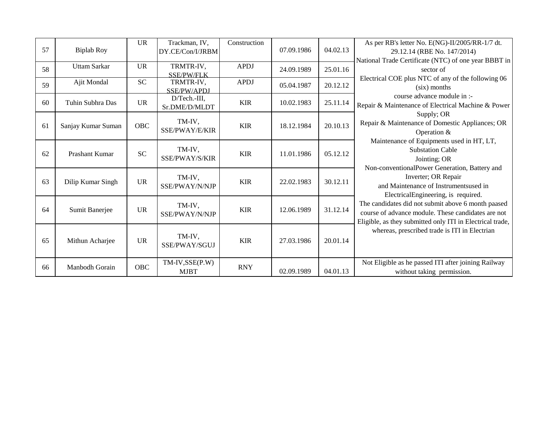| 57 | <b>Biplab Roy</b>   | <b>UR</b>  | Trackman, IV,<br>DY.CE/Con/I/JRBM | Construction | 07.09.1986 | 04.02.13 | As per RB's letter No. E(NG)-II/2005/RR-1/7 dt.                                                          |
|----|---------------------|------------|-----------------------------------|--------------|------------|----------|----------------------------------------------------------------------------------------------------------|
|    |                     |            |                                   |              |            |          | 29.12.14 (RBE No. 147/2014)<br>National Trade Certificate (NTC) of one year BBBT in                      |
| 58 | <b>Uttam Sarkar</b> | <b>UR</b>  | TRMTR-IV,                         | <b>APDJ</b>  | 24.09.1989 | 25.01.16 | sector of                                                                                                |
| 59 | Ajit Mondal         | <b>SC</b>  | <b>SSE/PW/FLK</b><br>TRMTR-IV,    | <b>APDJ</b>  | 05.04.1987 | 20.12.12 | Electrical COE plus NTC of any of the following 06                                                       |
|    |                     |            | SSE/PW/APDJ                       |              |            |          | (six) months<br>course advance module in :-                                                              |
| 60 | Tuhin Subhra Das    | UR         | D/Tech.-III,<br>Sr.DME/D/MLDT     | <b>KIR</b>   | 10.02.1983 | 25.11.14 | Repair & Maintenance of Electrical Machine & Power                                                       |
|    |                     |            |                                   |              |            |          | Supply; OR                                                                                               |
| 61 | Sanjay Kumar Suman  | OBC        | TM-IV,<br>SSE/PWAY/E/KIR          | <b>KIR</b>   | 18.12.1984 | 20.10.13 | Repair & Maintenance of Domestic Appliances; OR                                                          |
|    |                     |            |                                   |              |            |          | Operation &                                                                                              |
|    |                     |            | TM-IV,                            |              |            |          | Maintenance of Equipments used in HT, LT,<br><b>Substation Cable</b>                                     |
| 62 | Prashant Kumar      | <b>SC</b>  | SSE/PWAY/S/KIR                    | <b>KIR</b>   | 11.01.1986 | 05.12.12 | Jointing; OR                                                                                             |
|    |                     |            |                                   |              |            |          | Non-conventionalPower Generation, Battery and                                                            |
|    |                     | <b>UR</b>  | TM-IV,                            | <b>KIR</b>   |            |          | Inverter; OR Repair                                                                                      |
| 63 | Dilip Kumar Singh   |            | SSE/PWAY/N/NJP                    |              | 22.02.1983 | 30.12.11 | and Maintenance of Instrumentsused in                                                                    |
|    |                     |            |                                   |              |            |          | ElectricalEngineering, is required.                                                                      |
| 64 | Sumit Banerjee      | <b>UR</b>  | TM-IV,                            | <b>KIR</b>   | 12.06.1989 | 31.12.14 | The candidates did not submit above 6 month paased<br>course of advance module. These candidates are not |
|    |                     |            | SSE/PWAY/N/NJP                    |              |            |          | Eligible, as they submitted only ITI in Electrical trade,                                                |
|    |                     |            |                                   |              |            |          | whereas, prescribed trade is ITI in Electrian                                                            |
| 65 | Mithun Acharjee     | <b>UR</b>  | TM-IV,                            | <b>KIR</b>   | 27.03.1986 | 20.01.14 |                                                                                                          |
|    |                     |            | SSE/PWAY/SGUJ                     |              |            |          |                                                                                                          |
|    |                     |            | $TM$ -IV, $SSE(P.W)$              |              |            |          | Not Eligible as he passed ITI after joining Railway                                                      |
| 66 | Manbodh Gorain      | <b>OBC</b> | <b>MJBT</b>                       | <b>RNY</b>   | 02.09.1989 | 04.01.13 | without taking permission.                                                                               |